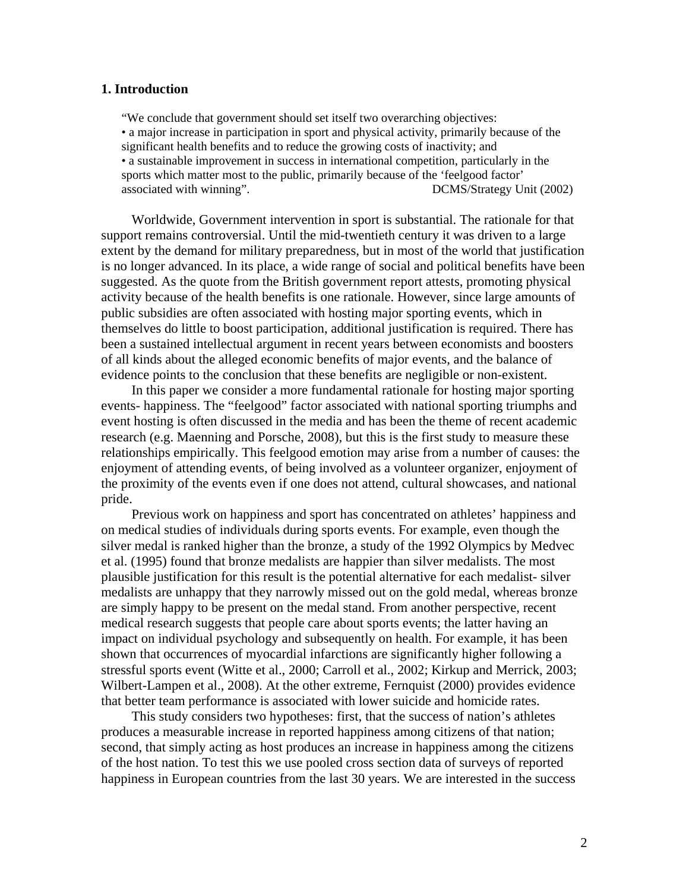## **1. Introduction**

"We conclude that government should set itself two overarching objectives:

• a major increase in participation in sport and physical activity, primarily because of the

significant health benefits and to reduce the growing costs of inactivity; and

• a sustainable improvement in success in international competition, particularly in the sports which matter most to the public, primarily because of the 'feelgood factor' associated with winning". DCMS/Strategy Unit (2002)

Worldwide, Government intervention in sport is substantial. The rationale for that support remains controversial. Until the mid-twentieth century it was driven to a large extent by the demand for military preparedness, but in most of the world that justification is no longer advanced. In its place, a wide range of social and political benefits have been suggested. As the quote from the British government report attests, promoting physical activity because of the health benefits is one rationale. However, since large amounts of public subsidies are often associated with hosting major sporting events, which in themselves do little to boost participation, additional justification is required. There has been a sustained intellectual argument in recent years between economists and boosters of all kinds about the alleged economic benefits of major events, and the balance of evidence points to the conclusion that these benefits are negligible or non-existent.

In this paper we consider a more fundamental rationale for hosting major sporting events- happiness. The "feelgood" factor associated with national sporting triumphs and event hosting is often discussed in the media and has been the theme of recent academic research (e.g. Maenning and Porsche, 2008), but this is the first study to measure these relationships empirically. This feelgood emotion may arise from a number of causes: the enjoyment of attending events, of being involved as a volunteer organizer, enjoyment of the proximity of the events even if one does not attend, cultural showcases, and national pride.

Previous work on happiness and sport has concentrated on athletes' happiness and on medical studies of individuals during sports events. For example, even though the silver medal is ranked higher than the bronze, a study of the 1992 Olympics by Medvec et al. (1995) found that bronze medalists are happier than silver medalists. The most plausible justification for this result is the potential alternative for each medalist- silver medalists are unhappy that they narrowly missed out on the gold medal, whereas bronze are simply happy to be present on the medal stand. From another perspective, recent medical research suggests that people care about sports events; the latter having an impact on individual psychology and subsequently on health. For example, it has been shown that occurrences of myocardial infarctions are significantly higher following a stressful sports event (Witte et al., 2000; Carroll et al., 2002; Kirkup and Merrick, 2003; Wilbert-Lampen et al., 2008). At the other extreme, Fernquist (2000) provides evidence that better team performance is associated with lower suicide and homicide rates.

This study considers two hypotheses: first, that the success of nation's athletes produces a measurable increase in reported happiness among citizens of that nation; second, that simply acting as host produces an increase in happiness among the citizens of the host nation. To test this we use pooled cross section data of surveys of reported happiness in European countries from the last 30 years. We are interested in the success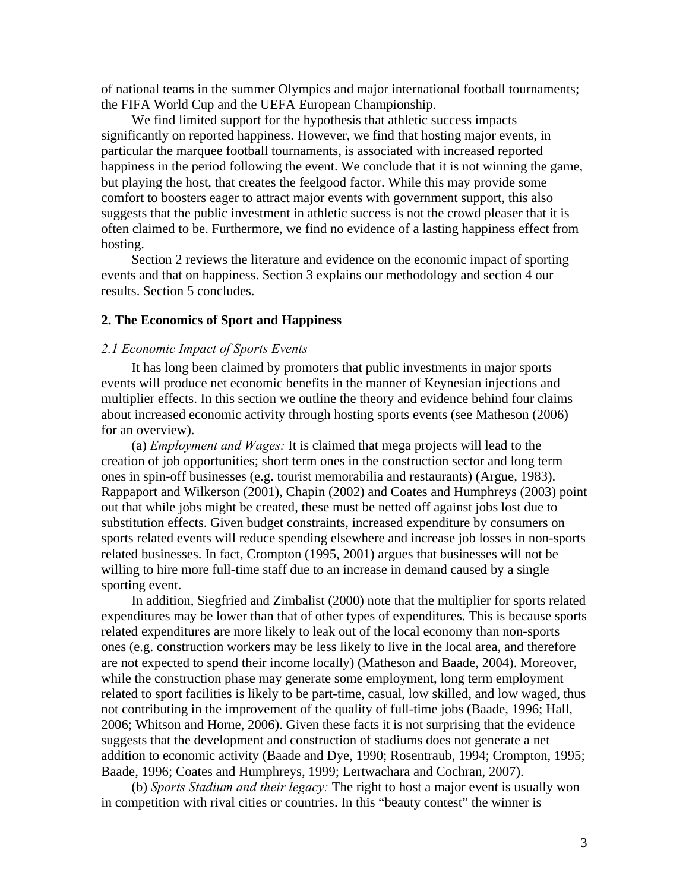of national teams in the summer Olympics and major international football tournaments; the FIFA World Cup and the UEFA European Championship.

We find limited support for the hypothesis that athletic success impacts significantly on reported happiness. However, we find that hosting major events, in particular the marquee football tournaments, is associated with increased reported happiness in the period following the event. We conclude that it is not winning the game, but playing the host, that creates the feelgood factor. While this may provide some comfort to boosters eager to attract major events with government support, this also suggests that the public investment in athletic success is not the crowd pleaser that it is often claimed to be. Furthermore, we find no evidence of a lasting happiness effect from hosting.

Section 2 reviews the literature and evidence on the economic impact of sporting events and that on happiness. Section 3 explains our methodology and section 4 our results. Section 5 concludes.

#### **2. The Economics of Sport and Happiness**

#### *2.1 Economic Impact of Sports Events*

It has long been claimed by promoters that public investments in major sports events will produce net economic benefits in the manner of Keynesian injections and multiplier effects. In this section we outline the theory and evidence behind four claims about increased economic activity through hosting sports events (see Matheson (2006) for an overview).

(a) *Employment and Wages:* It is claimed that mega projects will lead to the creation of job opportunities; short term ones in the construction sector and long term ones in spin-off businesses (e.g. tourist memorabilia and restaurants) (Argue, 1983). Rappaport and Wilkerson (2001), Chapin (2002) and Coates and Humphreys (2003) point out that while jobs might be created, these must be netted off against jobs lost due to substitution effects. Given budget constraints, increased expenditure by consumers on sports related events will reduce spending elsewhere and increase job losses in non-sports related businesses. In fact, Crompton (1995, 2001) argues that businesses will not be willing to hire more full-time staff due to an increase in demand caused by a single sporting event.

In addition, Siegfried and Zimbalist (2000) note that the multiplier for sports related expenditures may be lower than that of other types of expenditures. This is because sports related expenditures are more likely to leak out of the local economy than non-sports ones (e.g. construction workers may be less likely to live in the local area, and therefore are not expected to spend their income locally) (Matheson and Baade, 2004). Moreover, while the construction phase may generate some employment, long term employment related to sport facilities is likely to be part-time, casual, low skilled, and low waged, thus not contributing in the improvement of the quality of full-time jobs (Baade, 1996; Hall, 2006; Whitson and Horne, 2006). Given these facts it is not surprising that the evidence suggests that the development and construction of stadiums does not generate a net addition to economic activity (Baade and Dye, 1990; Rosentraub, 1994; Crompton, 1995; Baade, 1996; Coates and Humphreys, 1999; Lertwachara and Cochran, 2007).

(b) *Sports Stadium and their legacy:* The right to host a major event is usually won in competition with rival cities or countries. In this "beauty contest" the winner is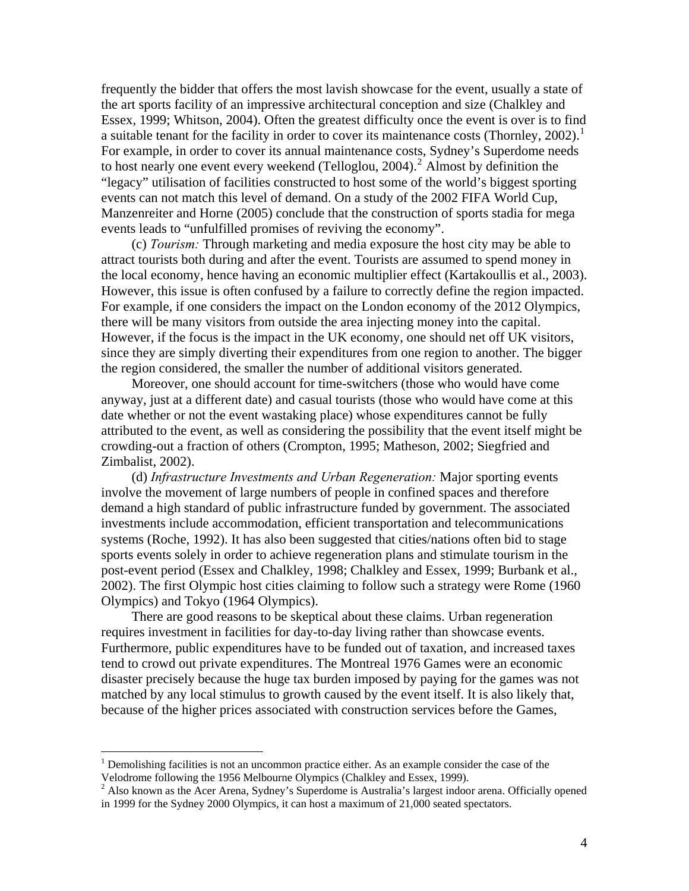frequently the bidder that offers the most lavish showcase for the event, usually a state of the art sports facility of an impressive architectural conception and size (Chalkley and Essex, 1999; Whitson, 2004). Often the greatest difficulty once the event is over is to find a suitable tenant for the facility in order to cover its maintenance costs (Thornley,  $2002$ ).<sup>[1](#page-3-0)</sup> For example, in order to cover its annual maintenance costs, Sydney's Superdome needs to host nearly one event every weekend (Telloglou, [2](#page-3-1)004).<sup>2</sup> Almost by definition the "legacy" utilisation of facilities constructed to host some of the world's biggest sporting events can not match this level of demand. On a study of the 2002 FIFA World Cup, Manzenreiter and Horne (2005) conclude that the construction of sports stadia for mega events leads to "unfulfilled promises of reviving the economy".

(c) *Tourism:* Through marketing and media exposure the host city may be able to attract tourists both during and after the event. Tourists are assumed to spend money in the local economy, hence having an economic multiplier effect (Kartakoullis et al., 2003). However, this issue is often confused by a failure to correctly define the region impacted. For example, if one considers the impact on the London economy of the 2012 Olympics, there will be many visitors from outside the area injecting money into the capital. However, if the focus is the impact in the UK economy, one should net off UK visitors, since they are simply diverting their expenditures from one region to another. The bigger the region considered, the smaller the number of additional visitors generated.

Moreover, one should account for time-switchers (those who would have come anyway, just at a different date) and casual tourists (those who would have come at this date whether or not the event wastaking place) whose expenditures cannot be fully attributed to the event, as well as considering the possibility that the event itself might be crowding-out a fraction of others (Crompton, 1995; Matheson, 2002; Siegfried and Zimbalist, 2002).

(d) *Infrastructure Investments and Urban Regeneration:* Major sporting events involve the movement of large numbers of people in confined spaces and therefore demand a high standard of public infrastructure funded by government. The associated investments include accommodation, efficient transportation and telecommunications systems (Roche, 1992). It has also been suggested that cities/nations often bid to stage sports events solely in order to achieve regeneration plans and stimulate tourism in the post-event period (Essex and Chalkley, 1998; Chalkley and Essex, 1999; Burbank et al., 2002). The first Olympic host cities claiming to follow such a strategy were Rome (1960 Olympics) and Tokyo (1964 Olympics).

There are good reasons to be skeptical about these claims. Urban regeneration requires investment in facilities for day-to-day living rather than showcase events. Furthermore, public expenditures have to be funded out of taxation, and increased taxes tend to crowd out private expenditures. The Montreal 1976 Games were an economic disaster precisely because the huge tax burden imposed by paying for the games was not matched by any local stimulus to growth caused by the event itself. It is also likely that, because of the higher prices associated with construction services before the Games,

<span id="page-3-0"></span> $<sup>1</sup>$  Demolishing facilities is not an uncommon practice either. As an example consider the case of the</sup> Velodrome following the 1956 Melbourne Olympics (Chalkley and Essex, 1999).

<span id="page-3-1"></span> $2$  Also known as the Acer Arena, Sydney's Superdome is Australia's largest indoor arena. Officially opened in 1999 for the Sydney 2000 Olympics, it can host a maximum of 21,000 seated spectators.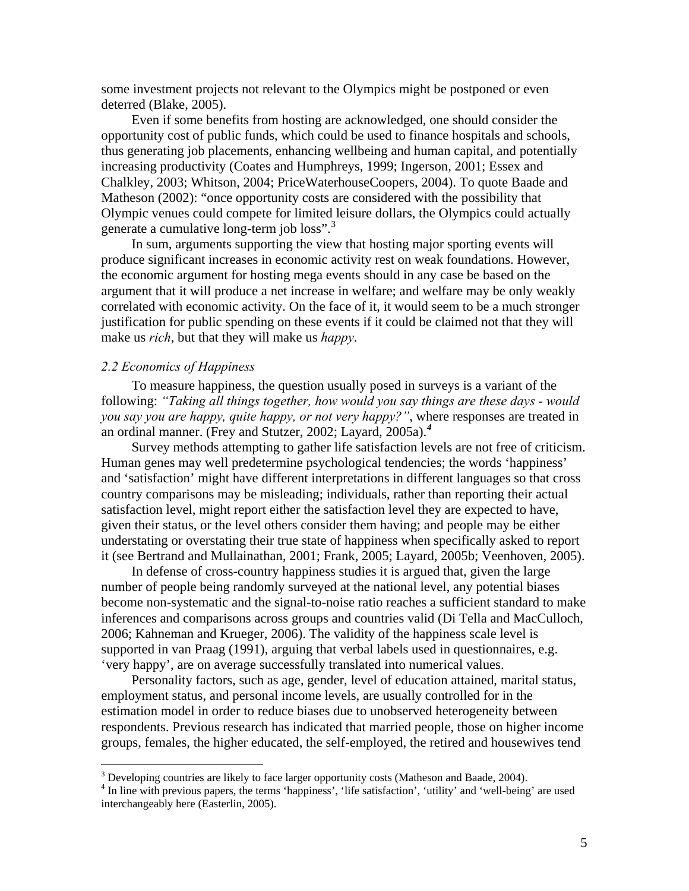some investment projects not relevant to the Olympics might be postponed or even deterred (Blake, 2005).

Even if some benefits from hosting are acknowledged, one should consider the opportunity cost of public funds, which could be used to finance hospitals and schools, thus generating job placements, enhancing wellbeing and human capital, and potentially increasing productivity (Coates and Humphreys, 1999; Ingerson, 2001; Essex and Chalkley, 2003; Whitson, 2004; PriceWaterhouseCoopers, 2004). To quote Baade and Matheson (2002): "once opportunity costs are considered with the possibility that Olympic venues could compete for limited leisure dollars, the Olympics could actually generate a cumulative long-term job loss".<sup>[3](#page-4-0)</sup>

In sum, arguments supporting the view that hosting major sporting events will produce significant increases in economic activity rest on weak foundations. However, the economic argument for hosting mega events should in any case be based on the argument that it will produce a net increase in welfare; and welfare may be only weakly correlated with economic activity. On the face of it, it would seem to be a much stronger justification for public spending on these events if it could be claimed not that they will make us *rich*, but that they will make us *happy*.

#### *2.2 Economics of Happiness*

 $\overline{a}$ 

To measure happiness, the question usually posed in surveys is a variant of the following: *"Taking all things together, how would you say things are these days - would you say you are happy, quite happy, or not very happy?"*, where responses are treated in an ordinal manner. (Frey and Stutzer, 2002; Layard, 2005a).*[4](#page-4-1)*

Survey methods attempting to gather life satisfaction levels are not free of criticism. Human genes may well predetermine psychological tendencies; the words 'happiness' and 'satisfaction' might have different interpretations in different languages so that cross country comparisons may be misleading; individuals, rather than reporting their actual satisfaction level, might report either the satisfaction level they are expected to have, given their status, or the level others consider them having; and people may be either understating or overstating their true state of happiness when specifically asked to report it (see Bertrand and Mullainathan, 2001; Frank, 2005; Layard, 2005b; Veenhoven, 2005).

In defense of cross-country happiness studies it is argued that, given the large number of people being randomly surveyed at the national level, any potential biases become non-systematic and the signal-to-noise ratio reaches a sufficient standard to make inferences and comparisons across groups and countries valid (Di Tella and MacCulloch, 2006; Kahneman and Krueger, 2006). The validity of the happiness scale level is supported in van Praag (1991), arguing that verbal labels used in questionnaires, e.g. 'very happy', are on average successfully translated into numerical values.

Personality factors, such as age, gender, level of education attained, marital status, employment status, and personal income levels, are usually controlled for in the estimation model in order to reduce biases due to unobserved heterogeneity between respondents. Previous research has indicated that married people, those on higher income groups, females, the higher educated, the self-employed, the retired and housewives tend

<sup>&</sup>lt;sup>3</sup> Developing countries are likely to face larger opportunity costs (Matheson and Baade, 2004).

<span id="page-4-1"></span><span id="page-4-0"></span><sup>&</sup>lt;sup>4</sup> In line with previous papers, the terms 'happiness', 'life satisfaction', 'utility' and 'well-being' are used interchangeably here (Easterlin, 2005).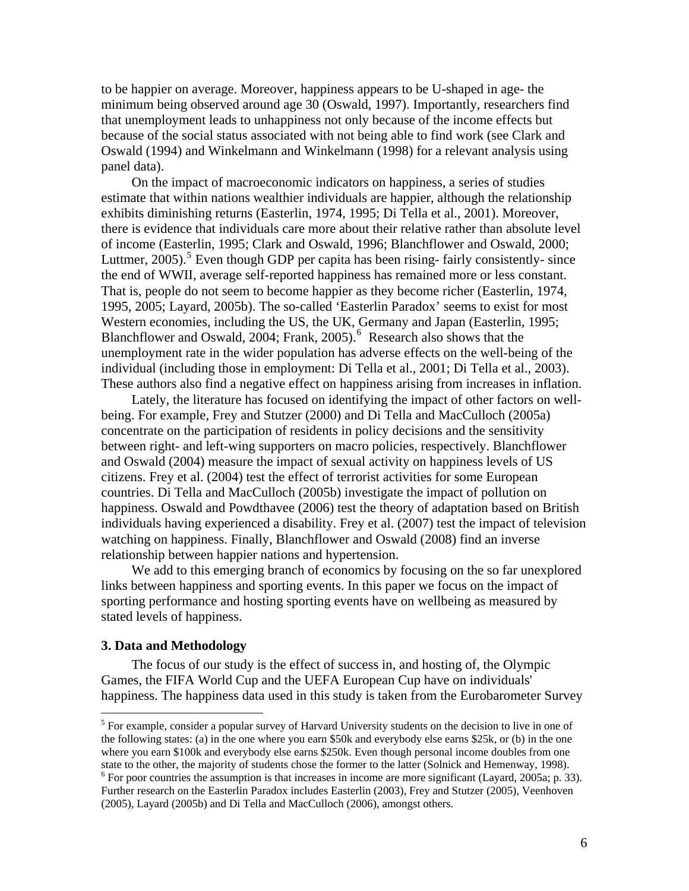to be happier on average. Moreover, happiness appears to be U-shaped in age- the minimum being observed around age 30 (Oswald, 1997). Importantly, researchers find that unemployment leads to unhappiness not only because of the income effects but because of the social status associated with not being able to find work (see Clark and Oswald (1994) and Winkelmann and Winkelmann (1998) for a relevant analysis using panel data).

On the impact of macroeconomic indicators on happiness, a series of studies estimate that within nations wealthier individuals are happier, although the relationship exhibits diminishing returns (Easterlin, 1974, 1995; Di Tella et al., 2001). Moreover, there is evidence that individuals care more about their relative rather than absolute level of income (Easterlin, 1995; Clark and Oswald, 1996; Blanchflower and Oswald, 2000; Luttmer,  $2005$  $2005$ ).<sup>5</sup> Even though GDP per capita has been rising-fairly consistently-since the end of WWII, average self-reported happiness has remained more or less constant. That is, people do not seem to become happier as they become richer (Easterlin, 1974, 1995, 2005; Layard, 2005b). The so-called 'Easterlin Paradox' seems to exist for most Western economies, including the US, the UK, Germany and Japan (Easterlin, 1995; Blanchflower and Oswald, 2004; Frank, 2005). $<sup>6</sup>$  $<sup>6</sup>$  $<sup>6</sup>$  Research also shows that the</sup> unemployment rate in the wider population has adverse effects on the well-being of the individual (including those in employment: Di Tella et al., 2001; Di Tella et al., 2003). These authors also find a negative effect on happiness arising from increases in inflation.

Lately, the literature has focused on identifying the impact of other factors on wellbeing. For example, Frey and Stutzer (2000) and Di Tella and MacCulloch (2005a) concentrate on the participation of residents in policy decisions and the sensitivity between right- and left-wing supporters on macro policies, respectively. Blanchflower and Oswald (2004) measure the impact of sexual activity on happiness levels of US citizens. Frey et al. (2004) test the effect of terrorist activities for some European countries. Di Tella and MacCulloch (2005b) investigate the impact of pollution on happiness. Oswald and Powdthavee (2006) test the theory of adaptation based on British individuals having experienced a disability. Frey et al. (2007) test the impact of television watching on happiness. Finally, Blanchflower and Oswald (2008) find an inverse relationship between happier nations and hypertension.

We add to this emerging branch of economics by focusing on the so far unexplored links between happiness and sporting events. In this paper we focus on the impact of sporting performance and hosting sporting events have on wellbeing as measured by stated levels of happiness.

## **3. Data and Methodology**

 $\overline{a}$ 

The focus of our study is the effect of success in, and hosting of, the Olympic Games, the FIFA World Cup and the UEFA European Cup have on individuals' happiness. The happiness data used in this study is taken from the Eurobarometer Survey

<span id="page-5-0"></span> $<sup>5</sup>$  For example, consider a popular survey of Harvard University students on the decision to live in one of</sup> the following states: (a) in the one where you earn \$50k and everybody else earns \$25k, or (b) in the one where you earn \$100k and everybody else earns \$250k. Even though personal income doubles from one state to the other, the majority of students chose the former to the latter (Solnick and Hemenway, 1998). <sup>6</sup> For poor countries the assumption is that increases in income are more significant (Layard, 2005a; p. 33).

<span id="page-5-1"></span>Further research on the Easterlin Paradox includes Easterlin (2003), Frey and Stutzer (2005), Veenhoven (2005), Layard (2005b) and Di Tella and MacCulloch (2006), amongst others.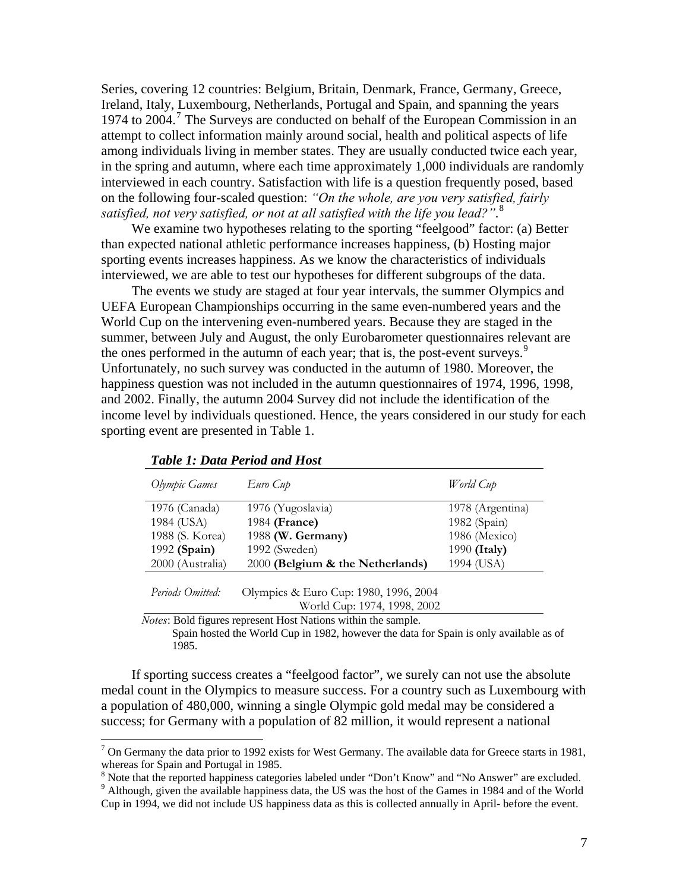Series, covering 12 countries: Belgium, Britain, Denmark, France, Germany, Greece, Ireland, Italy, Luxembourg, Netherlands, Portugal and Spain, and spanning the years 19[7](#page-6-0)4 to 2004.<sup>7</sup> The Surveys are conducted on behalf of the European Commission in an attempt to collect information mainly around social, health and political aspects of life among individuals living in member states. They are usually conducted twice each year, in the spring and autumn, where each time approximately 1,000 individuals are randomly interviewed in each country. Satisfaction with life is a question frequently posed, based on the following four-scaled question: *"On the whole, are you very satisfied, fairly satisfied, not very satisfied, or not at all satisfied with the life you lead?"*. [8](#page-6-1)

We examine two hypotheses relating to the sporting "feelgood" factor: (a) Better than expected national athletic performance increases happiness, (b) Hosting major sporting events increases happiness. As we know the characteristics of individuals interviewed, we are able to test our hypotheses for different subgroups of the data.

The events we study are staged at four year intervals, the summer Olympics and UEFA European Championships occurring in the same even-numbered years and the World Cup on the intervening even-numbered years. Because they are staged in the summer, between July and August, the only Eurobarometer questionnaires relevant are the ones performed in the autumn of each year; that is, the post-event surveys.<sup>[9](#page-6-2)</sup> Unfortunately, no such survey was conducted in the autumn of 1980. Moreover, the happiness question was not included in the autumn questionnaires of 1974, 1996, 1998, and 2002. Finally, the autumn 2004 Survey did not include the identification of the income level by individuals questioned. Hence, the years considered in our study for each sporting event are presented in Table 1.

| Olympic Games    | Euro Cup                         | World Cup        |
|------------------|----------------------------------|------------------|
| 1976 (Canada)    | 1976 (Yugoslavia)                | 1978 (Argentina) |
| 1984 (USA)       | 1984 (France)                    | 1982 (Spain)     |
| 1988 (S. Korea)  | 1988 (W. Germany)                | 1986 (Mexico)    |
| 1992 (Spain)     | 1992 (Sweden)                    | 1990 (Italy)     |
| 2000 (Australia) | 2000 (Belgium & the Netherlands) | 1994 (USA)       |
|                  |                                  |                  |

|  |  |  | <b>Table 1: Data Period and Host</b> |  |  |  |  |  |
|--|--|--|--------------------------------------|--|--|--|--|--|
|--|--|--|--------------------------------------|--|--|--|--|--|

 $\overline{a}$ 

*Periods Omitted:* Olympics & Euro Cup: 1980, 1996, 2004 World Cup: 1974, 1998, 2002

*Notes*: Bold figures represent Host Nations within the sample.

Spain hosted the World Cup in 1982, however the data for Spain is only available as of 1985.

If sporting success creates a "feelgood factor", we surely can not use the absolute medal count in the Olympics to measure success. For a country such as Luxembourg with a population of 480,000, winning a single Olympic gold medal may be considered a success; for Germany with a population of 82 million, it would represent a national

<span id="page-6-0"></span><sup>&</sup>lt;sup>7</sup> On Germany the data prior to 1992 exists for West Germany. The available data for Greece starts in 1981, whereas for Spain and Portugal in 1985.

<span id="page-6-1"></span> $\frac{8}{2}$  Note that the reported happiness categories labeled under "Don't Know" and "No Answer" are excluded.

<span id="page-6-2"></span><sup>&</sup>lt;sup>9</sup> Although, given the available happiness data, the US was the host of the Games in 1984 and of the World Cup in 1994, we did not include US happiness data as this is collected annually in April- before the event.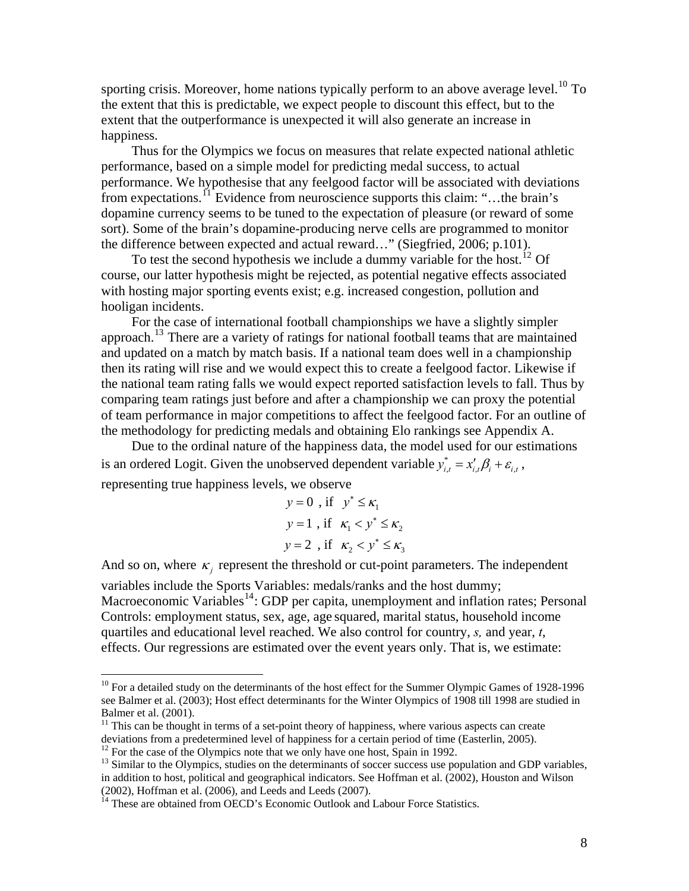sporting crisis. Moreover, home nations typically perform to an above average level.<sup>[10](#page-7-0)</sup> To the extent that this is predictable, we expect people to discount this effect, but to the extent that the outperformance is unexpected it will also generate an increase in happiness.

Thus for the Olympics we focus on measures that relate expected national athletic performance, based on a simple model for predicting medal success, to actual performance. We hypothesise that any feelgood factor will be associated with deviations from expectations.[11](#page-7-1) Evidence from neuroscience supports this claim: "…the brain's dopamine currency seems to be tuned to the expectation of pleasure (or reward of some sort). Some of the brain's dopamine-producing nerve cells are programmed to monitor the difference between expected and actual reward…" (Siegfried, 2006; p.101).

To test the second hypothesis we include a dummy variable for the host.<sup>[12](#page-7-2)</sup> Of course, our latter hypothesis might be rejected, as potential negative effects associated with hosting major sporting events exist; e.g. increased congestion, pollution and hooligan incidents.

For the case of international football championships we have a slightly simpler approach.<sup>[13](#page-7-3)</sup> There are a variety of ratings for national football teams that are maintained and updated on a match by match basis. If a national team does well in a championship then its rating will rise and we would expect this to create a feelgood factor. Likewise if the national team rating falls we would expect reported satisfaction levels to fall. Thus by comparing team ratings just before and after a championship we can proxy the potential of team performance in major competitions to affect the feelgood factor. For an outline of the methodology for predicting medals and obtaining Elo rankings see Appendix A.

Due to the ordinal nature of the happiness data, the model used for our estimations is an ordered Logit. Given the unobserved dependent variable  $y_{i,t}^* = x_{i,t}' \beta_i + \varepsilon_{i,t}$ , representing true happiness levels, we observe

$$
y = 0, \text{ if } y^* \le \kappa_1
$$
  

$$
y = 1, \text{ if } \kappa_1 < y^* \le \kappa_2
$$
  

$$
y = 2, \text{ if } \kappa_2 < y^* \le \kappa_3
$$

And so on, where  $\kappa_j$  represent the threshold or cut-point parameters. The independent variables include the Sports Variables: medals/ranks and the host dummy; Macroeconomic Variables<sup>[14](#page-7-4)</sup>: GDP per capita, unemployment and inflation rates; Personal Controls: employment status, sex, age, age squared, marital status, household income quartiles and educational level reached. We also control for country, *s,* and year, *t*, effects. Our regressions are estimated over the event years only. That is, we estimate:

<span id="page-7-0"></span><sup>&</sup>lt;sup>10</sup> For a detailed study on the determinants of the host effect for the Summer Olympic Games of 1928-1996 see Balmer et al. (2003); Host effect determinants for the Winter Olympics of 1908 till 1998 are studied in Balmer et al. (2001).

<span id="page-7-1"></span> $11$  This can be thought in terms of a set-point theory of happiness, where various aspects can create deviations from a predetermined level of happiness for a certain period of time (Easterlin, 2005).

<span id="page-7-2"></span> $12$  For the case of the Olympics note that we only have one host, Spain in 1992.

<span id="page-7-3"></span><sup>&</sup>lt;sup>13</sup> Similar to the Olympics, studies on the determinants of soccer success use population and GDP variables, in addition to host, political and geographical indicators. See Hoffman et al. (2002), Houston and Wilson (2002), Hoffman et al. (2006), and Leeds and Leeds (2007). 14 These are obtained from OECD's Economic Outlook and Labour Force Statistics.

<span id="page-7-4"></span>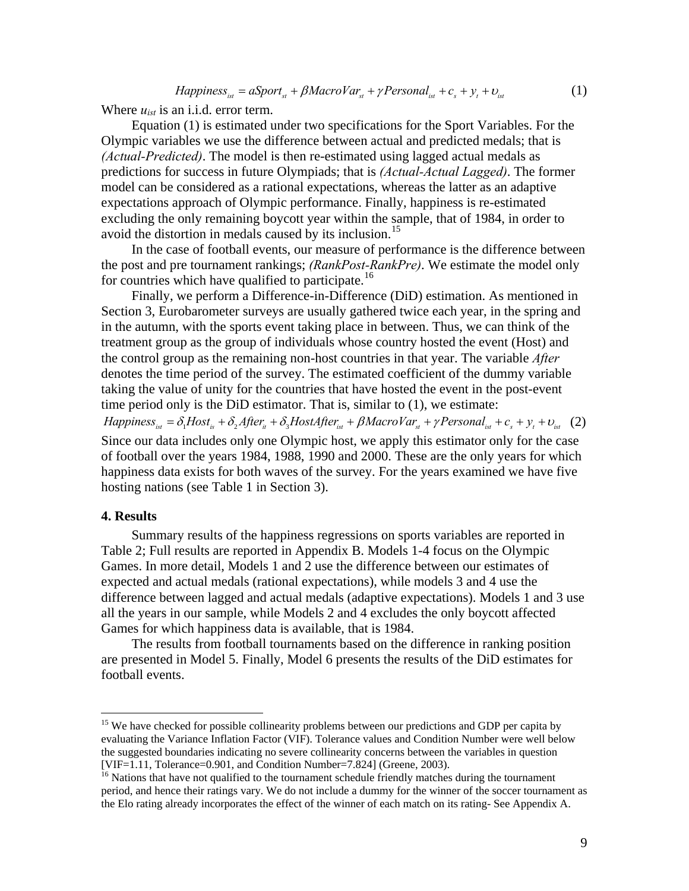*Happings<sub>ist</sub>* = 
$$
a\text{Sport}_{st} + \beta \text{Maccolar}_{st} + \gamma \text{Personal}_{ist} + c_s + y_t + v_{\text{ist}}
$$
 (1)

Where *uist* is an i.i.d. error term.

Equation (1) is estimated under two specifications for the Sport Variables. For the Olympic variables we use the difference between actual and predicted medals; that is *(Actual-Predicted)*. The model is then re-estimated using lagged actual medals as predictions for success in future Olympiads; that is *(Actual-Actual Lagged)*. The former model can be considered as a rational expectations, whereas the latter as an adaptive expectations approach of Olympic performance. Finally, happiness is re-estimated excluding the only remaining boycott year within the sample, that of 1984, in order to avoid the distortion in medals caused by its inclusion.<sup>[15](#page-8-0)</sup>

In the case of football events, our measure of performance is the difference between the post and pre tournament rankings; *(RankPost-RankPre)*. We estimate the model only for countries which have qualified to participate.<sup>[16](#page-8-1)</sup>

Finally, we perform a Difference-in-Difference (DiD) estimation. As mentioned in Section 3, Eurobarometer surveys are usually gathered twice each year, in the spring and in the autumn, with the sports event taking place in between. Thus, we can think of the treatment group as the group of individuals whose country hosted the event (Host) and the control group as the remaining non-host countries in that year. The variable *After*  denotes the time period of the survey. The estimated coefficient of the dummy variable taking the value of unity for the countries that have hosted the event in the post-event time period only is the DiD estimator. That is, similar to (1), we estimate:

 $Happiness_{\text{ist}} = \delta_1 Host_{\text{is}} + \delta_2 After_{\text{it}} + \delta_3 HostAfter_{\text{ist}} + \beta MarcroVar_{\text{st}} + \gamma Personal_{\text{ist}} + c_s + y_t + v_{\text{ist}}$  (2)

Since our data includes only one Olympic host, we apply this estimator only for the case of football over the years 1984, 1988, 1990 and 2000. These are the only years for which happiness data exists for both waves of the survey. For the years examined we have five hosting nations (see Table 1 in Section 3).

#### **4. Results**

<u>.</u>

Summary results of the happiness regressions on sports variables are reported in Table 2; Full results are reported in Appendix B. Models 1-4 focus on the Olympic Games. In more detail, Models 1 and 2 use the difference between our estimates of expected and actual medals (rational expectations), while models 3 and 4 use the difference between lagged and actual medals (adaptive expectations). Models 1 and 3 use all the years in our sample, while Models 2 and 4 excludes the only boycott affected Games for which happiness data is available, that is 1984.

The results from football tournaments based on the difference in ranking position are presented in Model 5. Finally, Model 6 presents the results of the DiD estimates for football events.

<span id="page-8-0"></span><sup>&</sup>lt;sup>15</sup> We have checked for possible collinearity problems between our predictions and GDP per capita by evaluating the Variance Inflation Factor (VIF). Tolerance values and Condition Number were well below the suggested boundaries indicating no severe collinearity concerns between the variables in question [VIF=1.11, Tolerance=0.901, and Condition Number=7.824] (Greene, 2003).<br><sup>16</sup> Nations that have not qualified to the tournament schedule friendly matches during the tournament

<span id="page-8-1"></span>period, and hence their ratings vary. We do not include a dummy for the winner of the soccer tournament as the Elo rating already incorporates the effect of the winner of each match on its rating- See Appendix A.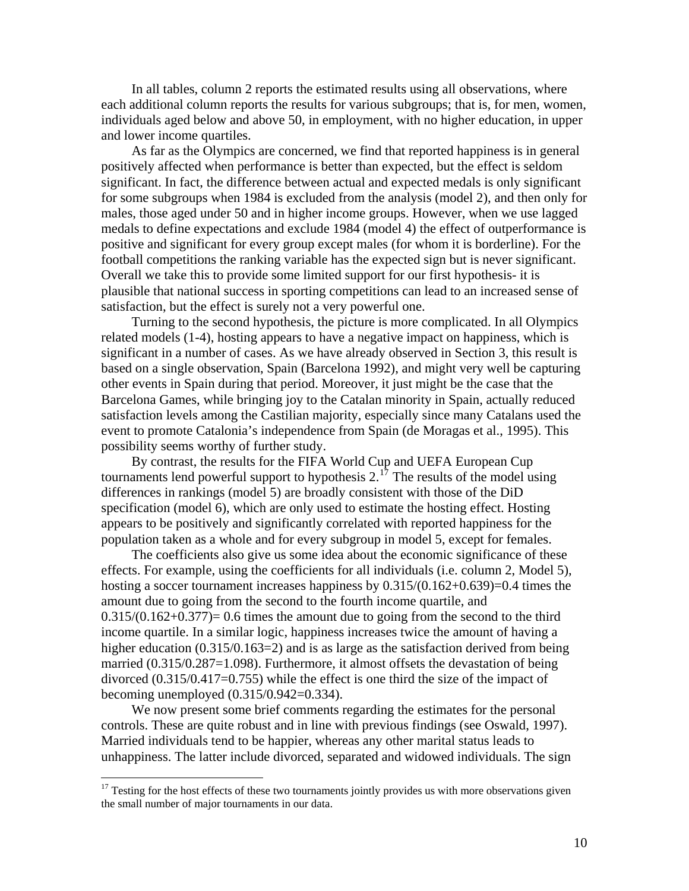In all tables, column 2 reports the estimated results using all observations, where each additional column reports the results for various subgroups; that is, for men, women, individuals aged below and above 50, in employment, with no higher education, in upper and lower income quartiles.

As far as the Olympics are concerned, we find that reported happiness is in general positively affected when performance is better than expected, but the effect is seldom significant. In fact, the difference between actual and expected medals is only significant for some subgroups when 1984 is excluded from the analysis (model 2), and then only for males, those aged under 50 and in higher income groups. However, when we use lagged medals to define expectations and exclude 1984 (model 4) the effect of outperformance is positive and significant for every group except males (for whom it is borderline). For the football competitions the ranking variable has the expected sign but is never significant. Overall we take this to provide some limited support for our first hypothesis- it is plausible that national success in sporting competitions can lead to an increased sense of satisfaction, but the effect is surely not a very powerful one.

Turning to the second hypothesis, the picture is more complicated. In all Olympics related models (1-4), hosting appears to have a negative impact on happiness, which is significant in a number of cases. As we have already observed in Section 3, this result is based on a single observation, Spain (Barcelona 1992), and might very well be capturing other events in Spain during that period. Moreover, it just might be the case that the Barcelona Games, while bringing joy to the Catalan minority in Spain, actually reduced satisfaction levels among the Castilian majority, especially since many Catalans used the event to promote Catalonia's independence from Spain (de Moragas et al., 1995). This possibility seems worthy of further study.

By contrast, the results for the FIFA World Cup and UEFA European Cup tournaments lend powerful support to hypothesis  $2<sup>17</sup>$  $2<sup>17</sup>$  $2<sup>17</sup>$ . The results of the model using differences in rankings (model 5) are broadly consistent with those of the DiD specification (model 6), which are only used to estimate the hosting effect. Hosting appears to be positively and significantly correlated with reported happiness for the population taken as a whole and for every subgroup in model 5, except for females.

The coefficients also give us some idea about the economic significance of these effects. For example, using the coefficients for all individuals (i.e. column 2, Model 5), hosting a soccer tournament increases happiness by  $0.315/(0.162+0.639)=0.4$  times the amount due to going from the second to the fourth income quartile, and  $0.315/(0.162+0.377)=0.6$  times the amount due to going from the second to the third income quartile. In a similar logic, happiness increases twice the amount of having a higher education (0.315/0.163=2) and is as large as the satisfaction derived from being married (0.315/0.287=1.098). Furthermore, it almost offsets the devastation of being divorced (0.315/0.417=0.755) while the effect is one third the size of the impact of becoming unemployed (0.315/0.942=0.334).

We now present some brief comments regarding the estimates for the personal controls. These are quite robust and in line with previous findings (see Oswald, 1997). Married individuals tend to be happier, whereas any other marital status leads to unhappiness. The latter include divorced, separated and widowed individuals. The sign

<span id="page-9-0"></span> $17$  Testing for the host effects of these two tournaments jointly provides us with more observations given the small number of major tournaments in our data.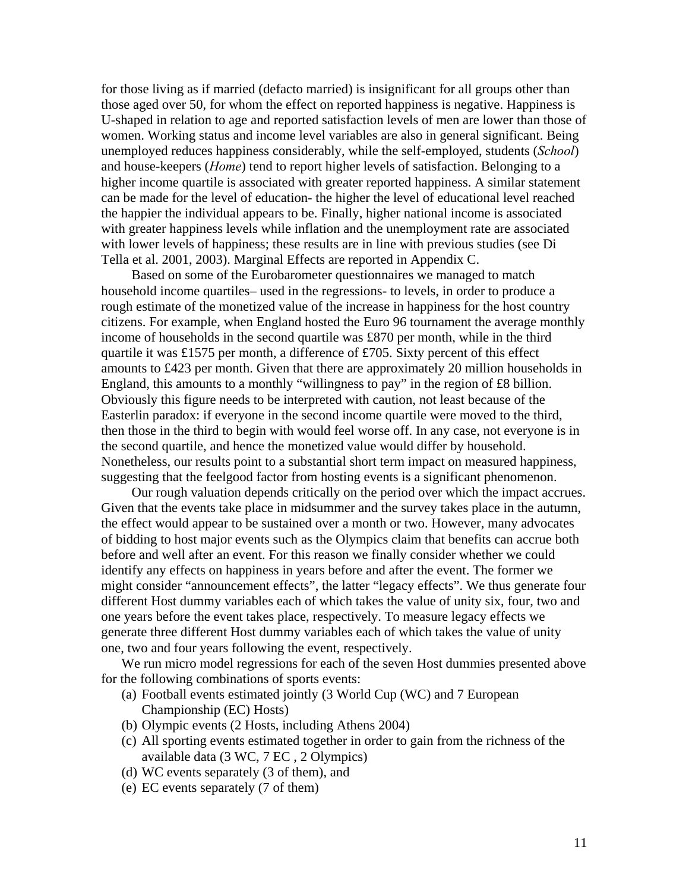for those living as if married (defacto married) is insignificant for all groups other than those aged over 50, for whom the effect on reported happiness is negative. Happiness is U-shaped in relation to age and reported satisfaction levels of men are lower than those of women. Working status and income level variables are also in general significant. Being unemployed reduces happiness considerably, while the self-employed, students (*School*) and house-keepers (*Home*) tend to report higher levels of satisfaction. Belonging to a higher income quartile is associated with greater reported happiness. A similar statement can be made for the level of education- the higher the level of educational level reached the happier the individual appears to be. Finally, higher national income is associated with greater happiness levels while inflation and the unemployment rate are associated with lower levels of happiness; these results are in line with previous studies (see Di Tella et al. 2001, 2003). Marginal Effects are reported in Appendix C.

Based on some of the Eurobarometer questionnaires we managed to match household income quartiles– used in the regressions- to levels, in order to produce a rough estimate of the monetized value of the increase in happiness for the host country citizens. For example, when England hosted the Euro 96 tournament the average monthly income of households in the second quartile was £870 per month, while in the third quartile it was £1575 per month, a difference of £705. Sixty percent of this effect amounts to £423 per month. Given that there are approximately 20 million households in England, this amounts to a monthly "willingness to pay" in the region of £8 billion. Obviously this figure needs to be interpreted with caution, not least because of the Easterlin paradox: if everyone in the second income quartile were moved to the third, then those in the third to begin with would feel worse off. In any case, not everyone is in the second quartile, and hence the monetized value would differ by household. Nonetheless, our results point to a substantial short term impact on measured happiness, suggesting that the feelgood factor from hosting events is a significant phenomenon.

Our rough valuation depends critically on the period over which the impact accrues. Given that the events take place in midsummer and the survey takes place in the autumn, the effect would appear to be sustained over a month or two. However, many advocates of bidding to host major events such as the Olympics claim that benefits can accrue both before and well after an event. For this reason we finally consider whether we could identify any effects on happiness in years before and after the event. The former we might consider "announcement effects", the latter "legacy effects". We thus generate four different Host dummy variables each of which takes the value of unity six, four, two and one years before the event takes place, respectively. To measure legacy effects we generate three different Host dummy variables each of which takes the value of unity one, two and four years following the event, respectively.

We run micro model regressions for each of the seven Host dummies presented above for the following combinations of sports events:

- (a) Football events estimated jointly (3 World Cup (WC) and 7 European Championship (EC) Hosts)
- (b) Olympic events (2 Hosts, including Athens 2004)
- (c) All sporting events estimated together in order to gain from the richness of the available data (3 WC, 7 EC , 2 Olympics)
- (d) WC events separately (3 of them), and
- (e) EC events separately (7 of them)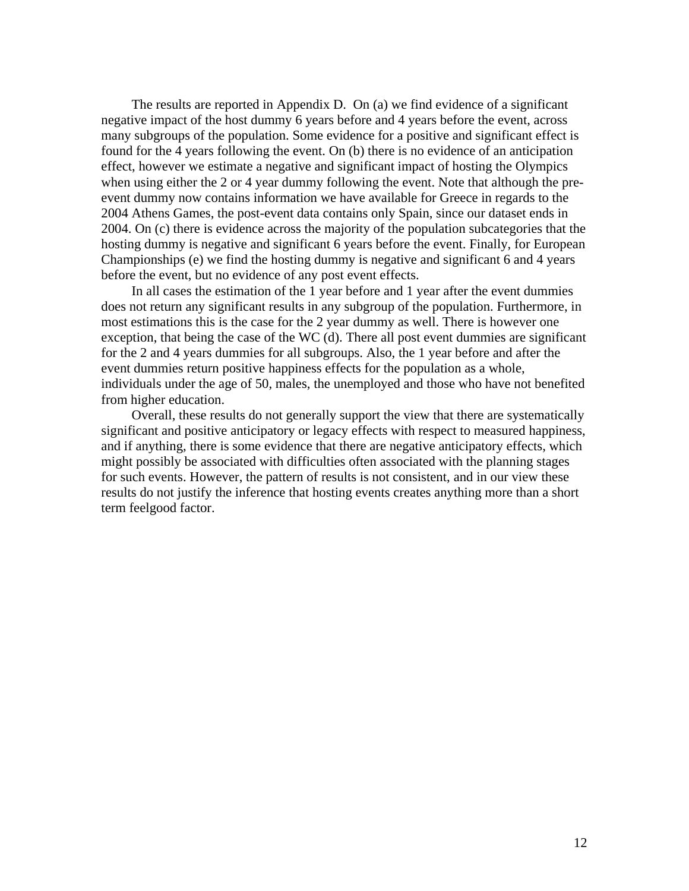The results are reported in Appendix D. On (a) we find evidence of a significant negative impact of the host dummy 6 years before and 4 years before the event, across many subgroups of the population. Some evidence for a positive and significant effect is found for the 4 years following the event. On (b) there is no evidence of an anticipation effect, however we estimate a negative and significant impact of hosting the Olympics when using either the 2 or 4 year dummy following the event. Note that although the preevent dummy now contains information we have available for Greece in regards to the 2004 Athens Games, the post-event data contains only Spain, since our dataset ends in 2004. On (c) there is evidence across the majority of the population subcategories that the hosting dummy is negative and significant 6 years before the event. Finally, for European Championships (e) we find the hosting dummy is negative and significant 6 and 4 years before the event, but no evidence of any post event effects.

In all cases the estimation of the 1 year before and 1 year after the event dummies does not return any significant results in any subgroup of the population. Furthermore, in most estimations this is the case for the 2 year dummy as well. There is however one exception, that being the case of the WC (d). There all post event dummies are significant for the 2 and 4 years dummies for all subgroups. Also, the 1 year before and after the event dummies return positive happiness effects for the population as a whole, individuals under the age of 50, males, the unemployed and those who have not benefited from higher education.

Overall, these results do not generally support the view that there are systematically significant and positive anticipatory or legacy effects with respect to measured happiness, and if anything, there is some evidence that there are negative anticipatory effects, which might possibly be associated with difficulties often associated with the planning stages for such events. However, the pattern of results is not consistent, and in our view these results do not justify the inference that hosting events creates anything more than a short term feelgood factor.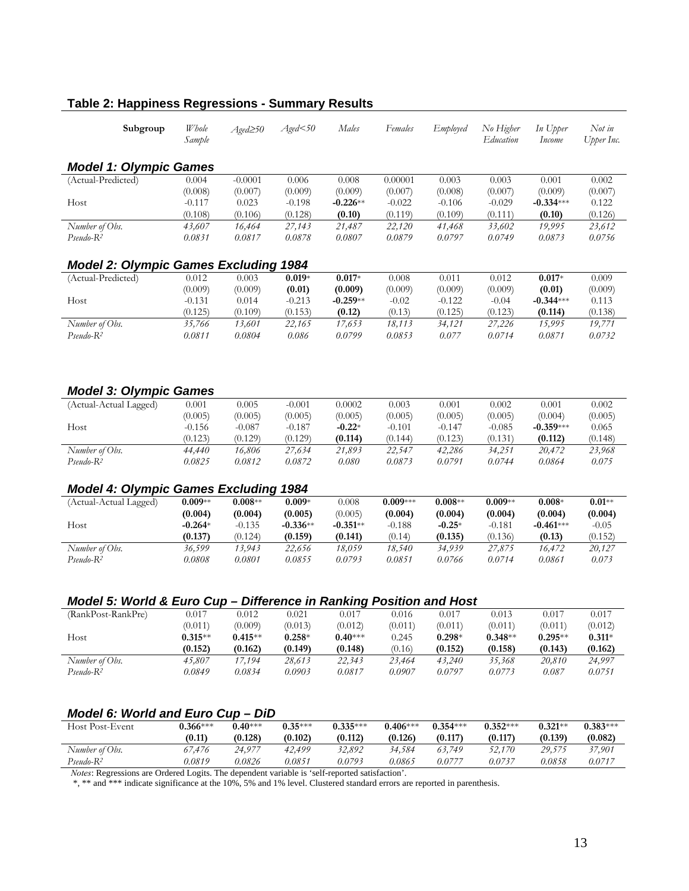| Subgroup                                                            | $W$ bole<br>Sample                              | $A$ ged $\geq 50$ | $A$ ged<50 | Males      | Females    | Employed  | No Higher<br>Education | In Upper<br>Income | Not in<br>Upper Inc. |  |  |  |
|---------------------------------------------------------------------|-------------------------------------------------|-------------------|------------|------------|------------|-----------|------------------------|--------------------|----------------------|--|--|--|
| <b>Model 1: Olympic Games</b>                                       |                                                 |                   |            |            |            |           |                        |                    |                      |  |  |  |
| (Actual-Predicted)                                                  | 0.004                                           | $-0.0001$         | 0.006      | 0.008      | 0.00001    | 0.003     | 0.003                  | 0.001              | 0.002                |  |  |  |
|                                                                     | (0.008)                                         | (0.007)           | (0.009)    | (0.009)    | (0.007)    | (0.008)   | (0.007)                | (0.009)            | (0.007)              |  |  |  |
| Host                                                                | $-0.117$                                        | 0.023             | $-0.198$   | $-0.226**$ | $-0.022$   | $-0.106$  | $-0.029$               | $-0.334***$        | 0.122                |  |  |  |
|                                                                     | (0.108)                                         | (0.106)           | (0.128)    | (0.10)     | (0.119)    | (0.109)   | (0.111)                | (0.10)             | (0.126)              |  |  |  |
| Number of Obs.                                                      | 43,607                                          | 16,464            | 27,143     | 21,487     | 22,120     | 41,468    | 33,602                 | 19,995             | 23,612               |  |  |  |
| $Pseudo-R2$                                                         | 0.0831                                          | 0.0817            | 0.0878     | 0.0807     | 0.0879     | 0.0797    | 0.0749                 | 0.0873             | 0.0756               |  |  |  |
|                                                                     | 1984<br><b>Model 2: Olympic Games Excluding</b> |                   |            |            |            |           |                        |                    |                      |  |  |  |
| (Actual-Predicted)                                                  | 0.012                                           | 0.003             | $0.019*$   | $0.017*$   | 0.008      | 0.011     | 0.012                  | $0.017*$           | 0.009                |  |  |  |
|                                                                     | (0.009)                                         | (0.009)           | (0.01)     | (0.009)    | (0.009)    | (0.009)   | (0.009)                | (0.01)             | (0.009)              |  |  |  |
| Host                                                                | $-0.131$                                        | 0.014             | $-0.213$   | $-0.259**$ | $-0.02$    | $-0.122$  | $-0.04$                | $-0.344***$        | 0.113                |  |  |  |
|                                                                     | (0.125)                                         | (0.109)           | (0.153)    | (0.12)     | (0.13)     | (0.125)   | (0.123)                | (0.114)            | (0.138)              |  |  |  |
| Number of Obs.                                                      | 35,766                                          | 13,601            | 22,165     | 17,653     | 18,113     | 34,121    | 27,226                 | 15,995             | 19,771               |  |  |  |
| Pseudo-R <sup>2</sup>                                               | 0.0811                                          | 0.0804            | 0.086      | 0.0799     | 0.0853     | 0.077     | 0.0714                 | 0.0871             | 0.0732               |  |  |  |
| <b>Model 3: Olympic Games</b><br>(Actual-Actual Lagged)             | 0.001                                           | 0.005             | $-0.001$   | 0.0002     | 0.003      | 0.001     | 0.002                  | 0.001              | 0.002                |  |  |  |
|                                                                     | (0.005)                                         | (0.005)           | (0.005)    | (0.005)    | (0.005)    | (0.005)   | (0.005)                | (0.004)            | (0.005)              |  |  |  |
| Host                                                                | $-0.156$                                        | $-0.087$          | $-0.187$   | $-0.22*$   | $-0.101$   | $-0.147$  | $-0.085$               | $-0.359***$        | 0.065                |  |  |  |
|                                                                     | (0.123)                                         | (0.129)           | (0.129)    | (0.114)    | (0.144)    | (0.123)   | (0.131)                | (0.112)            | (0.148)              |  |  |  |
| Number of Obs.                                                      | 44,440                                          | 16,806            | 27,634     | 21,893     | 22,547     | 42,286    | 34,251                 | 20,472             | 23,968               |  |  |  |
| $Pseudo-R2$                                                         | 0.0825                                          | 0.0812            | 0.0872     | 0.080      | 0.0873     | 0.0791    | 0.0744                 | 0.0864             | 0.075                |  |  |  |
| <b>Model 4: Olympic Games Excluding</b>                             |                                                 |                   | 1984       |            |            |           |                        |                    |                      |  |  |  |
| (Actual-Actual Lagged)                                              | $0.009**$                                       | $0.008**$         | $0.009*$   | 0.008      | $0.009***$ | $0.008**$ | $0.009**$              | $0.008\ast$        | $0.01**$             |  |  |  |
|                                                                     | (0.004)                                         | (0.004)           | (0.005)    | (0.005)    | (0.004)    | (0.004)   | (0.004)                | (0.004)            | (0.004)              |  |  |  |
| Host                                                                | $-0.264*$                                       | $-0.135$          | $-0.336**$ | $-0.351**$ | $-0.188$   | $-0.25*$  | $-0.181$               | $-0.461***$        | $-0.05$              |  |  |  |
|                                                                     | (0.137)                                         | (0.124)           | (0.159)    | (0.141)    | (0.14)     | (0.135)   | (0.136)                | (0.13)             | (0.152)              |  |  |  |
| Number of Obs.                                                      | 36,599                                          | 13,943            | 22,656     | 18,059     | 18,540     | 34,939    | 27,875                 | 16,472             | 20,127               |  |  |  |
| Pseudo-R <sup>2</sup>                                               | 0.0808                                          | 0.0801            | 0.0855     | 0.0793     | 0.0851     | 0.0766    | 0.0714                 | 0.0861             | 0.073                |  |  |  |
|                                                                     |                                                 |                   |            |            |            |           |                        |                    |                      |  |  |  |
|                                                                     |                                                 |                   |            |            |            |           |                        |                    |                      |  |  |  |
| Model 5: World & Euro Cup - Difference in Ranking Position and Host |                                                 |                   |            |            |            |           |                        |                    |                      |  |  |  |

# **Table 2: Happiness Regressions - Summary Results**

| <u>MOUT, Trong &amp; Luiv Cup – Dintronce in Ranking Foshion and Host</u> |           |           |          |           |         |          |           |           |          |
|---------------------------------------------------------------------------|-----------|-----------|----------|-----------|---------|----------|-----------|-----------|----------|
| (RankPost-RankPre)                                                        | 0.017     | 0.012     | 0.021    | 0.017     | 0.016   | 0.017    | 0.013     | 0.017     | 0.017    |
|                                                                           | (0.011)   | (0.009)   | (0.013)  | (0.012)   | (0.011) | (0.011)  | (0.011)   | (0.011)   | (0.012)  |
| Host                                                                      | $0.315**$ | $0.415**$ | $0.258*$ | $0.40***$ | 0.245   | $0.298*$ | $0.348**$ | $0.295**$ | $0.311*$ |
|                                                                           | (0.152)   | (0.162)   | (0.149)  | (0.148)   | (0.16)  | (0.152)  | (0.158)   | (0.143)   | (0.162)  |
| Number of Obs.                                                            | 45,807    | 17.194    | 28.613   | 22.343    | 23.464  | 43.240   | 35.368    | 20.810    | 24,997   |
| Pseudo-R <sup>2</sup>                                                     | 0.0849    | 0.0834    | 0.0903   | 0.0817    | 0.0907  | 0.0797   | 0.0773    | 0.087     | 0.0751   |

# *Model 6: World and Euro Cup – DiD*

| <b>Host Post-Event</b> | $0.366***$<br>(0.11) | $0.40***$<br>(0.128) | $0.35***$<br>(0.102) | $0.335***$<br>(0.112) | $0.406***$<br>(0.126) | $0.354***$<br>(0.117) | $0.352***$<br>(0.117) | $0.321**$<br>(0.139) | $0.383***$<br>(0.082) |
|------------------------|----------------------|----------------------|----------------------|-----------------------|-----------------------|-----------------------|-----------------------|----------------------|-----------------------|
| Number of Obs.         | 67,476               | 24,977               | 42,499               | 32,892                | 34,584                | 63,749                | 52.170                | 29,575               | 37,901                |
| Pseudo-R <sup>2</sup>  | 0.0819               | 0.0826               | 0.0851               | 0.0793                | 0.0865                | 0.0777                | 0.0737                | 0.0858               | 0.0717                |

*Notes*: Regressions are Ordered Logits. The dependent variable is 'self-reported satisfaction'.

\*, \*\* and \*\*\* indicate significance at the 10%, 5% and 1% level. Clustered standard errors are reported in parenthesis.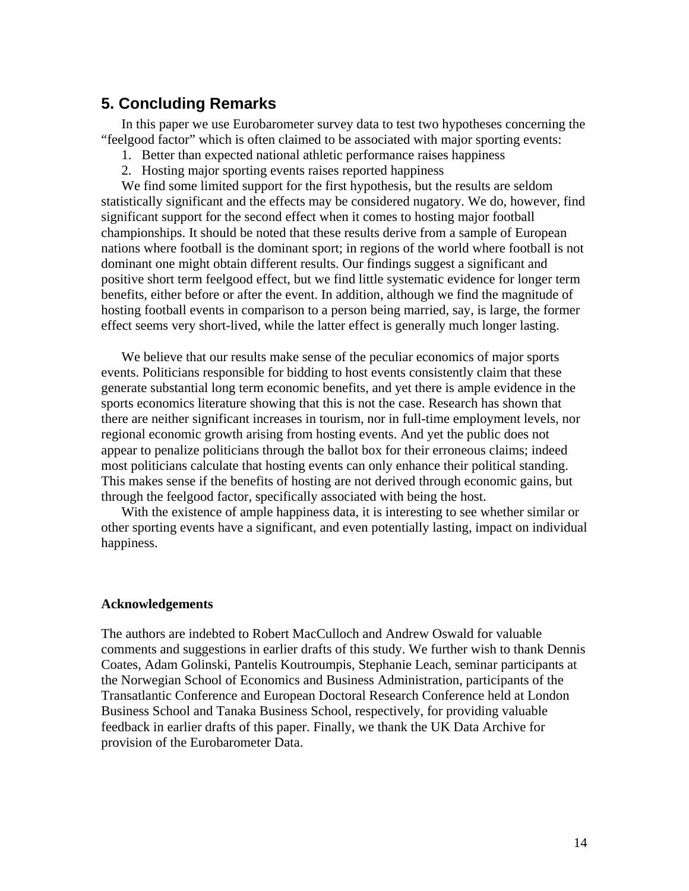# **5. Concluding Remarks**

In this paper we use Eurobarometer survey data to test two hypotheses concerning the "feelgood factor" which is often claimed to be associated with major sporting events:

- 1. Better than expected national athletic performance raises happiness
- 2. Hosting major sporting events raises reported happiness

We find some limited support for the first hypothesis, but the results are seldom statistically significant and the effects may be considered nugatory. We do, however, find significant support for the second effect when it comes to hosting major football championships. It should be noted that these results derive from a sample of European nations where football is the dominant sport; in regions of the world where football is not dominant one might obtain different results. Our findings suggest a significant and positive short term feelgood effect, but we find little systematic evidence for longer term benefits, either before or after the event. In addition, although we find the magnitude of hosting football events in comparison to a person being married, say, is large, the former effect seems very short-lived, while the latter effect is generally much longer lasting.

We believe that our results make sense of the peculiar economics of major sports events. Politicians responsible for bidding to host events consistently claim that these generate substantial long term economic benefits, and yet there is ample evidence in the sports economics literature showing that this is not the case. Research has shown that there are neither significant increases in tourism, nor in full-time employment levels, nor regional economic growth arising from hosting events. And yet the public does not appear to penalize politicians through the ballot box for their erroneous claims; indeed most politicians calculate that hosting events can only enhance their political standing. This makes sense if the benefits of hosting are not derived through economic gains, but through the feelgood factor, specifically associated with being the host.

With the existence of ample happiness data, it is interesting to see whether similar or other sporting events have a significant, and even potentially lasting, impact on individual happiness.

#### **Acknowledgements**

The authors are indebted to Robert MacCulloch and Andrew Oswald for valuable comments and suggestions in earlier drafts of this study. We further wish to thank Dennis Coates, Adam Golinski, Pantelis Koutroumpis, Stephanie Leach, seminar participants at the Norwegian School of Economics and Business Administration, participants of the Transatlantic Conference and European Doctoral Research Conference held at London Business School and Tanaka Business School, respectively, for providing valuable feedback in earlier drafts of this paper. Finally, we thank the UK Data Archive for provision of the Eurobarometer Data.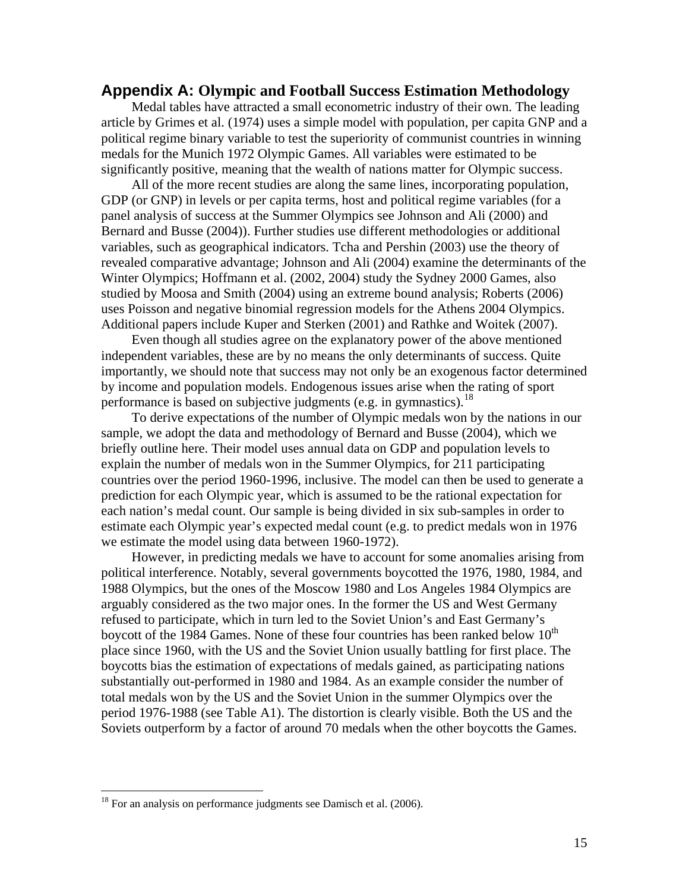# **Appendix A: Olympic and Football Success Estimation Methodology**

Medal tables have attracted a small econometric industry of their own. The leading article by Grimes et al. (1974) uses a simple model with population, per capita GNP and a political regime binary variable to test the superiority of communist countries in winning medals for the Munich 1972 Olympic Games. All variables were estimated to be significantly positive, meaning that the wealth of nations matter for Olympic success.

All of the more recent studies are along the same lines, incorporating population, GDP (or GNP) in levels or per capita terms, host and political regime variables (for a panel analysis of success at the Summer Olympics see Johnson and Ali (2000) and Bernard and Busse (2004)). Further studies use different methodologies or additional variables, such as geographical indicators. Tcha and Pershin (2003) use the theory of revealed comparative advantage; Johnson and Ali (2004) examine the determinants of the Winter Olympics; Hoffmann et al. (2002, 2004) study the Sydney 2000 Games, also studied by Moosa and Smith (2004) using an extreme bound analysis; Roberts (2006) uses Poisson and negative binomial regression models for the Athens 2004 Olympics. Additional papers include Kuper and Sterken (2001) and Rathke and Woitek (2007).

Even though all studies agree on the explanatory power of the above mentioned independent variables, these are by no means the only determinants of success. Quite importantly, we should note that success may not only be an exogenous factor determined by income and population models. Endogenous issues arise when the rating of sport performance is based on subjective judgments (e.g. in gymnastics).<sup>[18](#page-14-0)</sup>

To derive expectations of the number of Olympic medals won by the nations in our sample, we adopt the data and methodology of Bernard and Busse (2004), which we briefly outline here. Their model uses annual data on GDP and population levels to explain the number of medals won in the Summer Olympics, for 211 participating countries over the period 1960-1996, inclusive. The model can then be used to generate a prediction for each Olympic year, which is assumed to be the rational expectation for each nation's medal count. Our sample is being divided in six sub-samples in order to estimate each Olympic year's expected medal count (e.g. to predict medals won in 1976 we estimate the model using data between 1960-1972).

However, in predicting medals we have to account for some anomalies arising from political interference. Notably, several governments boycotted the 1976, 1980, 1984, and 1988 Olympics, but the ones of the Moscow 1980 and Los Angeles 1984 Olympics are arguably considered as the two major ones. In the former the US and West Germany refused to participate, which in turn led to the Soviet Union's and East Germany's boycott of the 1984 Games. None of these four countries has been ranked below  $10^{th}$ place since 1960, with the US and the Soviet Union usually battling for first place. The boycotts bias the estimation of expectations of medals gained, as participating nations substantially out-performed in 1980 and 1984. As an example consider the number of total medals won by the US and the Soviet Union in the summer Olympics over the period 1976-1988 (see Table A1). The distortion is clearly visible. Both the US and the Soviets outperform by a factor of around 70 medals when the other boycotts the Games.

<span id="page-14-0"></span> $18$  For an analysis on performance judgments see Damisch et al. (2006).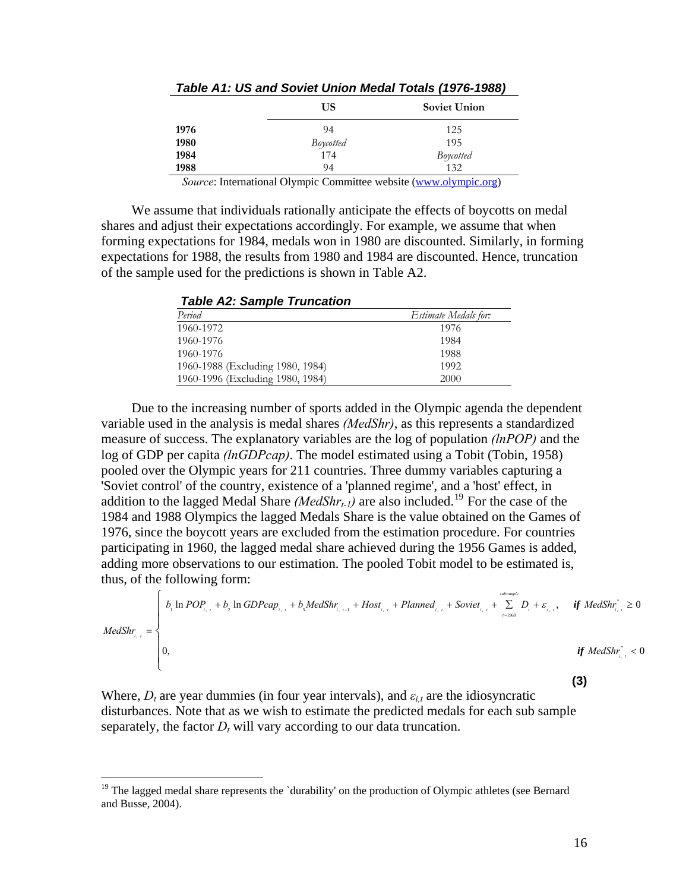|      | US        | <b>Soviet Union</b> |
|------|-----------|---------------------|
| 1976 | 94        | 125                 |
| 1980 | Boycotted | 195                 |
| 1984 | 174       | Boycotted           |
| 1988 | 94        | 132                 |

*Table A1: US and Soviet Union Medal Totals (1976-1988)* 

*Source*: International Olympic Committee website [\(www.olympic.org](http://www.olympic.org/))

We assume that individuals rationally anticipate the effects of boycotts on medal shares and adjust their expectations accordingly. For example, we assume that when forming expectations for 1984, medals won in 1980 are discounted. Similarly, in forming expectations for 1988, the results from 1980 and 1984 are discounted. Hence, truncation of the sample used for the predictions is shown in Table A2.

*Table A2: Sample Truncation*

| <u>. abio , izi Ganipio Trancation</u> |                      |
|----------------------------------------|----------------------|
| Period                                 | Estimate Medals for: |
| 1960-1972                              | 1976                 |
| 1960-1976                              | 1984                 |
| 1960-1976                              | 1988                 |
| 1960-1988 (Excluding 1980, 1984)       | 1992                 |
| 1960-1996 (Excluding 1980, 1984)       | 2000                 |

Due to the increasing number of sports added in the Olympic agenda the dependent variable used in the analysis is medal shares *(MedShr)*, as this represents a standardized measure of success. The explanatory variables are the log of population *(lnPOP)* and the log of GDP per capita *(lnGDPcap)*. The model estimated using a Tobit (Tobin, 1958) pooled over the Olympic years for 211 countries. Three dummy variables capturing a 'Soviet control' of the country, existence of a 'planned regime', and a 'host' effect, in addition to the lagged Medal Share *(MedShr<sub>t-1</sub>)* are also included.<sup>[19](#page-15-0)</sup> For the case of the 1984 and 1988 Olympics the lagged Medals Share is the value obtained on the Games of 1976, since the boycott years are excluded from the estimation procedure. For countries participating in 1960, the lagged medal share achieved during the 1956 Games is added, adding more observations to our estimation. The pooled Tobit model to be estimated is, thus, of the following form:

$$
MedSh_{i_{k,t}} = \begin{cases} b_{i} \ln POP_{i_{k,t}} + b_{i} \ln GDPcap_{i_{k,t}} + b_{i} MedSh_{i_{k,t-1}} + Host_{i_{k,t}} + Planet_{i_{k,t}} + Soviet_{i_{k,t}} + \sum_{i=1960}^{subsample} D_{i} + \varepsilon_{i_{k,t}}, & \text{if} MedSh_{i_{k,t}} \ge 0 \\ 0, & \text{if} MedSh_{i_{k,t}} < 0 \end{cases}
$$

Where,  $D_t$  are year dummies (in four year intervals), and  $\varepsilon_{i,t}$  are the idiosyncratic disturbances. Note that as we wish to estimate the predicted medals for each sub sample separately, the factor  $D_t$  will vary according to our data truncation.

<span id="page-15-0"></span><sup>&</sup>lt;sup>19</sup> The lagged medal share represents the `durability' on the production of Olympic athletes (see Bernard and Busse, 2004).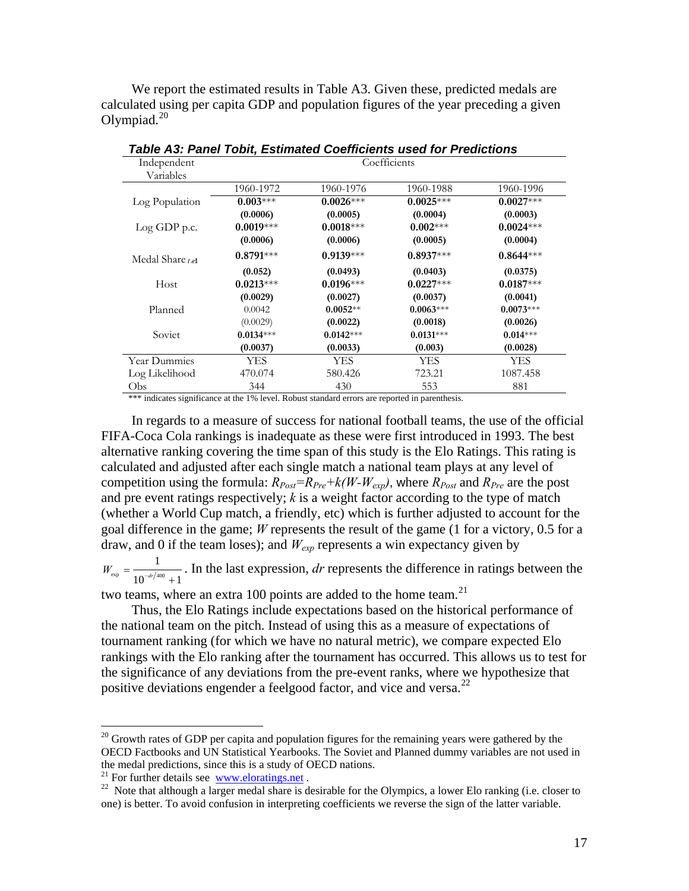We report the estimated results in Table A3. Given these, predicted medals are calculated using per capita GDP and population figures of the year preceding a given Olympiad. $^{20}$  $^{20}$  $^{20}$ 

| Independent           | Coefficients |             |             |             |  |  |  |  |  |  |
|-----------------------|--------------|-------------|-------------|-------------|--|--|--|--|--|--|
| Variables             |              |             |             |             |  |  |  |  |  |  |
|                       | 1960-1972    | 1960-1976   | 1960-1988   | 1960-1996   |  |  |  |  |  |  |
| Log Population        | $0.003***$   | $0.0026***$ | $0.0025***$ | $0.0027***$ |  |  |  |  |  |  |
|                       | (0.0006)     | (0.0005)    | (0.0004)    | (0.0003)    |  |  |  |  |  |  |
| $Log GDP$ p.c.        | $0.0019***$  | $0.0018***$ | $0.002***$  | $0.0024***$ |  |  |  |  |  |  |
|                       | (0.0006)     | (0.0006)    | (0.0005)    | (0.0004)    |  |  |  |  |  |  |
| Medal Share $t \ge 0$ | $0.8791***$  | $0.9139***$ | $0.8937***$ | $0.8644***$ |  |  |  |  |  |  |
|                       | (0.052)      | (0.0493)    | (0.0403)    | (0.0375)    |  |  |  |  |  |  |
| Host                  | $0.0213***$  | $0.0196***$ | $0.0227***$ | $0.0187***$ |  |  |  |  |  |  |
|                       | (0.0029)     | (0.0027)    | (0.0037)    | (0.0041)    |  |  |  |  |  |  |
| Planned               | 0.0042       | $0.0052**$  | $0.0063***$ | $0.0073***$ |  |  |  |  |  |  |
|                       | (0.0029)     | (0.0022)    | (0.0018)    | (0.0026)    |  |  |  |  |  |  |
| Soviet                | $0.0134***$  | $0.0142***$ | $0.0131***$ | $0.014***$  |  |  |  |  |  |  |
|                       | (0.0037)     | (0.0033)    | (0.003)     | (0.0028)    |  |  |  |  |  |  |
| Year Dummies          | YES          | YES         | YES         | YES         |  |  |  |  |  |  |
| Log Likelihood        | 470.074      | 580.426     | 723.21      | 1087.458    |  |  |  |  |  |  |
| Obs                   | 344          | 430         | 553         | 881         |  |  |  |  |  |  |

*Table A3: Panel Tobit, Estimated Coefficients used for Predictions*

\*\*\* indicates significance at the 1% level. Robust standard errors are reported in parenthesis.

In regards to a measure of success for national football teams, the use of the official FIFA-Coca Cola rankings is inadequate as these were first introduced in 1993. The best alternative ranking covering the time span of this study is the Elo Ratings. This rating is calculated and adjusted after each single match a national team plays at any level of competition using the formula:  $R_{Post} = R_{Pre} + k(W-W_{exp})$ , where  $R_{Post}$  and  $R_{Pre}$  are the post and pre event ratings respectively; *k* is a weight factor according to the type of match (whether a World Cup match, a friendly, etc) which is further adjusted to account for the goal difference in the game; *W* represents the result of the game (1 for a victory, 0.5 for a draw, and 0 if the team loses); and  $W_{exp}$  represents a win expectancy given by

 $\exp$   $\frac{1}{4}$   $\frac{1}{2}$   $\frac{dr}{400}$ 1  $W_{\text{exp}} = \frac{1}{10^{-dr/400} + 1}$ . In the last expression, *dr* represents the difference in ratings between the

two teams, where an extra 100 points are added to the home team.<sup>[21](#page-16-1)</sup>

Thus, the Elo Ratings include expectations based on the historical performance of the national team on the pitch. Instead of using this as a measure of expectations of tournament ranking (for which we have no natural metric), we compare expected Elo rankings with the Elo ranking after the tournament has occurred. This allows us to test for the significance of any deviations from the pre-event ranks, where we hypothesize that positive deviations engender a feelgood factor, and vice and versa.<sup>[22](#page-16-2)</sup>

<span id="page-16-0"></span> $20$  Growth rates of GDP per capita and population figures for the remaining years were gathered by the OECD Factbooks and UN Statistical Yearbooks. The Soviet and Planned dummy variables are not used in the medal predictions, since this is a study of OECD nations.<br><sup>21</sup> For further details see  $\frac{www.eloratings.net}{w}$ .

<span id="page-16-1"></span>

<span id="page-16-2"></span><sup>&</sup>lt;sup>22</sup> Note that although a larger medal share is desirable for the Olympics, a lower Elo ranking (i.e. closer to one) is better. To avoid confusion in interpreting coefficients we reverse the sign of the latter variable.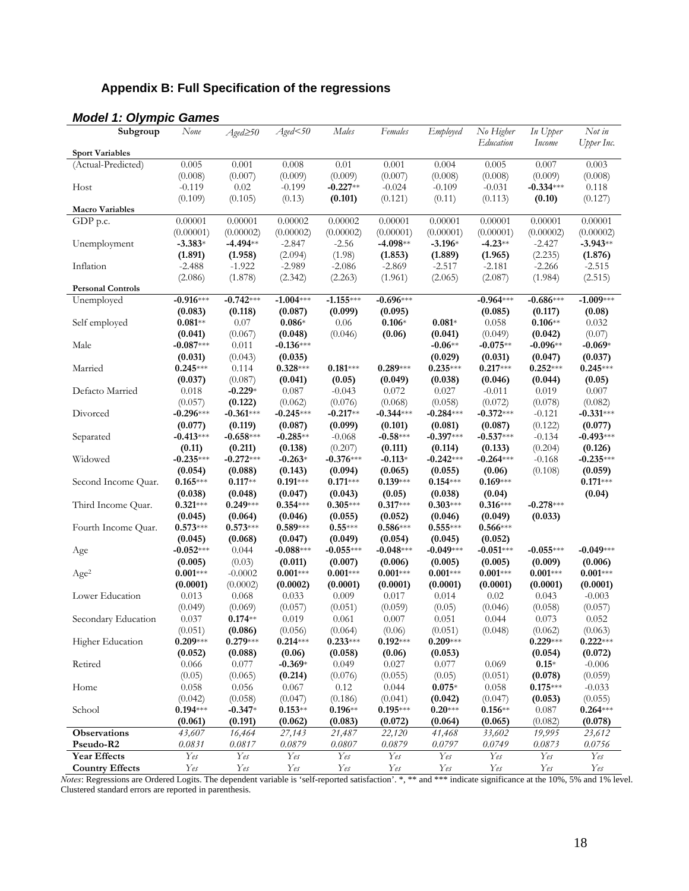| Appendix B: Full Specification of the regressions |  |  |  |
|---------------------------------------------------|--|--|--|
|---------------------------------------------------|--|--|--|

| Subgroup                 | None        | $A$ ged $\geq 50$ | $A$ ged<50  | Males       | Females     | Employed    | No Higher        | In Upper    | Not in      |
|--------------------------|-------------|-------------------|-------------|-------------|-------------|-------------|------------------|-------------|-------------|
|                          |             |                   |             |             |             |             | <i>Education</i> | Income      | Upper Inc.  |
| <b>Sport Variables</b>   |             |                   |             |             |             |             |                  |             |             |
| (Actual-Predicted)       | 0.005       | 0.001             | 0.008       | 0.01        | 0.001       | 0.004       | 0.005            | 0.007       | 0.003       |
|                          | (0.008)     | (0.007)           | (0.009)     | (0.009)     | (0.007)     | (0.008)     | (0.008)          | (0.009)     | (0.008)     |
| Host                     | $-0.119$    | 0.02              | $-0.199$    | $-0.227**$  | $-0.024$    | $-0.109$    | $-0.031$         | $-0.334***$ | 0.118       |
|                          | (0.109)     | (0.105)           | (0.13)      | (0.101)     | (0.121)     | (0.11)      | (0.113)          | (0.10)      | (0.127)     |
| <b>Macro Variables</b>   |             |                   |             |             |             |             |                  |             |             |
| GDP p.c.                 | 0.00001     | 0.00001           | 0.00002     | 0.00002     | 0.00001     | 0.00001     | 0.00001          | 0.00001     | 0.00001     |
|                          | (0.00001)   | (0.00002)         | (0.00002)   | (0.00002)   | (0.00001)   | (0.00001)   | (0.00001)        | (0.00002)   | (0.00002)   |
| Unemployment             | $-3.383*$   | $-4.494**$        | $-2.847$    | $-2.56$     | $-4.098**$  | $-3.196*$   | $-4.23**$        | $-2.427$    | $-3.943**$  |
|                          | (1.891)     | (1.958)           | (2.094)     | (1.98)      | (1.853)     | (1.889)     | (1.965)          | (2.235)     | (1.876)     |
| Inflation                | $-2.488$    | $-1.922$          | $-2.989$    | $-2.086$    | $-2.869$    | $-2.517$    | $-2.181$         | $-2.266$    | $-2.515$    |
|                          | (2.086)     | (1.878)           | (2.342)     | (2.263)     | (1.961)     | (2.065)     | (2.087)          | (1.984)     | (2.515)     |
| <b>Personal Controls</b> |             |                   |             |             |             |             |                  |             |             |
| Unemployed               | $-0.916***$ | $-0.742***$       | $-1.004***$ | $-1.155***$ | $-0.696***$ |             | $-0.964***$      | $-0.686***$ | $-1.009***$ |
|                          | (0.083)     | (0.118)           | (0.087)     | (0.099)     | (0.095)     |             | (0.085)          | (0.117)     | (0.08)      |
| Self employed            | $0.081**$   | 0.07              | $0.086*$    | 0.06        | $0.106*$    | $0.081*$    | 0.058            | $0.106**$   | 0.032       |
|                          | (0.041)     | (0.067)           | (0.048)     | (0.046)     | (0.06)      | (0.041)     | (0.049)          | (0.042)     | (0.07)      |
| Male                     | $-0.087***$ | 0.011             | $-0.136***$ |             |             | $-0.06**$   | $-0.075**$       | $-0.096**$  | $-0.069*$   |
|                          | (0.031)     | (0.043)           | (0.035)     |             |             | (0.029)     | (0.031)          | (0.047)     | (0.037)     |
| Married                  | $0.245***$  | 0.114             | $0.328***$  | $0.181***$  | $0.289***$  | $0.235***$  | $0.217***$       | $0.252***$  | $0.245***$  |
|                          | (0.037)     | (0.087)           | (0.041)     | (0.05)      | (0.049)     | (0.038)     | (0.046)          | (0.044)     | (0.05)      |
| Defacto Married          | 0.018       | $-0.229*$         | 0.087       | $-0.043$    | 0.072       | 0.027       | $-0.011$         | 0.019       | 0.007       |
|                          | (0.057)     | (0.122)           | (0.062)     | (0.076)     | (0.068)     | (0.058)     | (0.072)          | (0.078)     | (0.082)     |
| Divorced                 | $-0.296***$ | $-0.361***$       | $-0.245***$ | $-0.217**$  | $-0.344***$ | $-0.284***$ | $-0.372***$      | $-0.121$    | $-0.331***$ |
|                          | (0.077)     | (0.119)           | (0.087)     | (0.099)     | (0.101)     | (0.081)     | (0.087)          | (0.122)     | (0.077)     |
| Separated                | $-0.413***$ | $-0.658***$       | $-0.285**$  | $-0.068$    | $-0.58***$  | $-0.397***$ | $-0.537***$      | $-0.134$    | $-0.493***$ |
|                          | (0.11)      | (0.211)           | (0.138)     | (0.207)     | (0.111)     | (0.114)     | (0.133)          | (0.204)     | (0.126)     |
| Widowed                  | $-0.235***$ | $-0.272***$       | $-0.263*$   | $-0.376***$ | $-0.113*$   | $-0.242***$ | $-0.264***$      | $-0.168$    | $-0.235***$ |
|                          | (0.054)     | (0.088)           | (0.143)     | (0.094)     | (0.065)     | (0.055)     | (0.06)           | (0.108)     | (0.059)     |
| Second Income Quar.      | $0.165***$  | $0.117**$         | $0.191***$  | $0.171***$  | $0.139***$  | $0.154***$  | $0.169***$       |             | $0.171***$  |
|                          | (0.038)     | (0.048)           | (0.047)     | (0.043)     | (0.05)      | (0.038)     | (0.04)           |             | (0.04)      |
| Third Income Quar.       | $0.321***$  | $0.249***$        | $0.354***$  | $0.305***$  | $0.317***$  | $0.303***$  | $0.316***$       | $-0.278***$ |             |
|                          | (0.045)     | (0.064)           | (0.046)     | (0.055)     | (0.052)     | (0.046)     | (0.049)          | (0.033)     |             |
| Fourth Income Quar.      | $0.573***$  | $0.573***$        | $0.589***$  | $0.55***$   | $0.586***$  | $0.555***$  | $0.566***$       |             |             |
|                          | (0.045)     | (0.068)           | (0.047)     | (0.049)     | (0.054)     | (0.045)     | (0.052)          |             |             |
| Age                      | $-0.052***$ | 0.044             | $-0.088***$ | $-0.055***$ | $-0.048***$ | $-0.049***$ | $-0.051***$      | $-0.055***$ | $-0.049***$ |
|                          | (0.005)     | (0.03)            | (0.011)     | (0.007)     | (0.006)     | (0.005)     | (0.005)          | (0.009)     | (0.006)     |
| Age <sup>2</sup>         | $0.001***$  | $-0.0002$         | $0.001***$  | $0.001***$  | $0.001***$  | $0.001***$  | $0.001***$       | $0.001***$  | $0.001***$  |
|                          | (0.0001)    | (0.0002)          | (0.0002)    | (0.0001)    | (0.0001)    | (0.0001)    | (0.0001)         | (0.0001)    | (0.0001)    |
| Lower Education          | 0.013       | 0.068             | 0.033       | 0.009       | 0.017       | 0.014       | 0.02             | 0.043       | $-0.003$    |
|                          | (0.049)     | (0.069)           | (0.057)     | (0.051)     | (0.059)     | (0.05)      | (0.046)          | (0.058)     | (0.057)     |
| Secondary Education      | 0.037       | $0.174**$         | 0.019       | 0.061       | 0.007       | 0.051       | 0.044            | 0.073       | 0.052       |
|                          | (0.051)     | (0.086)           | (0.056)     | (0.064)     | (0.06)      | (0.051)     | (0.048)          | (0.062)     | (0.063)     |
| Higher Education         | $0.209***$  | $0.279***$        | $0.214***$  | $0.233***$  | $0.192***$  | $0.209***$  |                  | $0.229***$  | $0.222***$  |
|                          | (0.052)     | (0.088)           | (0.06)      | (0.058)     | (0.06)      | (0.053)     |                  | (0.054)     | (0.072)     |
| Retired                  | 0.066       | 0.077             | $-0.369*$   | 0.049       | 0.027       | 0.077       | 0.069            | $0.15*$     | $-0.006$    |
|                          | (0.05)      | (0.065)           | (0.214)     | (0.076)     | (0.055)     | (0.05)      | (0.051)          | (0.078)     | (0.059)     |
| Home                     | 0.058       | 0.056             | 0.067       | 0.12        | 0.044       | $0.075*$    | 0.058            | $0.175***$  | $-0.033$    |
|                          | (0.042)     | (0.058)           | (0.047)     | (0.186)     | (0.041)     | (0.042)     | (0.047)          | (0.053)     | (0.055)     |
| School                   | $0.194***$  | $-0.347*$         | $0.153**$   | $0.196**$   | $0.195***$  | $0.20***$   | $0.156**$        | 0.087       | $0.264***$  |
|                          | (0.061)     | (0.191)           | (0.062)     | (0.083)     | (0.072)     | (0.064)     | (0.065)          | (0.082)     | (0.078)     |
| <b>Observations</b>      | 43,607      | 16,464            | 27,143      | 21,487      | 22,120      | 41,468      | 33,602           | 19,995      | 23,612      |
| Pseudo-R2                | 0.0831      | 0.0817            | 0.0879      | 0.0807      | 0.0879      | 0.0797      | 0.0749           | 0.0873      | 0.0756      |
| <b>Year Effects</b>      | Yes         | Yes               | Yes         | Yes         | Yes         | Yes         | Yes              | Yes         | Yes         |
| <b>Country Effects</b>   | Yes         | $\mathit{Yes}$    | Yes         | Yes         | Yes         | Yes         | Yes              | Yes         | Yes         |

#### *Model 1: Olympic Games*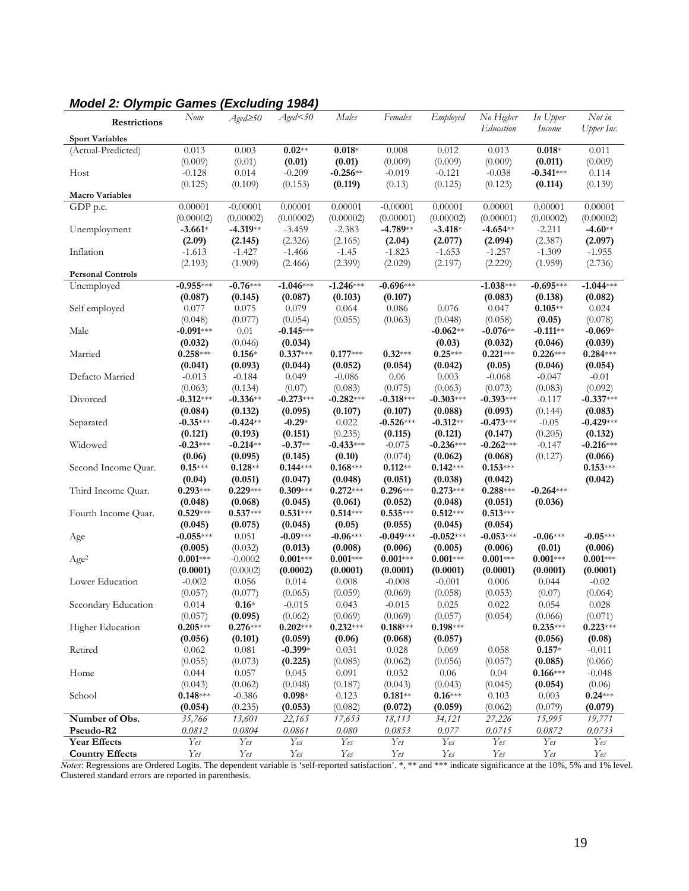| ,,,vuv, L.               | None        | $A$ ged $\geq 50$ | $1$ vvt<br>$A$ ged<50 | Males       | Females     | <b>Employed</b>   | No Higher   | In Upper    | Not in      |
|--------------------------|-------------|-------------------|-----------------------|-------------|-------------|-------------------|-------------|-------------|-------------|
| Restrictions             |             |                   |                       |             |             |                   | Education   | Income      | Upper Inc.  |
| <b>Sport Variables</b>   |             |                   |                       |             |             |                   |             |             |             |
| (Actual-Predicted)       | 0.013       | 0.003             | $0.02**$              | $0.018*$    | 0.008       | 0.012             | 0.013       | $0.018*$    | 0.011       |
|                          | (0.009)     | (0.01)            | (0.01)                | (0.01)      | (0.009)     | (0.009)           | (0.009)     | (0.011)     | (0.009)     |
| Host                     | $-0.128$    | 0.014             | $-0.209$              | $-0.256**$  | $-0.019$    | $-0.121$          | $-0.038$    | $-0.341***$ | 0.114       |
|                          | (0.125)     | (0.109)           | (0.153)               | (0.119)     | (0.13)      | (0.125)           | (0.123)     | (0.114)     | (0.139)     |
| <b>Macro Variables</b>   |             |                   |                       |             |             |                   |             |             |             |
| GDP p.c.                 | 0.00001     | $-0.00001$        | 0.00001               | 0.00001     | $-0.00001$  | 0.00001           | 0.00001     | 0.00001     | 0.00001     |
|                          | (0.00002)   | (0.00002)         | (0.00002)             | (0.00002)   | (0.00001)   | (0.00002)         | (0.00001)   | (0.00002)   | (0.00002)   |
| Unemployment             | $-3.661*$   | $-4.319**$        | $-3.459$              | $-2.383$    | $-4.789**$  | $-3.418*$         | $-4.654**$  | $-2.211$    | $-4.60**$   |
|                          | (2.09)      | (2.145)           | (2.326)               | (2.165)     | (2.04)      | (2.077)           | (2.094)     | (2.387)     | (2.097)     |
| Inflation                | $-1.613$    | $-1.427$          | $-1.466$              | $-1.45$     | $-1.823$    | $-1.653$          | $-1.257$    | $-1.309$    | $-1.955$    |
|                          | (2.193)     | (1.909)           | (2.466)               | (2.399)     | (2.029)     | (2.197)           | (2.229)     | (1.959)     | (2.736)     |
| <b>Personal Controls</b> |             |                   |                       |             |             |                   |             |             |             |
| Unemployed               | $-0.955***$ | $-0.76***$        | $-1.046***$           | $-1.246***$ | $-0.696***$ |                   | $-1.038***$ | $-0.695***$ | $-1.044***$ |
|                          | (0.087)     | (0.145)           | (0.087)               | (0.103)     | (0.107)     |                   | (0.083)     | (0.138)     | (0.082)     |
| Self employed            | 0.077       | 0.075             | 0.079                 | 0.064       | 0.086       | 0.076             | 0.047       | $0.105**$   | 0.024       |
|                          | (0.048)     | (0.077)           | (0.054)               | (0.055)     | (0.063)     | (0.048)           | (0.058)     | (0.05)      | (0.078)     |
| Male                     | $-0.091***$ | 0.01              | $-0.145***$           |             |             | $-0.062**$        | $-0.076**$  | $-0.111**$  | $-0.069*$   |
|                          | (0.032)     | (0.046)           | (0.034)               |             |             | (0.03)            | (0.032)     | (0.046)     | (0.039)     |
| Married                  | $0.258***$  | $0.156*$          | $0.337***$            | $0.177***$  | $0.32***$   | $0.25***$         | $0.221***$  | $0.226***$  | $0.284***$  |
|                          | (0.041)     | (0.093)           | (0.044)               | (0.052)     | (0.054)     | (0.042)           | (0.05)      | (0.046)     | (0.054)     |
| Defacto Married          | $-0.013$    | $-0.184$          | 0.049                 | $-0.086$    | 0.06        | 0.003             | $-0.068$    | $-0.047$    | $-0.01$     |
|                          | (0.063)     | (0.134)           | (0.07)                | (0.083)     | (0.075)     | (0.063)           | (0.073)     | (0.083)     | (0.092)     |
| Divorced                 | $-0.312***$ | $-0.336**$        | $-0.273***$           | $-0.282***$ | $-0.318***$ | $-0.303***$       | $-0.393***$ | $-0.117$    | $-0.337***$ |
|                          | (0.084)     | (0.132)           | (0.095)               | (0.107)     | (0.107)     | (0.088)           | (0.093)     | (0.144)     | (0.083)     |
| Separated                | $-0.35***$  | $-0.424**$        | $-0.29*$              | 0.022       | $-0.526***$ | $-0.312**$        | $-0.473***$ | $-0.05$     | $-0.429***$ |
|                          | (0.121)     | (0.193)           | (0.151)               | (0.235)     | (0.115)     | (0.121)           | (0.147)     | (0.205)     | (0.132)     |
| Widowed                  | $-0.23***$  | $-0.214**$        | $-0.37**$             | $-0.433***$ | $-0.075$    | $-0.236***$       | $-0.262***$ | $-0.147$    | $-0.216***$ |
|                          | (0.06)      | (0.095)           | (0.145)               | (0.10)      | (0.074)     | (0.062)           | (0.068)     | (0.127)     | (0.066)     |
| Second Income Quar.      | $0.15***$   | $0.128**$         | $0.144***$            | $0.168***$  | $0.112**$   | $0.142***$        | $0.153***$  |             | $0.153***$  |
|                          | (0.04)      | (0.051)           | (0.047)               | (0.048)     | (0.051)     | (0.038)           | (0.042)     |             | (0.042)     |
| Third Income Quar.       | $0.293***$  | $0.229***$        | $0.309***$            | $0.272***$  | $0.296***$  | $0.273***$        | $0.288***$  | $-0.264***$ |             |
|                          | (0.048)     | (0.068)           | (0.045)               | (0.061)     | (0.052)     | (0.048)           | (0.051)     | (0.036)     |             |
| Fourth Income Quar.      | $0.529***$  | $0.537***$        | $0.531***$            | $0.514***$  | $0.535***$  | $0.512***$        | $0.513***$  |             |             |
|                          | (0.045)     | (0.075)           | (0.045)               | (0.05)      | (0.055)     | (0.045)           | (0.054)     |             |             |
| Age                      | $-0.055***$ | 0.051             | $-0.09***$            | $-0.06***$  | $-0.049***$ | $-0.052***$       | $-0.053***$ | $-0.06***$  | $-0.05***$  |
|                          | (0.005)     | (0.032)           | (0.013)               | (0.008)     | (0.006)     | (0.005)           | (0.006)     | (0.01)      | (0.006)     |
| Age <sup>2</sup>         | $0.001***$  | $-0.0002$         | $0.001***$            | $0.001***$  | $0.001***$  | $0.001***$        | $0.001***$  | $0.001***$  | $0.001***$  |
|                          | (0.0001)    | (0.0002)          | (0.0002)              | (0.0001)    | (0.0001)    | (0.0001)          | (0.0001)    | (0.0001)    | (0.0001)    |
| Lower Education          | $-0.002$    | 0.056             | 0.014                 | 0.008       | $-0.008$    | $-0.001$          | 0.006       | 0.044       | $-0.02$     |
|                          | (0.057)     | (0.077)           | (0.065)               | (0.059)     | (0.069)     | (0.058)           | (0.053)     | (0.07)      | (0.064)     |
| Secondary Education      | 0.014       | $0.16*$           | $-0.015$              | 0.043       | $-0.015$    | 0.025             | 0.022       | 0.054       | 0.028       |
|                          | (0.057)     | (0.095)           | (0.062)               | (0.069)     | (0.069)     | (0.057)           | (0.054)     | (0.066)     | (0.071)     |
| Higher Education         | $0.205***$  | $0.276***$        | $0.202***$            | $0.232***$  | $0.188***$  | $0.198***$        |             | $0.235***$  | $0.223***$  |
|                          | (0.056)     | (0.101)           | (0.059)               | (0.06)      | (0.068)     | (0.057)           |             | (0.056)     | (0.08)      |
| Retired                  | 0.062       | 0.081             | $-0.399*$             | 0.031       | 0.028       | 0.069             | 0.058       | $0.157*$    | $-0.011$    |
|                          | (0.055)     | (0.073)           |                       | (0.085)     | (0.062)     | (0.056)           | (0.057)     | (0.085)     | (0.066)     |
|                          | 0.044       | 0.057             | (0.225)<br>0.045      | 0.091       | 0.032       | $0.06\,$          | 0.04        | $0.166***$  | $-0.048$    |
| Home                     | (0.043)     | (0.062)           | (0.048)               | (0.187)     | (0.043)     | (0.043)           | (0.045)     | (0.054)     | (0.06)      |
| School                   | $0.148***$  |                   |                       |             |             | $0.16***$         | 0.103       |             | $0.24***$   |
|                          |             | $-0.386$          | $0.098*$              | 0.123       | $0.181**$   |                   |             | 0.003       |             |
|                          | (0.054)     | (0.235)           | (0.053)               | (0.082)     | (0.072)     | (0.059)<br>34,121 | (0.062)     | (0.079)     | (0.079)     |
| Number of Obs.           | 35,766      | 13,601            | 22,165                | 17,653      | 18,113      |                   | 27,226      | 15,995      | 19,771      |
| Pseudo-R2                | 0.0812      | 0.0804            | 0.0861                | 0.080       | 0.0853      | 0.077             | 0.0715      | 0.0872      | 0.0733      |
| <b>Year Effects</b>      | Yes         | Yes               | Yes                   | Yes         | Yes         | Yes               | Yes         | Yes         | Yes         |
| <b>Country Effects</b>   | Yes         | Yes               | Yes                   | Yes         | Yes         | Yes               | Yes         | Yes         | Yes         |

# *Model 2: Olympic Games (Excluding 1984)*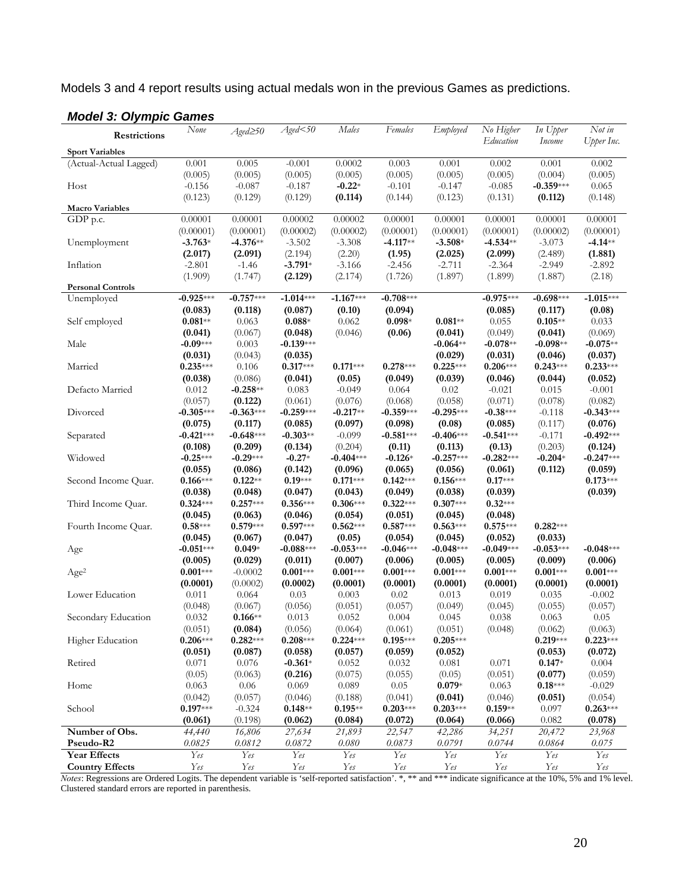Models 3 and 4 report results using actual medals won in the previous Games as predictions.

| Income<br>Upper Inc.<br><b>Sport Variables</b><br>0.001<br>0.005<br>$-0.001$<br>0.0002<br>0.003<br>0.001<br>0.002<br>0.001<br>0.002<br>(Actual-Actual Lagged)<br>(0.005)<br>(0.005)<br>(0.005)<br>(0.005)<br>(0.005)<br>(0.005)<br>(0.005)<br>(0.004)<br>(0.005)<br>$-0.156$<br>$-0.087$<br>$-0.187$<br>$-0.22*$<br>$-0.101$<br>$-0.147$<br>$-0.085$<br>$-0.359***$<br>0.065<br>Host<br>(0.123)<br>(0.129)<br>(0.114)<br>(0.123)<br>(0.131)<br>(0.129)<br>(0.144)<br>(0.112)<br>(0.148)<br><b>Macro Variables</b><br>0.00001<br>0.00001<br>0.00002<br>0.00001<br>0.00001<br>0.00001<br>0.00001<br>GDP p.c.<br>0.00002<br>0.00001<br>(0.00001)<br>(0.00001)<br>(0.00002)<br>(0.00002)<br>(0.00001)<br>(0.00001)<br>(0.00002)<br>(0.00001)<br>(0.00001)<br>$-4.376**$<br>$-3.308$<br>$-4.117**$<br>$-3.508*$<br>$-4.534**$<br>$-3.073$<br>$-4.14**$<br>$-3.763*$<br>$-3.502$<br>Unemployment<br>(2.194)<br>(2.20)<br>(2.099)<br>(2.489)<br>(2.017)<br>(2.091)<br>(1.95)<br>(2.025)<br>(1.881)<br>Inflation<br>$-2.801$<br>$-1.46$<br>$-3.791*$<br>$-3.166$<br>$-2.456$<br>$-2.711$<br>$-2.364$<br>$-2.949$<br>$-2.892$<br>(1.726)<br>(1.909)<br>(1.747)<br>(2.129)<br>(2.174)<br>(1.897)<br>(1.899)<br>(1.887)<br>(2.18)<br><b>Personal Controls</b><br>Unemployed<br>$-0.925***$<br>$-0.757***$<br>$-1.014***$<br>$-1.167***$<br>$-0.708***$<br>$-0.975***$<br>$-0.698***$<br>$-1.015***$<br>(0.08)<br>(0.083)<br>(0.118)<br>(0.087)<br>(0.10)<br>(0.094)<br>(0.085)<br>(0.117)<br>$0.081**$<br>$0.088*$<br>$0.098*$<br>$0.105**$<br>0.033<br>Self employed<br>0.063<br>0.062<br>$0.081**$<br>0.055<br>(0.046)<br>(0.06)<br>(0.049)<br>(0.069)<br>(0.041)<br>(0.067)<br>(0.048)<br>(0.041)<br>(0.041)<br>$-0.09***$<br>$-0.139***$<br>$-0.078**$<br>$-0.098**$<br>$-0.075**$<br>Male<br>0.003<br>$-0.064**$<br>(0.043)<br>(0.031)<br>(0.035)<br>(0.029)<br>(0.031)<br>(0.046)<br>(0.037)<br>Married<br>$0.317***$<br>$0.278***$<br>$0.206***$<br>$0.243***$<br>$0.235***$<br>0.106<br>$0.171***$<br>$0.225***$<br>$0.233***$<br>(0.049)<br>(0.038)<br>(0.086)<br>(0.041)<br>(0.05)<br>(0.039)<br>(0.046)<br>(0.044)<br>(0.052)<br>$-0.258**$<br>$-0.021$<br>Defacto Married<br>0.012<br>0.083<br>$-0.049$<br>0.064<br>0.02<br>0.015<br>$-0.001$<br>(0.076)<br>(0.071)<br>(0.057)<br>(0.122)<br>(0.061)<br>(0.068)<br>(0.058)<br>(0.078)<br>(0.082)<br>$-0.305***$<br>$-0.363***$<br>$-0.259***$<br>$-0.217**$<br>$-0.359***$<br>$-0.295***$<br>$-0.38***$<br>$-0.118$<br>$-0.343***$<br>Divorced<br>(0.117)<br>(0.097)<br>(0.098)<br>(0.085)<br>(0.117)<br>(0.075)<br>(0.085)<br>(0.08)<br>(0.076)<br>$-0.648***$<br>$-0.581***$<br>$-0.541***$<br>$-0.492***$<br>Separated<br>$-0.421***$<br>$-0.303**$<br>$-0.099$<br>$-0.406***$<br>$-0.171$<br>(0.209)<br>(0.134)<br>(0.204)<br>(0.11)<br>(0.13)<br>(0.203)<br>(0.108)<br>(0.113)<br>(0.124)<br>Widowed<br>$-0.25***$<br>$-0.29***$<br>$-0.27*$<br>$-0.404***$<br>$-0.126*$<br>$-0.257***$<br>$-0.282***$<br>$-0.204*$<br>$-0.247***$<br>(0.055)<br>(0.086)<br>(0.142)<br>(0.096)<br>(0.065)<br>(0.056)<br>(0.061)<br>(0.112)<br>(0.059)<br>$0.166***$<br>$0.122**$<br>$0.19***$<br>$0.171***$<br>$0.142***$<br>$0.17***$<br>$0.173***$<br>$0.156***$<br>Second Income Quar.<br>(0.038)<br>(0.048)<br>(0.043)<br>(0.049)<br>(0.039)<br>(0.039)<br>(0.047)<br>(0.038)<br>$0.324***$<br>$0.257***$<br>$0.306***$<br>$0.322***$<br>$0.307***$<br>$0.32***$<br>$0.356***$<br>Third Income Quar.<br>(0.051)<br>(0.045)<br>(0.063)<br>(0.046)<br>(0.054)<br>(0.045)<br>(0.048)<br>$0.587***$<br>$0.58***$<br>$0.579***$<br>$0.597***$<br>$0.562***$<br>$0.563***$<br>$0.575***$<br>$0.282***$<br>Fourth Income Quar.<br>(0.033)<br>(0.045)<br>(0.067)<br>(0.047)<br>(0.05)<br>(0.054)<br>(0.045)<br>(0.052)<br>$-0.053***$<br>$-0.046***$<br>$-0.049***$<br>$-0.053***$<br>$-0.051***$<br>$0.049*$<br>$-0.088***$<br>$-0.048***$<br>$-0.048***$<br>Age<br>(0.029)<br>(0.007)<br>(0.005)<br>(0.005)<br>(0.011)<br>(0.006)<br>(0.005)<br>(0.009)<br>(0.006)<br>$0.001***$<br>$0.001***$<br>$0.001***$<br>$0.001***$<br>$0.001***$<br>$0.001***$<br>$0.001***$<br>$0.001***$<br>$-0.0002$<br>Age <sup>2</sup><br>(0.0002)<br>(0.0001)<br>(0.0001)<br>(0.0001)<br>(0.0001)<br>(0.0001)<br>(0.0002)<br>(0.0001)<br>(0.0001)<br>0.011<br>0.064<br>0.03<br>0.003<br>0.02<br>0.013<br>0.019<br>0.035<br>$-0.002$<br>Lower Education<br>(0.048)<br>(0.056)<br>(0.051)<br>(0.057)<br>(0.057)<br>(0.067)<br>(0.049)<br>(0.045)<br>(0.055)<br>Secondary Education<br>0.032<br>$0.166**$<br>0.013<br>0.052<br>0.004<br>0.045<br>0.038<br>0.063<br>0.05<br>(0.051)<br>(0.084)<br>(0.056)<br>(0.064)<br>(0.061)<br>(0.051)<br>(0.048)<br>(0.062)<br>(0.063)<br>$0.206***$<br>$0.282***$<br>$0.208***$<br>$0.224***$<br>$0.195***$<br>$0.219***$<br>Higher Education<br>$0.205***$<br>$0.223***$<br>(0.051)<br>(0.087)<br>(0.072)<br>(0.058)<br>(0.057)<br>(0.059)<br>(0.052)<br>(0.053)<br>Retired<br>0.071<br>0.052<br>0.071<br>0.076<br>$-0.361*$<br>0.032<br>0.081<br>$0.147*$<br>0.004<br>(0.05)<br>(0.063)<br>(0.216)<br>(0.075)<br>(0.055)<br>(0.05)<br>(0.051)<br>(0.077)<br>(0.059)<br>0.063<br>$0.079*$<br>$0.18***$<br>Home<br>0.06<br>0.069<br>0.089<br>0.05<br>0.063<br>$-0.029$<br>(0.057)<br>(0.041)<br>(0.046)<br>(0.042)<br>(0.046)<br>(0.188)<br>(0.041)<br>(0.051)<br>(0.054)<br>$0.197***$<br>$0.195**$<br>$0.159**$<br>School<br>$-0.324$<br>$0.148**$<br>$0.203***$<br>$0.203***$<br>0.097<br>$0.263***$<br>(0.061)<br>(0.198)<br>(0.084)<br>(0.072)<br>(0.064)<br>(0.066)<br>0.082<br>(0.078)<br>(0.062)<br>Number of Obs.<br>44,440<br>16,806<br>27,634<br>21,893<br>22,547<br>42,286<br>34,251<br>20,472<br>23,968<br>Pseudo-R2<br>0.0825<br>0.0812<br>0.0872<br>0.080<br>0.0873<br>0.0791<br>0.0744<br>0.0864<br>0.075<br>Yes<br>Yes<br>Yes<br><b>Year Effects</b><br>Yes<br>Yes<br>Yes<br>Yes<br>Yes<br>Yes | Restrictions | None | Aged≥50 | Aged<50 | Males | Females | Employed | No Higher | In Upper | Not in |
|---------------------------------------------------------------------------------------------------------------------------------------------------------------------------------------------------------------------------------------------------------------------------------------------------------------------------------------------------------------------------------------------------------------------------------------------------------------------------------------------------------------------------------------------------------------------------------------------------------------------------------------------------------------------------------------------------------------------------------------------------------------------------------------------------------------------------------------------------------------------------------------------------------------------------------------------------------------------------------------------------------------------------------------------------------------------------------------------------------------------------------------------------------------------------------------------------------------------------------------------------------------------------------------------------------------------------------------------------------------------------------------------------------------------------------------------------------------------------------------------------------------------------------------------------------------------------------------------------------------------------------------------------------------------------------------------------------------------------------------------------------------------------------------------------------------------------------------------------------------------------------------------------------------------------------------------------------------------------------------------------------------------------------------------------------------------------------------------------------------------------------------------------------------------------------------------------------------------------------------------------------------------------------------------------------------------------------------------------------------------------------------------------------------------------------------------------------------------------------------------------------------------------------------------------------------------------------------------------------------------------------------------------------------------------------------------------------------------------------------------------------------------------------------------------------------------------------------------------------------------------------------------------------------------------------------------------------------------------------------------------------------------------------------------------------------------------------------------------------------------------------------------------------------------------------------------------------------------------------------------------------------------------------------------------------------------------------------------------------------------------------------------------------------------------------------------------------------------------------------------------------------------------------------------------------------------------------------------------------------------------------------------------------------------------------------------------------------------------------------------------------------------------------------------------------------------------------------------------------------------------------------------------------------------------------------------------------------------------------------------------------------------------------------------------------------------------------------------------------------------------------------------------------------------------------------------------------------------------------------------------------------------------------------------------------------------------------------------------------------------------------------------------------------------------------------------------------------------------------------------------------------------------------------------------------------------------------------------------------------------------------------------------------------------------------------------------------------------------------------------------------------------------------------------------------------------------------------------------------------------------------------------------------------------------------------------------------------------------------------------------------------------------------------------------------------------------------------------------------------------------------------------------------------------------------------------------------------------------------------------------------------------------------------------------------------------------------------------------------------------------------------------------------------------------------------------------------------------------------------------------------------------------------------------------------------------------------------------------------------------------------------------------------------------------------------------------------------------------------------------------------------------------------------------------------------------------------------------------------------------|--------------|------|---------|---------|-------|---------|----------|-----------|----------|--------|
|                                                                                                                                                                                                                                                                                                                                                                                                                                                                                                                                                                                                                                                                                                                                                                                                                                                                                                                                                                                                                                                                                                                                                                                                                                                                                                                                                                                                                                                                                                                                                                                                                                                                                                                                                                                                                                                                                                                                                                                                                                                                                                                                                                                                                                                                                                                                                                                                                                                                                                                                                                                                                                                                                                                                                                                                                                                                                                                                                                                                                                                                                                                                                                                                                                                                                                                                                                                                                                                                                                                                                                                                                                                                                                                                                                                                                                                                                                                                                                                                                                                                                                                                                                                                                                                                                                                                                                                                                                                                                                                                                                                                                                                                                                                                                                                                                                                                                                                                                                                                                                                                                                                                                                                                                                                                                                                                                                                                                                                                                                                                                                                                                                                                                                                                                                                                                                                                     |              |      |         |         |       |         |          | Education |          |        |
|                                                                                                                                                                                                                                                                                                                                                                                                                                                                                                                                                                                                                                                                                                                                                                                                                                                                                                                                                                                                                                                                                                                                                                                                                                                                                                                                                                                                                                                                                                                                                                                                                                                                                                                                                                                                                                                                                                                                                                                                                                                                                                                                                                                                                                                                                                                                                                                                                                                                                                                                                                                                                                                                                                                                                                                                                                                                                                                                                                                                                                                                                                                                                                                                                                                                                                                                                                                                                                                                                                                                                                                                                                                                                                                                                                                                                                                                                                                                                                                                                                                                                                                                                                                                                                                                                                                                                                                                                                                                                                                                                                                                                                                                                                                                                                                                                                                                                                                                                                                                                                                                                                                                                                                                                                                                                                                                                                                                                                                                                                                                                                                                                                                                                                                                                                                                                                                                     |              |      |         |         |       |         |          |           |          |        |
|                                                                                                                                                                                                                                                                                                                                                                                                                                                                                                                                                                                                                                                                                                                                                                                                                                                                                                                                                                                                                                                                                                                                                                                                                                                                                                                                                                                                                                                                                                                                                                                                                                                                                                                                                                                                                                                                                                                                                                                                                                                                                                                                                                                                                                                                                                                                                                                                                                                                                                                                                                                                                                                                                                                                                                                                                                                                                                                                                                                                                                                                                                                                                                                                                                                                                                                                                                                                                                                                                                                                                                                                                                                                                                                                                                                                                                                                                                                                                                                                                                                                                                                                                                                                                                                                                                                                                                                                                                                                                                                                                                                                                                                                                                                                                                                                                                                                                                                                                                                                                                                                                                                                                                                                                                                                                                                                                                                                                                                                                                                                                                                                                                                                                                                                                                                                                                                                     |              |      |         |         |       |         |          |           |          |        |
|                                                                                                                                                                                                                                                                                                                                                                                                                                                                                                                                                                                                                                                                                                                                                                                                                                                                                                                                                                                                                                                                                                                                                                                                                                                                                                                                                                                                                                                                                                                                                                                                                                                                                                                                                                                                                                                                                                                                                                                                                                                                                                                                                                                                                                                                                                                                                                                                                                                                                                                                                                                                                                                                                                                                                                                                                                                                                                                                                                                                                                                                                                                                                                                                                                                                                                                                                                                                                                                                                                                                                                                                                                                                                                                                                                                                                                                                                                                                                                                                                                                                                                                                                                                                                                                                                                                                                                                                                                                                                                                                                                                                                                                                                                                                                                                                                                                                                                                                                                                                                                                                                                                                                                                                                                                                                                                                                                                                                                                                                                                                                                                                                                                                                                                                                                                                                                                                     |              |      |         |         |       |         |          |           |          |        |
|                                                                                                                                                                                                                                                                                                                                                                                                                                                                                                                                                                                                                                                                                                                                                                                                                                                                                                                                                                                                                                                                                                                                                                                                                                                                                                                                                                                                                                                                                                                                                                                                                                                                                                                                                                                                                                                                                                                                                                                                                                                                                                                                                                                                                                                                                                                                                                                                                                                                                                                                                                                                                                                                                                                                                                                                                                                                                                                                                                                                                                                                                                                                                                                                                                                                                                                                                                                                                                                                                                                                                                                                                                                                                                                                                                                                                                                                                                                                                                                                                                                                                                                                                                                                                                                                                                                                                                                                                                                                                                                                                                                                                                                                                                                                                                                                                                                                                                                                                                                                                                                                                                                                                                                                                                                                                                                                                                                                                                                                                                                                                                                                                                                                                                                                                                                                                                                                     |              |      |         |         |       |         |          |           |          |        |
|                                                                                                                                                                                                                                                                                                                                                                                                                                                                                                                                                                                                                                                                                                                                                                                                                                                                                                                                                                                                                                                                                                                                                                                                                                                                                                                                                                                                                                                                                                                                                                                                                                                                                                                                                                                                                                                                                                                                                                                                                                                                                                                                                                                                                                                                                                                                                                                                                                                                                                                                                                                                                                                                                                                                                                                                                                                                                                                                                                                                                                                                                                                                                                                                                                                                                                                                                                                                                                                                                                                                                                                                                                                                                                                                                                                                                                                                                                                                                                                                                                                                                                                                                                                                                                                                                                                                                                                                                                                                                                                                                                                                                                                                                                                                                                                                                                                                                                                                                                                                                                                                                                                                                                                                                                                                                                                                                                                                                                                                                                                                                                                                                                                                                                                                                                                                                                                                     |              |      |         |         |       |         |          |           |          |        |
|                                                                                                                                                                                                                                                                                                                                                                                                                                                                                                                                                                                                                                                                                                                                                                                                                                                                                                                                                                                                                                                                                                                                                                                                                                                                                                                                                                                                                                                                                                                                                                                                                                                                                                                                                                                                                                                                                                                                                                                                                                                                                                                                                                                                                                                                                                                                                                                                                                                                                                                                                                                                                                                                                                                                                                                                                                                                                                                                                                                                                                                                                                                                                                                                                                                                                                                                                                                                                                                                                                                                                                                                                                                                                                                                                                                                                                                                                                                                                                                                                                                                                                                                                                                                                                                                                                                                                                                                                                                                                                                                                                                                                                                                                                                                                                                                                                                                                                                                                                                                                                                                                                                                                                                                                                                                                                                                                                                                                                                                                                                                                                                                                                                                                                                                                                                                                                                                     |              |      |         |         |       |         |          |           |          |        |
|                                                                                                                                                                                                                                                                                                                                                                                                                                                                                                                                                                                                                                                                                                                                                                                                                                                                                                                                                                                                                                                                                                                                                                                                                                                                                                                                                                                                                                                                                                                                                                                                                                                                                                                                                                                                                                                                                                                                                                                                                                                                                                                                                                                                                                                                                                                                                                                                                                                                                                                                                                                                                                                                                                                                                                                                                                                                                                                                                                                                                                                                                                                                                                                                                                                                                                                                                                                                                                                                                                                                                                                                                                                                                                                                                                                                                                                                                                                                                                                                                                                                                                                                                                                                                                                                                                                                                                                                                                                                                                                                                                                                                                                                                                                                                                                                                                                                                                                                                                                                                                                                                                                                                                                                                                                                                                                                                                                                                                                                                                                                                                                                                                                                                                                                                                                                                                                                     |              |      |         |         |       |         |          |           |          |        |
|                                                                                                                                                                                                                                                                                                                                                                                                                                                                                                                                                                                                                                                                                                                                                                                                                                                                                                                                                                                                                                                                                                                                                                                                                                                                                                                                                                                                                                                                                                                                                                                                                                                                                                                                                                                                                                                                                                                                                                                                                                                                                                                                                                                                                                                                                                                                                                                                                                                                                                                                                                                                                                                                                                                                                                                                                                                                                                                                                                                                                                                                                                                                                                                                                                                                                                                                                                                                                                                                                                                                                                                                                                                                                                                                                                                                                                                                                                                                                                                                                                                                                                                                                                                                                                                                                                                                                                                                                                                                                                                                                                                                                                                                                                                                                                                                                                                                                                                                                                                                                                                                                                                                                                                                                                                                                                                                                                                                                                                                                                                                                                                                                                                                                                                                                                                                                                                                     |              |      |         |         |       |         |          |           |          |        |
|                                                                                                                                                                                                                                                                                                                                                                                                                                                                                                                                                                                                                                                                                                                                                                                                                                                                                                                                                                                                                                                                                                                                                                                                                                                                                                                                                                                                                                                                                                                                                                                                                                                                                                                                                                                                                                                                                                                                                                                                                                                                                                                                                                                                                                                                                                                                                                                                                                                                                                                                                                                                                                                                                                                                                                                                                                                                                                                                                                                                                                                                                                                                                                                                                                                                                                                                                                                                                                                                                                                                                                                                                                                                                                                                                                                                                                                                                                                                                                                                                                                                                                                                                                                                                                                                                                                                                                                                                                                                                                                                                                                                                                                                                                                                                                                                                                                                                                                                                                                                                                                                                                                                                                                                                                                                                                                                                                                                                                                                                                                                                                                                                                                                                                                                                                                                                                                                     |              |      |         |         |       |         |          |           |          |        |
|                                                                                                                                                                                                                                                                                                                                                                                                                                                                                                                                                                                                                                                                                                                                                                                                                                                                                                                                                                                                                                                                                                                                                                                                                                                                                                                                                                                                                                                                                                                                                                                                                                                                                                                                                                                                                                                                                                                                                                                                                                                                                                                                                                                                                                                                                                                                                                                                                                                                                                                                                                                                                                                                                                                                                                                                                                                                                                                                                                                                                                                                                                                                                                                                                                                                                                                                                                                                                                                                                                                                                                                                                                                                                                                                                                                                                                                                                                                                                                                                                                                                                                                                                                                                                                                                                                                                                                                                                                                                                                                                                                                                                                                                                                                                                                                                                                                                                                                                                                                                                                                                                                                                                                                                                                                                                                                                                                                                                                                                                                                                                                                                                                                                                                                                                                                                                                                                     |              |      |         |         |       |         |          |           |          |        |
|                                                                                                                                                                                                                                                                                                                                                                                                                                                                                                                                                                                                                                                                                                                                                                                                                                                                                                                                                                                                                                                                                                                                                                                                                                                                                                                                                                                                                                                                                                                                                                                                                                                                                                                                                                                                                                                                                                                                                                                                                                                                                                                                                                                                                                                                                                                                                                                                                                                                                                                                                                                                                                                                                                                                                                                                                                                                                                                                                                                                                                                                                                                                                                                                                                                                                                                                                                                                                                                                                                                                                                                                                                                                                                                                                                                                                                                                                                                                                                                                                                                                                                                                                                                                                                                                                                                                                                                                                                                                                                                                                                                                                                                                                                                                                                                                                                                                                                                                                                                                                                                                                                                                                                                                                                                                                                                                                                                                                                                                                                                                                                                                                                                                                                                                                                                                                                                                     |              |      |         |         |       |         |          |           |          |        |
|                                                                                                                                                                                                                                                                                                                                                                                                                                                                                                                                                                                                                                                                                                                                                                                                                                                                                                                                                                                                                                                                                                                                                                                                                                                                                                                                                                                                                                                                                                                                                                                                                                                                                                                                                                                                                                                                                                                                                                                                                                                                                                                                                                                                                                                                                                                                                                                                                                                                                                                                                                                                                                                                                                                                                                                                                                                                                                                                                                                                                                                                                                                                                                                                                                                                                                                                                                                                                                                                                                                                                                                                                                                                                                                                                                                                                                                                                                                                                                                                                                                                                                                                                                                                                                                                                                                                                                                                                                                                                                                                                                                                                                                                                                                                                                                                                                                                                                                                                                                                                                                                                                                                                                                                                                                                                                                                                                                                                                                                                                                                                                                                                                                                                                                                                                                                                                                                     |              |      |         |         |       |         |          |           |          |        |
|                                                                                                                                                                                                                                                                                                                                                                                                                                                                                                                                                                                                                                                                                                                                                                                                                                                                                                                                                                                                                                                                                                                                                                                                                                                                                                                                                                                                                                                                                                                                                                                                                                                                                                                                                                                                                                                                                                                                                                                                                                                                                                                                                                                                                                                                                                                                                                                                                                                                                                                                                                                                                                                                                                                                                                                                                                                                                                                                                                                                                                                                                                                                                                                                                                                                                                                                                                                                                                                                                                                                                                                                                                                                                                                                                                                                                                                                                                                                                                                                                                                                                                                                                                                                                                                                                                                                                                                                                                                                                                                                                                                                                                                                                                                                                                                                                                                                                                                                                                                                                                                                                                                                                                                                                                                                                                                                                                                                                                                                                                                                                                                                                                                                                                                                                                                                                                                                     |              |      |         |         |       |         |          |           |          |        |
|                                                                                                                                                                                                                                                                                                                                                                                                                                                                                                                                                                                                                                                                                                                                                                                                                                                                                                                                                                                                                                                                                                                                                                                                                                                                                                                                                                                                                                                                                                                                                                                                                                                                                                                                                                                                                                                                                                                                                                                                                                                                                                                                                                                                                                                                                                                                                                                                                                                                                                                                                                                                                                                                                                                                                                                                                                                                                                                                                                                                                                                                                                                                                                                                                                                                                                                                                                                                                                                                                                                                                                                                                                                                                                                                                                                                                                                                                                                                                                                                                                                                                                                                                                                                                                                                                                                                                                                                                                                                                                                                                                                                                                                                                                                                                                                                                                                                                                                                                                                                                                                                                                                                                                                                                                                                                                                                                                                                                                                                                                                                                                                                                                                                                                                                                                                                                                                                     |              |      |         |         |       |         |          |           |          |        |
|                                                                                                                                                                                                                                                                                                                                                                                                                                                                                                                                                                                                                                                                                                                                                                                                                                                                                                                                                                                                                                                                                                                                                                                                                                                                                                                                                                                                                                                                                                                                                                                                                                                                                                                                                                                                                                                                                                                                                                                                                                                                                                                                                                                                                                                                                                                                                                                                                                                                                                                                                                                                                                                                                                                                                                                                                                                                                                                                                                                                                                                                                                                                                                                                                                                                                                                                                                                                                                                                                                                                                                                                                                                                                                                                                                                                                                                                                                                                                                                                                                                                                                                                                                                                                                                                                                                                                                                                                                                                                                                                                                                                                                                                                                                                                                                                                                                                                                                                                                                                                                                                                                                                                                                                                                                                                                                                                                                                                                                                                                                                                                                                                                                                                                                                                                                                                                                                     |              |      |         |         |       |         |          |           |          |        |
|                                                                                                                                                                                                                                                                                                                                                                                                                                                                                                                                                                                                                                                                                                                                                                                                                                                                                                                                                                                                                                                                                                                                                                                                                                                                                                                                                                                                                                                                                                                                                                                                                                                                                                                                                                                                                                                                                                                                                                                                                                                                                                                                                                                                                                                                                                                                                                                                                                                                                                                                                                                                                                                                                                                                                                                                                                                                                                                                                                                                                                                                                                                                                                                                                                                                                                                                                                                                                                                                                                                                                                                                                                                                                                                                                                                                                                                                                                                                                                                                                                                                                                                                                                                                                                                                                                                                                                                                                                                                                                                                                                                                                                                                                                                                                                                                                                                                                                                                                                                                                                                                                                                                                                                                                                                                                                                                                                                                                                                                                                                                                                                                                                                                                                                                                                                                                                                                     |              |      |         |         |       |         |          |           |          |        |
|                                                                                                                                                                                                                                                                                                                                                                                                                                                                                                                                                                                                                                                                                                                                                                                                                                                                                                                                                                                                                                                                                                                                                                                                                                                                                                                                                                                                                                                                                                                                                                                                                                                                                                                                                                                                                                                                                                                                                                                                                                                                                                                                                                                                                                                                                                                                                                                                                                                                                                                                                                                                                                                                                                                                                                                                                                                                                                                                                                                                                                                                                                                                                                                                                                                                                                                                                                                                                                                                                                                                                                                                                                                                                                                                                                                                                                                                                                                                                                                                                                                                                                                                                                                                                                                                                                                                                                                                                                                                                                                                                                                                                                                                                                                                                                                                                                                                                                                                                                                                                                                                                                                                                                                                                                                                                                                                                                                                                                                                                                                                                                                                                                                                                                                                                                                                                                                                     |              |      |         |         |       |         |          |           |          |        |
|                                                                                                                                                                                                                                                                                                                                                                                                                                                                                                                                                                                                                                                                                                                                                                                                                                                                                                                                                                                                                                                                                                                                                                                                                                                                                                                                                                                                                                                                                                                                                                                                                                                                                                                                                                                                                                                                                                                                                                                                                                                                                                                                                                                                                                                                                                                                                                                                                                                                                                                                                                                                                                                                                                                                                                                                                                                                                                                                                                                                                                                                                                                                                                                                                                                                                                                                                                                                                                                                                                                                                                                                                                                                                                                                                                                                                                                                                                                                                                                                                                                                                                                                                                                                                                                                                                                                                                                                                                                                                                                                                                                                                                                                                                                                                                                                                                                                                                                                                                                                                                                                                                                                                                                                                                                                                                                                                                                                                                                                                                                                                                                                                                                                                                                                                                                                                                                                     |              |      |         |         |       |         |          |           |          |        |
|                                                                                                                                                                                                                                                                                                                                                                                                                                                                                                                                                                                                                                                                                                                                                                                                                                                                                                                                                                                                                                                                                                                                                                                                                                                                                                                                                                                                                                                                                                                                                                                                                                                                                                                                                                                                                                                                                                                                                                                                                                                                                                                                                                                                                                                                                                                                                                                                                                                                                                                                                                                                                                                                                                                                                                                                                                                                                                                                                                                                                                                                                                                                                                                                                                                                                                                                                                                                                                                                                                                                                                                                                                                                                                                                                                                                                                                                                                                                                                                                                                                                                                                                                                                                                                                                                                                                                                                                                                                                                                                                                                                                                                                                                                                                                                                                                                                                                                                                                                                                                                                                                                                                                                                                                                                                                                                                                                                                                                                                                                                                                                                                                                                                                                                                                                                                                                                                     |              |      |         |         |       |         |          |           |          |        |
|                                                                                                                                                                                                                                                                                                                                                                                                                                                                                                                                                                                                                                                                                                                                                                                                                                                                                                                                                                                                                                                                                                                                                                                                                                                                                                                                                                                                                                                                                                                                                                                                                                                                                                                                                                                                                                                                                                                                                                                                                                                                                                                                                                                                                                                                                                                                                                                                                                                                                                                                                                                                                                                                                                                                                                                                                                                                                                                                                                                                                                                                                                                                                                                                                                                                                                                                                                                                                                                                                                                                                                                                                                                                                                                                                                                                                                                                                                                                                                                                                                                                                                                                                                                                                                                                                                                                                                                                                                                                                                                                                                                                                                                                                                                                                                                                                                                                                                                                                                                                                                                                                                                                                                                                                                                                                                                                                                                                                                                                                                                                                                                                                                                                                                                                                                                                                                                                     |              |      |         |         |       |         |          |           |          |        |
|                                                                                                                                                                                                                                                                                                                                                                                                                                                                                                                                                                                                                                                                                                                                                                                                                                                                                                                                                                                                                                                                                                                                                                                                                                                                                                                                                                                                                                                                                                                                                                                                                                                                                                                                                                                                                                                                                                                                                                                                                                                                                                                                                                                                                                                                                                                                                                                                                                                                                                                                                                                                                                                                                                                                                                                                                                                                                                                                                                                                                                                                                                                                                                                                                                                                                                                                                                                                                                                                                                                                                                                                                                                                                                                                                                                                                                                                                                                                                                                                                                                                                                                                                                                                                                                                                                                                                                                                                                                                                                                                                                                                                                                                                                                                                                                                                                                                                                                                                                                                                                                                                                                                                                                                                                                                                                                                                                                                                                                                                                                                                                                                                                                                                                                                                                                                                                                                     |              |      |         |         |       |         |          |           |          |        |
|                                                                                                                                                                                                                                                                                                                                                                                                                                                                                                                                                                                                                                                                                                                                                                                                                                                                                                                                                                                                                                                                                                                                                                                                                                                                                                                                                                                                                                                                                                                                                                                                                                                                                                                                                                                                                                                                                                                                                                                                                                                                                                                                                                                                                                                                                                                                                                                                                                                                                                                                                                                                                                                                                                                                                                                                                                                                                                                                                                                                                                                                                                                                                                                                                                                                                                                                                                                                                                                                                                                                                                                                                                                                                                                                                                                                                                                                                                                                                                                                                                                                                                                                                                                                                                                                                                                                                                                                                                                                                                                                                                                                                                                                                                                                                                                                                                                                                                                                                                                                                                                                                                                                                                                                                                                                                                                                                                                                                                                                                                                                                                                                                                                                                                                                                                                                                                                                     |              |      |         |         |       |         |          |           |          |        |
|                                                                                                                                                                                                                                                                                                                                                                                                                                                                                                                                                                                                                                                                                                                                                                                                                                                                                                                                                                                                                                                                                                                                                                                                                                                                                                                                                                                                                                                                                                                                                                                                                                                                                                                                                                                                                                                                                                                                                                                                                                                                                                                                                                                                                                                                                                                                                                                                                                                                                                                                                                                                                                                                                                                                                                                                                                                                                                                                                                                                                                                                                                                                                                                                                                                                                                                                                                                                                                                                                                                                                                                                                                                                                                                                                                                                                                                                                                                                                                                                                                                                                                                                                                                                                                                                                                                                                                                                                                                                                                                                                                                                                                                                                                                                                                                                                                                                                                                                                                                                                                                                                                                                                                                                                                                                                                                                                                                                                                                                                                                                                                                                                                                                                                                                                                                                                                                                     |              |      |         |         |       |         |          |           |          |        |
|                                                                                                                                                                                                                                                                                                                                                                                                                                                                                                                                                                                                                                                                                                                                                                                                                                                                                                                                                                                                                                                                                                                                                                                                                                                                                                                                                                                                                                                                                                                                                                                                                                                                                                                                                                                                                                                                                                                                                                                                                                                                                                                                                                                                                                                                                                                                                                                                                                                                                                                                                                                                                                                                                                                                                                                                                                                                                                                                                                                                                                                                                                                                                                                                                                                                                                                                                                                                                                                                                                                                                                                                                                                                                                                                                                                                                                                                                                                                                                                                                                                                                                                                                                                                                                                                                                                                                                                                                                                                                                                                                                                                                                                                                                                                                                                                                                                                                                                                                                                                                                                                                                                                                                                                                                                                                                                                                                                                                                                                                                                                                                                                                                                                                                                                                                                                                                                                     |              |      |         |         |       |         |          |           |          |        |
|                                                                                                                                                                                                                                                                                                                                                                                                                                                                                                                                                                                                                                                                                                                                                                                                                                                                                                                                                                                                                                                                                                                                                                                                                                                                                                                                                                                                                                                                                                                                                                                                                                                                                                                                                                                                                                                                                                                                                                                                                                                                                                                                                                                                                                                                                                                                                                                                                                                                                                                                                                                                                                                                                                                                                                                                                                                                                                                                                                                                                                                                                                                                                                                                                                                                                                                                                                                                                                                                                                                                                                                                                                                                                                                                                                                                                                                                                                                                                                                                                                                                                                                                                                                                                                                                                                                                                                                                                                                                                                                                                                                                                                                                                                                                                                                                                                                                                                                                                                                                                                                                                                                                                                                                                                                                                                                                                                                                                                                                                                                                                                                                                                                                                                                                                                                                                                                                     |              |      |         |         |       |         |          |           |          |        |
|                                                                                                                                                                                                                                                                                                                                                                                                                                                                                                                                                                                                                                                                                                                                                                                                                                                                                                                                                                                                                                                                                                                                                                                                                                                                                                                                                                                                                                                                                                                                                                                                                                                                                                                                                                                                                                                                                                                                                                                                                                                                                                                                                                                                                                                                                                                                                                                                                                                                                                                                                                                                                                                                                                                                                                                                                                                                                                                                                                                                                                                                                                                                                                                                                                                                                                                                                                                                                                                                                                                                                                                                                                                                                                                                                                                                                                                                                                                                                                                                                                                                                                                                                                                                                                                                                                                                                                                                                                                                                                                                                                                                                                                                                                                                                                                                                                                                                                                                                                                                                                                                                                                                                                                                                                                                                                                                                                                                                                                                                                                                                                                                                                                                                                                                                                                                                                                                     |              |      |         |         |       |         |          |           |          |        |
|                                                                                                                                                                                                                                                                                                                                                                                                                                                                                                                                                                                                                                                                                                                                                                                                                                                                                                                                                                                                                                                                                                                                                                                                                                                                                                                                                                                                                                                                                                                                                                                                                                                                                                                                                                                                                                                                                                                                                                                                                                                                                                                                                                                                                                                                                                                                                                                                                                                                                                                                                                                                                                                                                                                                                                                                                                                                                                                                                                                                                                                                                                                                                                                                                                                                                                                                                                                                                                                                                                                                                                                                                                                                                                                                                                                                                                                                                                                                                                                                                                                                                                                                                                                                                                                                                                                                                                                                                                                                                                                                                                                                                                                                                                                                                                                                                                                                                                                                                                                                                                                                                                                                                                                                                                                                                                                                                                                                                                                                                                                                                                                                                                                                                                                                                                                                                                                                     |              |      |         |         |       |         |          |           |          |        |
|                                                                                                                                                                                                                                                                                                                                                                                                                                                                                                                                                                                                                                                                                                                                                                                                                                                                                                                                                                                                                                                                                                                                                                                                                                                                                                                                                                                                                                                                                                                                                                                                                                                                                                                                                                                                                                                                                                                                                                                                                                                                                                                                                                                                                                                                                                                                                                                                                                                                                                                                                                                                                                                                                                                                                                                                                                                                                                                                                                                                                                                                                                                                                                                                                                                                                                                                                                                                                                                                                                                                                                                                                                                                                                                                                                                                                                                                                                                                                                                                                                                                                                                                                                                                                                                                                                                                                                                                                                                                                                                                                                                                                                                                                                                                                                                                                                                                                                                                                                                                                                                                                                                                                                                                                                                                                                                                                                                                                                                                                                                                                                                                                                                                                                                                                                                                                                                                     |              |      |         |         |       |         |          |           |          |        |
|                                                                                                                                                                                                                                                                                                                                                                                                                                                                                                                                                                                                                                                                                                                                                                                                                                                                                                                                                                                                                                                                                                                                                                                                                                                                                                                                                                                                                                                                                                                                                                                                                                                                                                                                                                                                                                                                                                                                                                                                                                                                                                                                                                                                                                                                                                                                                                                                                                                                                                                                                                                                                                                                                                                                                                                                                                                                                                                                                                                                                                                                                                                                                                                                                                                                                                                                                                                                                                                                                                                                                                                                                                                                                                                                                                                                                                                                                                                                                                                                                                                                                                                                                                                                                                                                                                                                                                                                                                                                                                                                                                                                                                                                                                                                                                                                                                                                                                                                                                                                                                                                                                                                                                                                                                                                                                                                                                                                                                                                                                                                                                                                                                                                                                                                                                                                                                                                     |              |      |         |         |       |         |          |           |          |        |
|                                                                                                                                                                                                                                                                                                                                                                                                                                                                                                                                                                                                                                                                                                                                                                                                                                                                                                                                                                                                                                                                                                                                                                                                                                                                                                                                                                                                                                                                                                                                                                                                                                                                                                                                                                                                                                                                                                                                                                                                                                                                                                                                                                                                                                                                                                                                                                                                                                                                                                                                                                                                                                                                                                                                                                                                                                                                                                                                                                                                                                                                                                                                                                                                                                                                                                                                                                                                                                                                                                                                                                                                                                                                                                                                                                                                                                                                                                                                                                                                                                                                                                                                                                                                                                                                                                                                                                                                                                                                                                                                                                                                                                                                                                                                                                                                                                                                                                                                                                                                                                                                                                                                                                                                                                                                                                                                                                                                                                                                                                                                                                                                                                                                                                                                                                                                                                                                     |              |      |         |         |       |         |          |           |          |        |
|                                                                                                                                                                                                                                                                                                                                                                                                                                                                                                                                                                                                                                                                                                                                                                                                                                                                                                                                                                                                                                                                                                                                                                                                                                                                                                                                                                                                                                                                                                                                                                                                                                                                                                                                                                                                                                                                                                                                                                                                                                                                                                                                                                                                                                                                                                                                                                                                                                                                                                                                                                                                                                                                                                                                                                                                                                                                                                                                                                                                                                                                                                                                                                                                                                                                                                                                                                                                                                                                                                                                                                                                                                                                                                                                                                                                                                                                                                                                                                                                                                                                                                                                                                                                                                                                                                                                                                                                                                                                                                                                                                                                                                                                                                                                                                                                                                                                                                                                                                                                                                                                                                                                                                                                                                                                                                                                                                                                                                                                                                                                                                                                                                                                                                                                                                                                                                                                     |              |      |         |         |       |         |          |           |          |        |
|                                                                                                                                                                                                                                                                                                                                                                                                                                                                                                                                                                                                                                                                                                                                                                                                                                                                                                                                                                                                                                                                                                                                                                                                                                                                                                                                                                                                                                                                                                                                                                                                                                                                                                                                                                                                                                                                                                                                                                                                                                                                                                                                                                                                                                                                                                                                                                                                                                                                                                                                                                                                                                                                                                                                                                                                                                                                                                                                                                                                                                                                                                                                                                                                                                                                                                                                                                                                                                                                                                                                                                                                                                                                                                                                                                                                                                                                                                                                                                                                                                                                                                                                                                                                                                                                                                                                                                                                                                                                                                                                                                                                                                                                                                                                                                                                                                                                                                                                                                                                                                                                                                                                                                                                                                                                                                                                                                                                                                                                                                                                                                                                                                                                                                                                                                                                                                                                     |              |      |         |         |       |         |          |           |          |        |
|                                                                                                                                                                                                                                                                                                                                                                                                                                                                                                                                                                                                                                                                                                                                                                                                                                                                                                                                                                                                                                                                                                                                                                                                                                                                                                                                                                                                                                                                                                                                                                                                                                                                                                                                                                                                                                                                                                                                                                                                                                                                                                                                                                                                                                                                                                                                                                                                                                                                                                                                                                                                                                                                                                                                                                                                                                                                                                                                                                                                                                                                                                                                                                                                                                                                                                                                                                                                                                                                                                                                                                                                                                                                                                                                                                                                                                                                                                                                                                                                                                                                                                                                                                                                                                                                                                                                                                                                                                                                                                                                                                                                                                                                                                                                                                                                                                                                                                                                                                                                                                                                                                                                                                                                                                                                                                                                                                                                                                                                                                                                                                                                                                                                                                                                                                                                                                                                     |              |      |         |         |       |         |          |           |          |        |
|                                                                                                                                                                                                                                                                                                                                                                                                                                                                                                                                                                                                                                                                                                                                                                                                                                                                                                                                                                                                                                                                                                                                                                                                                                                                                                                                                                                                                                                                                                                                                                                                                                                                                                                                                                                                                                                                                                                                                                                                                                                                                                                                                                                                                                                                                                                                                                                                                                                                                                                                                                                                                                                                                                                                                                                                                                                                                                                                                                                                                                                                                                                                                                                                                                                                                                                                                                                                                                                                                                                                                                                                                                                                                                                                                                                                                                                                                                                                                                                                                                                                                                                                                                                                                                                                                                                                                                                                                                                                                                                                                                                                                                                                                                                                                                                                                                                                                                                                                                                                                                                                                                                                                                                                                                                                                                                                                                                                                                                                                                                                                                                                                                                                                                                                                                                                                                                                     |              |      |         |         |       |         |          |           |          |        |
|                                                                                                                                                                                                                                                                                                                                                                                                                                                                                                                                                                                                                                                                                                                                                                                                                                                                                                                                                                                                                                                                                                                                                                                                                                                                                                                                                                                                                                                                                                                                                                                                                                                                                                                                                                                                                                                                                                                                                                                                                                                                                                                                                                                                                                                                                                                                                                                                                                                                                                                                                                                                                                                                                                                                                                                                                                                                                                                                                                                                                                                                                                                                                                                                                                                                                                                                                                                                                                                                                                                                                                                                                                                                                                                                                                                                                                                                                                                                                                                                                                                                                                                                                                                                                                                                                                                                                                                                                                                                                                                                                                                                                                                                                                                                                                                                                                                                                                                                                                                                                                                                                                                                                                                                                                                                                                                                                                                                                                                                                                                                                                                                                                                                                                                                                                                                                                                                     |              |      |         |         |       |         |          |           |          |        |
|                                                                                                                                                                                                                                                                                                                                                                                                                                                                                                                                                                                                                                                                                                                                                                                                                                                                                                                                                                                                                                                                                                                                                                                                                                                                                                                                                                                                                                                                                                                                                                                                                                                                                                                                                                                                                                                                                                                                                                                                                                                                                                                                                                                                                                                                                                                                                                                                                                                                                                                                                                                                                                                                                                                                                                                                                                                                                                                                                                                                                                                                                                                                                                                                                                                                                                                                                                                                                                                                                                                                                                                                                                                                                                                                                                                                                                                                                                                                                                                                                                                                                                                                                                                                                                                                                                                                                                                                                                                                                                                                                                                                                                                                                                                                                                                                                                                                                                                                                                                                                                                                                                                                                                                                                                                                                                                                                                                                                                                                                                                                                                                                                                                                                                                                                                                                                                                                     |              |      |         |         |       |         |          |           |          |        |
|                                                                                                                                                                                                                                                                                                                                                                                                                                                                                                                                                                                                                                                                                                                                                                                                                                                                                                                                                                                                                                                                                                                                                                                                                                                                                                                                                                                                                                                                                                                                                                                                                                                                                                                                                                                                                                                                                                                                                                                                                                                                                                                                                                                                                                                                                                                                                                                                                                                                                                                                                                                                                                                                                                                                                                                                                                                                                                                                                                                                                                                                                                                                                                                                                                                                                                                                                                                                                                                                                                                                                                                                                                                                                                                                                                                                                                                                                                                                                                                                                                                                                                                                                                                                                                                                                                                                                                                                                                                                                                                                                                                                                                                                                                                                                                                                                                                                                                                                                                                                                                                                                                                                                                                                                                                                                                                                                                                                                                                                                                                                                                                                                                                                                                                                                                                                                                                                     |              |      |         |         |       |         |          |           |          |        |
|                                                                                                                                                                                                                                                                                                                                                                                                                                                                                                                                                                                                                                                                                                                                                                                                                                                                                                                                                                                                                                                                                                                                                                                                                                                                                                                                                                                                                                                                                                                                                                                                                                                                                                                                                                                                                                                                                                                                                                                                                                                                                                                                                                                                                                                                                                                                                                                                                                                                                                                                                                                                                                                                                                                                                                                                                                                                                                                                                                                                                                                                                                                                                                                                                                                                                                                                                                                                                                                                                                                                                                                                                                                                                                                                                                                                                                                                                                                                                                                                                                                                                                                                                                                                                                                                                                                                                                                                                                                                                                                                                                                                                                                                                                                                                                                                                                                                                                                                                                                                                                                                                                                                                                                                                                                                                                                                                                                                                                                                                                                                                                                                                                                                                                                                                                                                                                                                     |              |      |         |         |       |         |          |           |          |        |
|                                                                                                                                                                                                                                                                                                                                                                                                                                                                                                                                                                                                                                                                                                                                                                                                                                                                                                                                                                                                                                                                                                                                                                                                                                                                                                                                                                                                                                                                                                                                                                                                                                                                                                                                                                                                                                                                                                                                                                                                                                                                                                                                                                                                                                                                                                                                                                                                                                                                                                                                                                                                                                                                                                                                                                                                                                                                                                                                                                                                                                                                                                                                                                                                                                                                                                                                                                                                                                                                                                                                                                                                                                                                                                                                                                                                                                                                                                                                                                                                                                                                                                                                                                                                                                                                                                                                                                                                                                                                                                                                                                                                                                                                                                                                                                                                                                                                                                                                                                                                                                                                                                                                                                                                                                                                                                                                                                                                                                                                                                                                                                                                                                                                                                                                                                                                                                                                     |              |      |         |         |       |         |          |           |          |        |
|                                                                                                                                                                                                                                                                                                                                                                                                                                                                                                                                                                                                                                                                                                                                                                                                                                                                                                                                                                                                                                                                                                                                                                                                                                                                                                                                                                                                                                                                                                                                                                                                                                                                                                                                                                                                                                                                                                                                                                                                                                                                                                                                                                                                                                                                                                                                                                                                                                                                                                                                                                                                                                                                                                                                                                                                                                                                                                                                                                                                                                                                                                                                                                                                                                                                                                                                                                                                                                                                                                                                                                                                                                                                                                                                                                                                                                                                                                                                                                                                                                                                                                                                                                                                                                                                                                                                                                                                                                                                                                                                                                                                                                                                                                                                                                                                                                                                                                                                                                                                                                                                                                                                                                                                                                                                                                                                                                                                                                                                                                                                                                                                                                                                                                                                                                                                                                                                     |              |      |         |         |       |         |          |           |          |        |
|                                                                                                                                                                                                                                                                                                                                                                                                                                                                                                                                                                                                                                                                                                                                                                                                                                                                                                                                                                                                                                                                                                                                                                                                                                                                                                                                                                                                                                                                                                                                                                                                                                                                                                                                                                                                                                                                                                                                                                                                                                                                                                                                                                                                                                                                                                                                                                                                                                                                                                                                                                                                                                                                                                                                                                                                                                                                                                                                                                                                                                                                                                                                                                                                                                                                                                                                                                                                                                                                                                                                                                                                                                                                                                                                                                                                                                                                                                                                                                                                                                                                                                                                                                                                                                                                                                                                                                                                                                                                                                                                                                                                                                                                                                                                                                                                                                                                                                                                                                                                                                                                                                                                                                                                                                                                                                                                                                                                                                                                                                                                                                                                                                                                                                                                                                                                                                                                     |              |      |         |         |       |         |          |           |          |        |
|                                                                                                                                                                                                                                                                                                                                                                                                                                                                                                                                                                                                                                                                                                                                                                                                                                                                                                                                                                                                                                                                                                                                                                                                                                                                                                                                                                                                                                                                                                                                                                                                                                                                                                                                                                                                                                                                                                                                                                                                                                                                                                                                                                                                                                                                                                                                                                                                                                                                                                                                                                                                                                                                                                                                                                                                                                                                                                                                                                                                                                                                                                                                                                                                                                                                                                                                                                                                                                                                                                                                                                                                                                                                                                                                                                                                                                                                                                                                                                                                                                                                                                                                                                                                                                                                                                                                                                                                                                                                                                                                                                                                                                                                                                                                                                                                                                                                                                                                                                                                                                                                                                                                                                                                                                                                                                                                                                                                                                                                                                                                                                                                                                                                                                                                                                                                                                                                     |              |      |         |         |       |         |          |           |          |        |
|                                                                                                                                                                                                                                                                                                                                                                                                                                                                                                                                                                                                                                                                                                                                                                                                                                                                                                                                                                                                                                                                                                                                                                                                                                                                                                                                                                                                                                                                                                                                                                                                                                                                                                                                                                                                                                                                                                                                                                                                                                                                                                                                                                                                                                                                                                                                                                                                                                                                                                                                                                                                                                                                                                                                                                                                                                                                                                                                                                                                                                                                                                                                                                                                                                                                                                                                                                                                                                                                                                                                                                                                                                                                                                                                                                                                                                                                                                                                                                                                                                                                                                                                                                                                                                                                                                                                                                                                                                                                                                                                                                                                                                                                                                                                                                                                                                                                                                                                                                                                                                                                                                                                                                                                                                                                                                                                                                                                                                                                                                                                                                                                                                                                                                                                                                                                                                                                     |              |      |         |         |       |         |          |           |          |        |
|                                                                                                                                                                                                                                                                                                                                                                                                                                                                                                                                                                                                                                                                                                                                                                                                                                                                                                                                                                                                                                                                                                                                                                                                                                                                                                                                                                                                                                                                                                                                                                                                                                                                                                                                                                                                                                                                                                                                                                                                                                                                                                                                                                                                                                                                                                                                                                                                                                                                                                                                                                                                                                                                                                                                                                                                                                                                                                                                                                                                                                                                                                                                                                                                                                                                                                                                                                                                                                                                                                                                                                                                                                                                                                                                                                                                                                                                                                                                                                                                                                                                                                                                                                                                                                                                                                                                                                                                                                                                                                                                                                                                                                                                                                                                                                                                                                                                                                                                                                                                                                                                                                                                                                                                                                                                                                                                                                                                                                                                                                                                                                                                                                                                                                                                                                                                                                                                     |              |      |         |         |       |         |          |           |          |        |
|                                                                                                                                                                                                                                                                                                                                                                                                                                                                                                                                                                                                                                                                                                                                                                                                                                                                                                                                                                                                                                                                                                                                                                                                                                                                                                                                                                                                                                                                                                                                                                                                                                                                                                                                                                                                                                                                                                                                                                                                                                                                                                                                                                                                                                                                                                                                                                                                                                                                                                                                                                                                                                                                                                                                                                                                                                                                                                                                                                                                                                                                                                                                                                                                                                                                                                                                                                                                                                                                                                                                                                                                                                                                                                                                                                                                                                                                                                                                                                                                                                                                                                                                                                                                                                                                                                                                                                                                                                                                                                                                                                                                                                                                                                                                                                                                                                                                                                                                                                                                                                                                                                                                                                                                                                                                                                                                                                                                                                                                                                                                                                                                                                                                                                                                                                                                                                                                     |              |      |         |         |       |         |          |           |          |        |
|                                                                                                                                                                                                                                                                                                                                                                                                                                                                                                                                                                                                                                                                                                                                                                                                                                                                                                                                                                                                                                                                                                                                                                                                                                                                                                                                                                                                                                                                                                                                                                                                                                                                                                                                                                                                                                                                                                                                                                                                                                                                                                                                                                                                                                                                                                                                                                                                                                                                                                                                                                                                                                                                                                                                                                                                                                                                                                                                                                                                                                                                                                                                                                                                                                                                                                                                                                                                                                                                                                                                                                                                                                                                                                                                                                                                                                                                                                                                                                                                                                                                                                                                                                                                                                                                                                                                                                                                                                                                                                                                                                                                                                                                                                                                                                                                                                                                                                                                                                                                                                                                                                                                                                                                                                                                                                                                                                                                                                                                                                                                                                                                                                                                                                                                                                                                                                                                     |              |      |         |         |       |         |          |           |          |        |
|                                                                                                                                                                                                                                                                                                                                                                                                                                                                                                                                                                                                                                                                                                                                                                                                                                                                                                                                                                                                                                                                                                                                                                                                                                                                                                                                                                                                                                                                                                                                                                                                                                                                                                                                                                                                                                                                                                                                                                                                                                                                                                                                                                                                                                                                                                                                                                                                                                                                                                                                                                                                                                                                                                                                                                                                                                                                                                                                                                                                                                                                                                                                                                                                                                                                                                                                                                                                                                                                                                                                                                                                                                                                                                                                                                                                                                                                                                                                                                                                                                                                                                                                                                                                                                                                                                                                                                                                                                                                                                                                                                                                                                                                                                                                                                                                                                                                                                                                                                                                                                                                                                                                                                                                                                                                                                                                                                                                                                                                                                                                                                                                                                                                                                                                                                                                                                                                     |              |      |         |         |       |         |          |           |          |        |
|                                                                                                                                                                                                                                                                                                                                                                                                                                                                                                                                                                                                                                                                                                                                                                                                                                                                                                                                                                                                                                                                                                                                                                                                                                                                                                                                                                                                                                                                                                                                                                                                                                                                                                                                                                                                                                                                                                                                                                                                                                                                                                                                                                                                                                                                                                                                                                                                                                                                                                                                                                                                                                                                                                                                                                                                                                                                                                                                                                                                                                                                                                                                                                                                                                                                                                                                                                                                                                                                                                                                                                                                                                                                                                                                                                                                                                                                                                                                                                                                                                                                                                                                                                                                                                                                                                                                                                                                                                                                                                                                                                                                                                                                                                                                                                                                                                                                                                                                                                                                                                                                                                                                                                                                                                                                                                                                                                                                                                                                                                                                                                                                                                                                                                                                                                                                                                                                     |              |      |         |         |       |         |          |           |          |        |
|                                                                                                                                                                                                                                                                                                                                                                                                                                                                                                                                                                                                                                                                                                                                                                                                                                                                                                                                                                                                                                                                                                                                                                                                                                                                                                                                                                                                                                                                                                                                                                                                                                                                                                                                                                                                                                                                                                                                                                                                                                                                                                                                                                                                                                                                                                                                                                                                                                                                                                                                                                                                                                                                                                                                                                                                                                                                                                                                                                                                                                                                                                                                                                                                                                                                                                                                                                                                                                                                                                                                                                                                                                                                                                                                                                                                                                                                                                                                                                                                                                                                                                                                                                                                                                                                                                                                                                                                                                                                                                                                                                                                                                                                                                                                                                                                                                                                                                                                                                                                                                                                                                                                                                                                                                                                                                                                                                                                                                                                                                                                                                                                                                                                                                                                                                                                                                                                     |              |      |         |         |       |         |          |           |          |        |
|                                                                                                                                                                                                                                                                                                                                                                                                                                                                                                                                                                                                                                                                                                                                                                                                                                                                                                                                                                                                                                                                                                                                                                                                                                                                                                                                                                                                                                                                                                                                                                                                                                                                                                                                                                                                                                                                                                                                                                                                                                                                                                                                                                                                                                                                                                                                                                                                                                                                                                                                                                                                                                                                                                                                                                                                                                                                                                                                                                                                                                                                                                                                                                                                                                                                                                                                                                                                                                                                                                                                                                                                                                                                                                                                                                                                                                                                                                                                                                                                                                                                                                                                                                                                                                                                                                                                                                                                                                                                                                                                                                                                                                                                                                                                                                                                                                                                                                                                                                                                                                                                                                                                                                                                                                                                                                                                                                                                                                                                                                                                                                                                                                                                                                                                                                                                                                                                     |              |      |         |         |       |         |          |           |          |        |
|                                                                                                                                                                                                                                                                                                                                                                                                                                                                                                                                                                                                                                                                                                                                                                                                                                                                                                                                                                                                                                                                                                                                                                                                                                                                                                                                                                                                                                                                                                                                                                                                                                                                                                                                                                                                                                                                                                                                                                                                                                                                                                                                                                                                                                                                                                                                                                                                                                                                                                                                                                                                                                                                                                                                                                                                                                                                                                                                                                                                                                                                                                                                                                                                                                                                                                                                                                                                                                                                                                                                                                                                                                                                                                                                                                                                                                                                                                                                                                                                                                                                                                                                                                                                                                                                                                                                                                                                                                                                                                                                                                                                                                                                                                                                                                                                                                                                                                                                                                                                                                                                                                                                                                                                                                                                                                                                                                                                                                                                                                                                                                                                                                                                                                                                                                                                                                                                     |              |      |         |         |       |         |          |           |          |        |
|                                                                                                                                                                                                                                                                                                                                                                                                                                                                                                                                                                                                                                                                                                                                                                                                                                                                                                                                                                                                                                                                                                                                                                                                                                                                                                                                                                                                                                                                                                                                                                                                                                                                                                                                                                                                                                                                                                                                                                                                                                                                                                                                                                                                                                                                                                                                                                                                                                                                                                                                                                                                                                                                                                                                                                                                                                                                                                                                                                                                                                                                                                                                                                                                                                                                                                                                                                                                                                                                                                                                                                                                                                                                                                                                                                                                                                                                                                                                                                                                                                                                                                                                                                                                                                                                                                                                                                                                                                                                                                                                                                                                                                                                                                                                                                                                                                                                                                                                                                                                                                                                                                                                                                                                                                                                                                                                                                                                                                                                                                                                                                                                                                                                                                                                                                                                                                                                     |              |      |         |         |       |         |          |           |          |        |
|                                                                                                                                                                                                                                                                                                                                                                                                                                                                                                                                                                                                                                                                                                                                                                                                                                                                                                                                                                                                                                                                                                                                                                                                                                                                                                                                                                                                                                                                                                                                                                                                                                                                                                                                                                                                                                                                                                                                                                                                                                                                                                                                                                                                                                                                                                                                                                                                                                                                                                                                                                                                                                                                                                                                                                                                                                                                                                                                                                                                                                                                                                                                                                                                                                                                                                                                                                                                                                                                                                                                                                                                                                                                                                                                                                                                                                                                                                                                                                                                                                                                                                                                                                                                                                                                                                                                                                                                                                                                                                                                                                                                                                                                                                                                                                                                                                                                                                                                                                                                                                                                                                                                                                                                                                                                                                                                                                                                                                                                                                                                                                                                                                                                                                                                                                                                                                                                     |              |      |         |         |       |         |          |           |          |        |
|                                                                                                                                                                                                                                                                                                                                                                                                                                                                                                                                                                                                                                                                                                                                                                                                                                                                                                                                                                                                                                                                                                                                                                                                                                                                                                                                                                                                                                                                                                                                                                                                                                                                                                                                                                                                                                                                                                                                                                                                                                                                                                                                                                                                                                                                                                                                                                                                                                                                                                                                                                                                                                                                                                                                                                                                                                                                                                                                                                                                                                                                                                                                                                                                                                                                                                                                                                                                                                                                                                                                                                                                                                                                                                                                                                                                                                                                                                                                                                                                                                                                                                                                                                                                                                                                                                                                                                                                                                                                                                                                                                                                                                                                                                                                                                                                                                                                                                                                                                                                                                                                                                                                                                                                                                                                                                                                                                                                                                                                                                                                                                                                                                                                                                                                                                                                                                                                     |              |      |         |         |       |         |          |           |          |        |
| <b>Country Effects</b><br>Yes<br>Yes<br>Yes<br>Yes<br>Yes<br>Yes<br>Yes<br>Yes<br>Yes                                                                                                                                                                                                                                                                                                                                                                                                                                                                                                                                                                                                                                                                                                                                                                                                                                                                                                                                                                                                                                                                                                                                                                                                                                                                                                                                                                                                                                                                                                                                                                                                                                                                                                                                                                                                                                                                                                                                                                                                                                                                                                                                                                                                                                                                                                                                                                                                                                                                                                                                                                                                                                                                                                                                                                                                                                                                                                                                                                                                                                                                                                                                                                                                                                                                                                                                                                                                                                                                                                                                                                                                                                                                                                                                                                                                                                                                                                                                                                                                                                                                                                                                                                                                                                                                                                                                                                                                                                                                                                                                                                                                                                                                                                                                                                                                                                                                                                                                                                                                                                                                                                                                                                                                                                                                                                                                                                                                                                                                                                                                                                                                                                                                                                                                                                               |              |      |         |         |       |         |          |           |          |        |

## *Model 3: Olympic Games*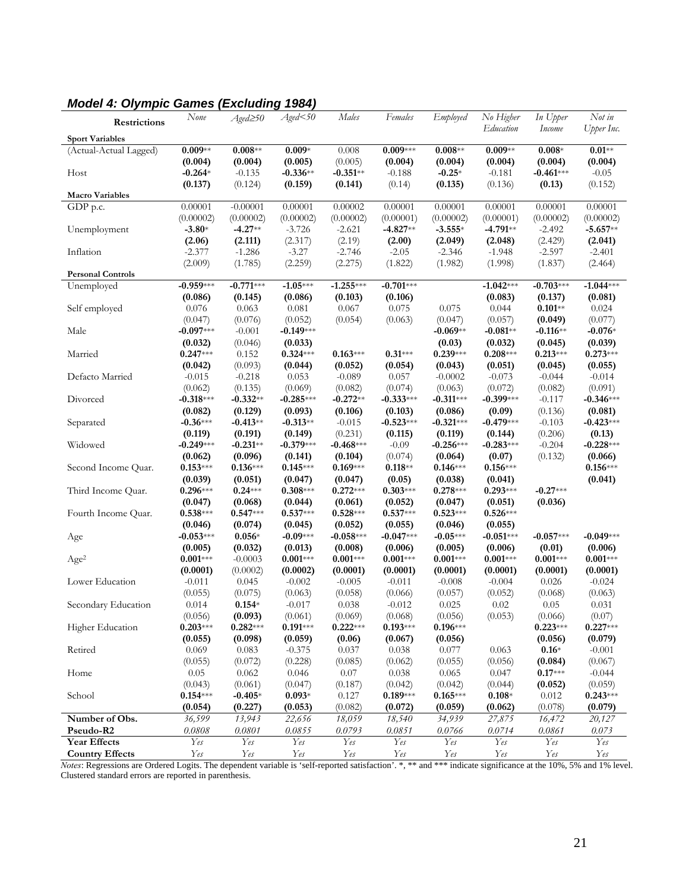| <br>. .                  | None        |                   | $A$ ged<50  | Males       | Females     |                 | No Higher              |             | Not in                |
|--------------------------|-------------|-------------------|-------------|-------------|-------------|-----------------|------------------------|-------------|-----------------------|
| Restrictions             |             | $A$ ged $\geq 50$ |             |             |             | <b>Employed</b> |                        | In Upper    |                       |
|                          |             |                   |             |             |             |                 | Education              | Income      | Upper Inc.            |
| <b>Sport Variables</b>   |             |                   |             |             |             |                 |                        |             |                       |
| (Actual-Actual Lagged)   | $0.009**$   | $0.008**$         | $0.009*$    | 0.008       | $0.009***$  | $0.008**$       | $0.009**$              | $0.008*$    | $0.01**$              |
|                          | (0.004)     | (0.004)           | (0.005)     | (0.005)     | (0.004)     | (0.004)         | (0.004)                | (0.004)     | (0.004)               |
| Host                     | $-0.264*$   | $-0.135$          | $-0.336**$  | $-0.351**$  | $-0.188$    | $-0.25*$        | $-0.181$               | $-0.461***$ | $-0.05$               |
|                          | (0.137)     | (0.124)           | (0.159)     | (0.141)     | (0.14)      | (0.135)         | (0.136)                | (0.13)      | (0.152)               |
| <b>Macro Variables</b>   |             |                   |             |             |             |                 |                        |             |                       |
| GDP p.c.                 | 0.00001     | $-0.00001$        | 0.00001     | 0.00002     | 0.00001     | 0.00001         | 0.00001                | 0.00001     | 0.00001               |
|                          | (0.00002)   | (0.00002)         | (0.00002)   | (0.00002)   | (0.00001)   | (0.00002)       | (0.00001)              | (0.00002)   | (0.00002)             |
| Unemployment             | $-3.80*$    | $-4.27**$         | $-3.726$    | $-2.621$    | $-4.827**$  | $-3.555*$       | $-4.791**$             | $-2.492$    | $-5.657**$            |
|                          | (2.06)      | (2.111)           | (2.317)     | (2.19)      | (2.00)      | (2.049)         | (2.048)                | (2.429)     | (2.041)               |
| Inflation                | $-2.377$    | $-1.286$          | $-3.27$     | $-2.746$    | $-2.05$     | $-2.346$        | $-1.948$               | $-2.597$    | $-2.401$              |
|                          | (2.009)     | (1.785)           | (2.259)     | (2.275)     | (1.822)     | (1.982)         | (1.998)                | (1.837)     | (2.464)               |
| <b>Personal Controls</b> |             |                   |             |             |             |                 |                        |             |                       |
| Unemployed               | $-0.959***$ | $-0.771***$       | $-1.05***$  | $-1.255***$ | $-0.701***$ |                 | $-1.042***$            | $-0.703***$ | $-1.044***$           |
|                          |             |                   |             |             |             |                 |                        |             |                       |
|                          | (0.086)     | (0.145)           | (0.086)     | (0.103)     | (0.106)     |                 | (0.083)                | (0.137)     | (0.081)               |
| Self employed            | 0.076       | 0.063             | 0.081       | 0.067       | 0.075       | 0.075           | 0.044                  | $0.101**$   | 0.024                 |
|                          | (0.047)     | (0.076)           | (0.052)     | (0.054)     | (0.063)     | (0.047)         | (0.057)                | (0.049)     | (0.077)               |
| Male                     | $-0.097***$ | $-0.001$          | $-0.149***$ |             |             | $-0.069**$      | $-0.081**$             | $-0.116**$  | $-0.076*$             |
|                          | (0.032)     | (0.046)           | (0.033)     |             |             | (0.03)          | (0.032)                | (0.045)     | (0.039)               |
| Married                  | $0.247***$  | 0.152             | $0.324***$  | $0.163***$  | $0.31***$   | $0.239***$      | $0.208***$             | $0.213***$  | $0.273***$            |
|                          | (0.042)     | (0.093)           | (0.044)     | (0.052)     | (0.054)     | (0.043)         | (0.051)                | (0.045)     | (0.055)               |
| Defacto Married          | $-0.015$    | $-0.218$          | 0.053       | $-0.089$    | 0.057       | $-0.0002$       | $-0.073$               | $-0.044$    | $-0.014$              |
|                          | (0.062)     | (0.135)           | (0.069)     | (0.082)     | (0.074)     | (0.063)         | (0.072)                | (0.082)     | (0.091)               |
| Divorced                 | $-0.318***$ | $-0.332**$        | $-0.285***$ | $-0.272**$  | $-0.333***$ | $-0.311***$     | $-0.399***$            | $-0.117$    | $-0.346***$           |
|                          | (0.082)     | (0.129)           | (0.093)     | (0.106)     | (0.103)     | (0.086)         | (0.09)                 | (0.136)     | (0.081)               |
| Separated                | $-0.36***$  | $-0.413**$        | $-0.313**$  | $-0.015$    | $-0.523***$ | $-0.321***$     | $-0.479***$            | $-0.103$    | $-0.423***$           |
|                          | (0.119)     | (0.191)           | (0.149)     | (0.231)     | (0.115)     | (0.119)         | (0.144)                | (0.206)     | (0.13)                |
| Widowed                  | $-0.249***$ | $-0.231**$        | $-0.379***$ | $-0.468***$ | $-0.09$     | $-0.256***$     | $-0.283***$            | $-0.204$    | $-0.228***$           |
|                          | (0.062)     | (0.096)           | (0.141)     | (0.104)     | (0.074)     | (0.064)         | (0.07)                 | (0.132)     |                       |
|                          | $0.153***$  |                   | $0.145***$  | $0.169***$  |             | $0.146***$      | $0.156***$             |             | (0.066)<br>$0.156***$ |
| Second Income Quar.      |             | $0.136***$        |             |             | $0.118**$   |                 |                        |             |                       |
|                          | (0.039)     | (0.051)           | (0.047)     | (0.047)     | (0.05)      | (0.038)         | (0.041)                |             | (0.041)               |
| Third Income Quar.       | $0.296***$  | $0.24***$         | $0.308***$  | $0.272***$  | $0.303***$  | $0.278***$      | $0.293***$             | $-0.27***$  |                       |
|                          | (0.047)     | (0.068)           | (0.044)     | (0.061)     | (0.052)     | (0.047)         | (0.051)                | (0.036)     |                       |
| Fourth Income Quar.      | $0.538***$  | $0.547***$        | $0.537***$  | $0.528***$  | $0.537***$  | $0.523***$      | $0.526***$             |             |                       |
|                          | (0.046)     | (0.074)           | (0.045)     | (0.052)     | (0.055)     | (0.046)         | (0.055)                |             |                       |
| Age                      | $-0.053***$ | $0.056*$          | $-0.09***$  | $-0.058***$ | $-0.047***$ | $-0.05***$      | $-0.051***$            | $-0.057***$ | $-0.049***$           |
|                          | (0.005)     | (0.032)           | (0.013)     | (0.008)     | (0.006)     | (0.005)         | (0.006)                | (0.01)      | (0.006)               |
| Age <sup>2</sup>         | $0.001***$  | $-0.0003$         | $0.001***$  | $0.001***$  | $0.001***$  | $0.001***$      | $0.001***$             | $0.001***$  | $0.001***$            |
|                          | (0.0001)    | (0.0002)          | (0.0002)    | (0.0001)    | (0.0001)    | (0.0001)        | (0.0001)               | (0.0001)    | (0.0001)              |
| Lower Education          | $-0.011$    | 0.045             | $-0.002$    | $-0.005$    | $-0.011$    | $-0.008$        | $-0.004$               | 0.026       | $-0.024$              |
|                          | (0.055)     | (0.075)           | (0.063)     | (0.058)     | (0.066)     | (0.057)         | (0.052)                | (0.068)     | (0.063)               |
| Secondary Education      | 0.014       | $0.154*$          | $-0.017$    | 0.038       | $-0.012$    | 0.025           | 0.02                   | 0.05        | 0.031                 |
|                          | (0.056)     | (0.093)           | (0.061)     | (0.069)     | (0.068)     | (0.056)         | (0.053)                | (0.066)     | (0.07)                |
| Higher Education         | $0.203***$  | $0.282***$        | $0.191***$  | $0.222***$  | $0.193***$  | $0.196***$      |                        | $0.223***$  | $0.227***$            |
|                          |             |                   |             |             |             |                 |                        |             |                       |
|                          | (0.055)     | (0.098)           | (0.059)     | (0.06)      | (0.067)     | (0.056)         |                        | (0.056)     | (0.079)               |
| Retired                  | 0.069       | 0.083             | $-0.375$    | 0.037       | 0.038       | 0.077           | 0.063                  | $0.16*$     | $-0.001$              |
|                          | (0.055)     | (0.072)           | (0.228)     | (0.085)     | (0.062)     | (0.055)         | (0.056)                | (0.084)     | (0.067)               |
| Home                     | 0.05        | 0.062             | 0.046       | $0.07\,$    | 0.038       | 0.065           | 0.047                  | $0.17***$   | $-0.044$              |
|                          | (0.043)     | (0.061)           | (0.047)     | (0.187)     | (0.042)     | (0.042)         | (0.044)                | (0.052)     | (0.059)               |
| School                   | $0.154***$  | $-0.405*$         | $0.093*$    | 0.127       | $0.189***$  | $0.165***$      | $0.108\ensuremath{^*}$ | 0.012       | $0.243***$            |
|                          | (0.054)     | (0.227)           | (0.053)     | (0.082)     | (0.072)     | (0.059)         | (0.062)                | (0.078)     | (0.079)               |
| Number of Obs.           | 36,599      | 13,943            | 22,656      | 18,059      | 18,540      | 34,939          | 27,875                 | 16,472      | 20,127                |
| Pseudo-R2                | 0.0808      | 0.0801            | 0.0855      | 0.0793      | 0.0851      | 0.0766          | 0.0714                 | 0.0861      | 0.073                 |
| <b>Year Effects</b>      | Yes         | Yes               | Yes         | Yes         | Yes         | Yes             | Yes                    | Yes         | Yes                   |
| <b>Country Effects</b>   | Yes         | Yes               | Yes         | Yes         | Yes         | Yes             | Yes                    | Yes         | Yes                   |
|                          |             |                   |             |             |             |                 |                        |             |                       |

# *Model 4: Olympic Games (Excluding 1984)*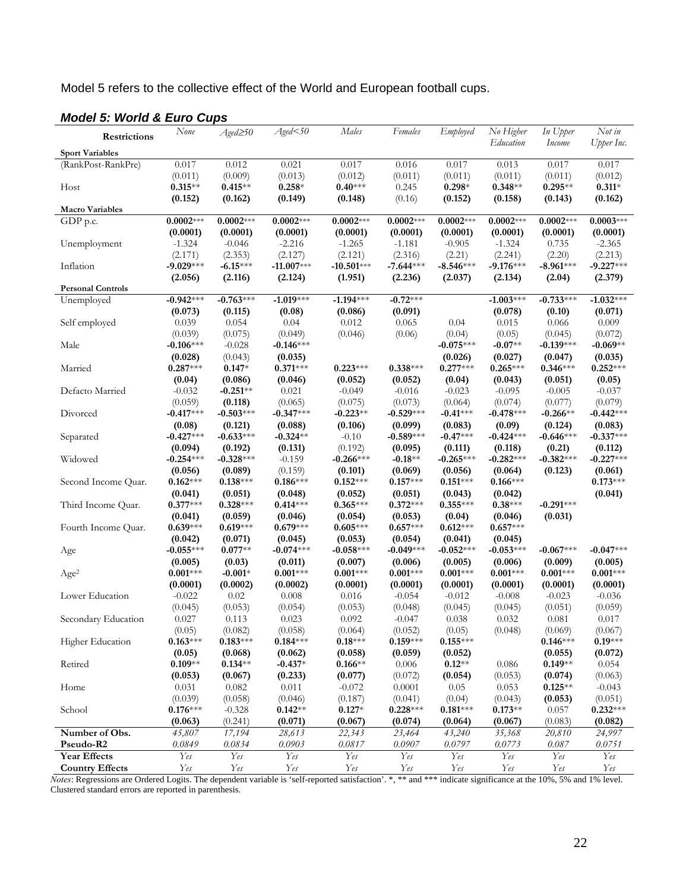Model 5 refers to the collective effect of the World and European football cups.

| <b>Restrictions</b>      | None                   | $A$ ged $\geq 50$      | $A$ ged<50             | Males                 | Females                | <b>Employed</b>       | No Higher              | In Upper              | Not in                 |
|--------------------------|------------------------|------------------------|------------------------|-----------------------|------------------------|-----------------------|------------------------|-----------------------|------------------------|
|                          |                        |                        |                        |                       |                        |                       | Education              | Income                | Upper Inc.             |
| <b>Sport Variables</b>   |                        |                        |                        |                       |                        |                       |                        |                       |                        |
| (RankPost-RankPre)       | 0.017                  | 0.012                  | 0.021                  | 0.017                 | 0.016                  | 0.017                 | 0.013                  | 0.017                 | 0.017                  |
|                          | (0.011)                | (0.009)                | (0.013)                | (0.012)               | (0.011)                | (0.011)               | (0.011)                | (0.011)               | (0.012)                |
| Host                     | $0.315**$              | $0.415**$              | $0.258*$               | $0.40***$             | 0.245                  | $0.298*$              | $0.348**$              | $0.295**$             | $0.311*$               |
| <b>Macro Variables</b>   | (0.152)                | (0.162)                | (0.149)                | (0.148)               | (0.16)                 | (0.152)               | (0.158)                | (0.143)               | (0.162)                |
| GDP p.c.                 | $0.0002***$            | $0.0002***$            | $0.0002***$            | $0.0002***$           | $0.0002***$            | $0.0002***$           | $0.0002***$            | $0.0002***$           | $0.0003***$            |
|                          | (0.0001)               | (0.0001)               | (0.0001)               | (0.0001)              | (0.0001)               | (0.0001)              | (0.0001)               | (0.0001)              | (0.0001)               |
| Unemployment             | $-1.324$               | $-0.046$               | $-2.216$               | $-1.265$              | $-1.181$               | $-0.905$              | $-1.324$               | 0.735                 | $-2.365$               |
|                          | (2.171)                | (2.353)                | (2.127)                | (2.121)               | (2.316)                | (2.21)                | (2.241)                | (2.20)                | (2.213)                |
| Inflation                | $-9.029***$            | $-6.15***$             | $-11.007***$           | $-10.501***$          | $-7.644***$            | $-8.546***$           | $-9.176***$            | $-8.961***$           | $-9.227***$            |
|                          | (2.056)                | (2.116)                | (2.124)                | (1.951)               | (2.236)                | (2.037)               | (2.134)                | (2.04)                | (2.379)                |
| <b>Personal Controls</b> |                        |                        |                        |                       |                        |                       |                        |                       |                        |
| Unemployed               | $-0.942***$            | $-0.763***$            | $-1.019***$            | $-1.194***$           | $-0.72***$             |                       | $-1.003***$            | $-0.733***$           | $-1.032***$            |
|                          | (0.073)                | (0.115)                | (0.08)                 | (0.086)               | (0.091)                |                       | (0.078)                | (0.10)                | (0.071)                |
| Self employed            | 0.039                  | 0.054                  | 0.04                   | 0.012                 | 0.065                  | 0.04                  | 0.015                  | 0.066                 | 0.009                  |
|                          | (0.039)                | (0.075)                | (0.049)                | (0.046)               | (0.06)                 | (0.04)                | (0.05)                 | (0.045)               | (0.072)                |
| Male                     | $-0.106***$            | $-0.028$               | $-0.146***$            |                       |                        | $-0.075***$           | $-0.07**$              | $-0.139***$           | $-0.069**$             |
|                          | (0.028)                | (0.043)                | (0.035)                |                       |                        | (0.026)               | (0.027)                | (0.047)               | (0.035)                |
| Married                  | $0.287***$             | $0.147*$               | $0.371***$             | $0.223***$            | $0.338***$             | $0.277***$            | $0.265***$             | $0.346***$            | $0.252***$             |
|                          | (0.04)                 | (0.086)                | (0.046)                | (0.052)               | (0.052)                | (0.04)                | (0.043)                | (0.051)               | (0.05)                 |
| Defacto Married          | $-0.032$               | $-0.251**$             | 0.021                  | $-0.049$              | $-0.016$               | $-0.023$              | $-0.095$               | $-0.005$              | $-0.037$               |
| Divorced                 | (0.059)<br>$-0.417***$ | (0.118)<br>$-0.503***$ | (0.065)<br>$-0.347***$ | (0.075)<br>$-0.223**$ | (0.073)<br>$-0.529***$ | (0.064)<br>$-0.41***$ | (0.074)<br>$-0.478***$ | (0.077)<br>$-0.266**$ | (0.079)<br>$-0.442***$ |
|                          |                        |                        | (0.088)                | (0.106)               | (0.099)                | (0.083)               | (0.09)                 | (0.124)               |                        |
| Separated                | (0.08)<br>$-0.427***$  | (0.121)<br>$-0.633***$ | $-0.324**$             | $-0.10$               | $-0.589***$            | $-0.47***$            | $-0.424***$            | $-0.646***$           | (0.083)<br>$-0.337***$ |
|                          | (0.094)                | (0.192)                | (0.131)                | (0.192)               | (0.095)                | (0.111)               | (0.118)                | (0.21)                | (0.112)                |
| Widowed                  | $-0.254***$            | $-0.328***$            | $-0.159$               | $-0.266***$           | $-0.18**$              | $-0.265***$           | $-0.282***$            | $-0.382***$           | $-0.227***$            |
|                          | (0.056)                | (0.089)                | (0.159)                | (0.101)               | (0.069)                | (0.056)               | (0.064)                | (0.123)               | (0.061)                |
| Second Income Quar.      | $0.162***$             | $0.138***$             | $0.186***$             | $0.152***$            | $0.157***$             | $0.151***$            | $0.166***$             |                       | $0.173***$             |
|                          | (0.041)                | (0.051)                | (0.048)                | (0.052)               | (0.051)                | (0.043)               | (0.042)                |                       | (0.041)                |
| Third Income Quar.       | $0.377***$             | $0.328***$             | $0.414***$             | $0.365***$            | $0.372***$             | $0.355***$            | $0.38***$              | $-0.291***$           |                        |
|                          | (0.041)                | (0.059)                | (0.046)                | (0.054)               | (0.053)                | (0.04)                | (0.046)                | (0.031)               |                        |
| Fourth Income Quar.      | $0.639***$             | $0.619***$             | $0.679***$             | $0.605***$            | $0.657***$             | $0.612***$            | $0.657***$             |                       |                        |
|                          | (0.042)                | (0.071)                | (0.045)                | (0.053)               | (0.054)                | (0.041)               | (0.045)                |                       |                        |
| Age                      | $-0.055***$            | $0.077**$              | $-0.074***$            | $-0.058***$           | $-0.049***$            | $-0.052***$           | $-0.053***$            | $-0.067***$           | $-0.047***$            |
|                          | (0.005)                | (0.03)                 | (0.011)                | (0.007)               | (0.006)                | (0.005)               | (0.006)                | (0.009)               | (0.005)                |
| Age <sup>2</sup>         | $0.001***$             | $-0.001*$              | $0.001***$             | $0.001***$            | $0.001***$             | $0.001***$            | $0.001***$             | $0.001***$            | $0.001***$             |
|                          | (0.0001)               | (0.0002)               | (0.0002)               | (0.0001)              | (0.0001)               | (0.0001)              | (0.0001)               | (0.0001)              | (0.0001)               |
| Lower Education          | $-0.022$               | 0.02                   | 0.008                  | 0.016                 | $-0.054$               | $-0.012$              | $-0.008$               | $-0.023$              | $-0.036$               |
|                          | (0.045)                | (0.053)                | (0.054)                | (0.053)               | (0.048)                | (0.045)               | (0.045)                | (0.051)               | (0.059)                |
| Secondary Education      | 0.027                  | 0.113                  | 0.023                  | 0.092                 | $-0.047$               | 0.038                 | 0.032                  | 0.081                 | 0.017                  |
|                          | (0.05)                 | (0.082)                | (0.058)                | (0.064)               | (0.052)                | (0.05)                | (0.048)                | (0.069)               | (0.067)                |
| Higher Education         | $0.163***$             | $0.183***$             | $0.184***$             | $0.18***$             | $0.159***$             | $0.155***$            |                        | $0.146***$            | $0.19***$              |
|                          | (0.05)                 | (0.068)                | (0.062)                | (0.058)               | (0.059)                | (0.052)               |                        | (0.055)               | (0.072)                |
| Retired                  | $0.109**$              | $0.134**$              | $-0.437*$              | $0.166**$             | 0.006                  | $0.12**$              | 0.086                  | $0.149**$             | 0.054                  |
|                          | (0.053)                | (0.067)                | (0.233)                | (0.077)               | (0.072)                | (0.054)               | (0.053)                | (0.074)               | (0.063)                |
| Home                     | 0.031                  | 0.082                  | 0.011                  | $-0.072$              | 0.0001                 | 0.05                  | 0.053                  | $0.125***$            | $-0.043$               |
|                          | (0.039)                | (0.058)                | (0.046)                | (0.187)               | (0.041)                | (0.04)                | (0.043)                | (0.053)               | (0.051)                |
| School                   | $0.176***$             | $-0.328$               | $0.142**$              | $0.127*$              | $0.228***$             | $0.181***$            | $0.173**$              | 0.057                 | $0.232***$             |
|                          | (0.063)                | (0.241)                | (0.071)                | (0.067)               | (0.074)                | (0.064)               | (0.067)                | (0.083)               | (0.082)                |
| Number of Obs.           | 45,807                 | 17,194                 | 28,613                 | 22,343                | 23,464                 | 43,240                | 35,368                 | 20,810                | 24,997                 |
| Pseudo-R2                | 0.0849                 | 0.0834                 | 0.0903                 | 0.0817                | 0.0907                 | 0.0797                | 0.0773                 | 0.087                 | 0.0751                 |
| <b>Year Effects</b>      | Yes                    | Yes                    | Yes                    | Yes                   | Yes                    | Yes                   | Yes                    | Yes                   | Yes                    |
| <b>Country Effects</b>   | Yes                    | Yes                    | Yes                    | Yes                   | Yes                    | Yes                   | Yes                    | Yes                   | Yes                    |

# *Model 5: World & Euro Cups*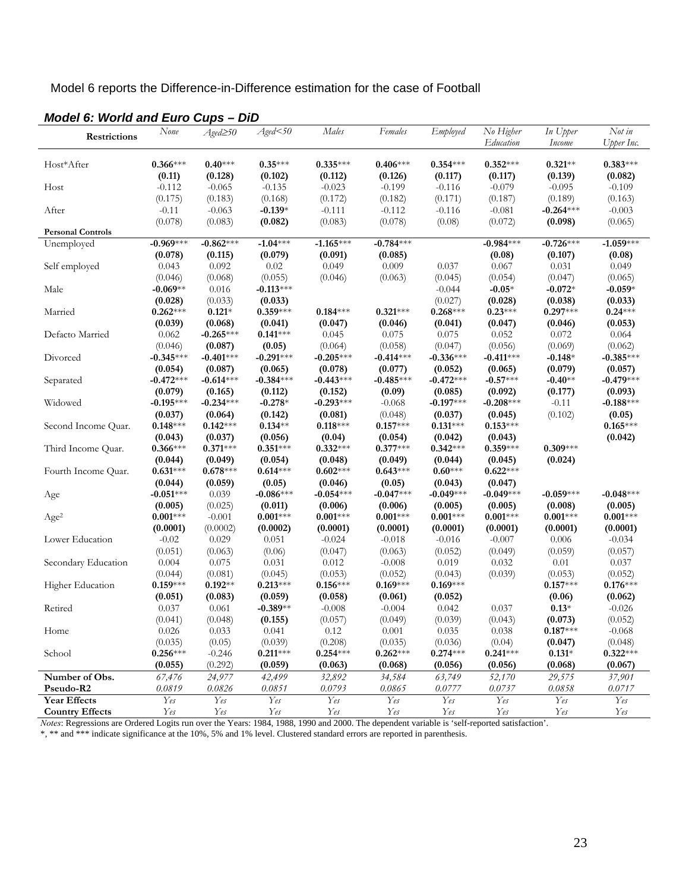| Model 6 reports the Difference-in-Difference estimation for the case of Football |  |
|----------------------------------------------------------------------------------|--|
|----------------------------------------------------------------------------------|--|

| Education<br>Income<br>Upper Inc.<br>$0.40***$<br>Host*After<br>$0.366***$<br>$0.35***$<br>$0.335***$<br>$0.406***$<br>$0.354***$<br>$0.352***$<br>$0.321**$<br>$0.383***$<br>(0.11)<br>(0.128)<br>(0.102)<br>(0.112)<br>(0.126)<br>(0.117)<br>(0.139)<br>(0.082)<br>(0.117)<br>$-0.023$<br>$-0.095$<br>$-0.112$<br>$-0.065$<br>$-0.135$<br>$-0.199$<br>$-0.116$<br>$-0.079$<br>$-0.109$<br>Host<br>(0.175)<br>(0.172)<br>(0.171)<br>(0.189)<br>(0.183)<br>(0.168)<br>(0.182)<br>(0.187)<br>(0.163)<br>After<br>$-0.139*$<br>$-0.111$<br>$-0.116$<br>$-0.264***$<br>$-0.11$<br>$-0.063$<br>$-0.112$<br>$-0.081$<br>$-0.003$<br>(0.078)<br>(0.083)<br>(0.082)<br>(0.078)<br>(0.083)<br>(0.08)<br>(0.072)<br>(0.098)<br>(0.065)<br><b>Personal Controls</b><br>$-0.969***$<br>$-0.862***$<br>$-1.04***$<br>$-1.165***$<br>$-0.784***$<br>$-0.984***$<br>$-0.726***$<br>$-1.059***$<br>Unemployed<br>(0.091)<br>(0.078)<br>(0.115)<br>(0.079)<br>(0.085)<br>(0.08)<br>(0.107)<br>(0.08)<br>0.049<br>Self employed<br>0.043<br>0.092<br>0.02<br>0.049<br>0.009<br>0.037<br>0.067<br>0.031<br>(0.046)<br>(0.055)<br>(0.046)<br>(0.063)<br>(0.045)<br>(0.047)<br>(0.068)<br>(0.054)<br>(0.065)<br>$-0.069**$<br>$-0.113***$<br>$-0.05*$<br>$-0.072*$<br>$-0.059*$<br>Male<br>0.016<br>$-0.044$<br>(0.033)<br>(0.033)<br>(0.027)<br>(0.028)<br>(0.038)<br>(0.033)<br>(0.028)<br>$0.359***$<br>$0.262***$<br>$0.121*$<br>$0.268***$<br>$0.23***$<br>$0.297***$<br>$0.24***$<br>Married<br>$0.184***$<br>$0.321***$<br>(0.039)<br>(0.068)<br>(0.041)<br>(0.047)<br>(0.046)<br>(0.041)<br>(0.047)<br>(0.046)<br>(0.053)<br>$-0.265***$<br>0.062<br>$0.141***$<br>0.045<br>0.075<br>0.072<br>Defacto Married<br>0.075<br>0.052<br>0.064<br>(0.087)<br>(0.05)<br>(0.064)<br>(0.058)<br>(0.047)<br>(0.056)<br>(0.069)<br>(0.062)<br>(0.046)<br>$-0.345***$<br>$-0.401***$<br>$-0.291***$<br>$-0.205***$<br>$-0.414***$<br>$-0.336***$<br>$-0.411***$<br>$-0.385***$<br>Divorced<br>$-0.148*$<br>(0.087)<br>(0.078)<br>(0.079)<br>(0.054)<br>(0.065)<br>(0.077)<br>(0.052)<br>(0.065)<br>(0.057)<br>$-0.40**$<br>$-0.472***$<br>$-0.614***$<br>$-0.384***$<br>$-0.443***$<br>$-0.485***$<br>$-0.472***$<br>$-0.57***$<br>$-0.479***$<br>Separated<br>(0.09)<br>(0.093)<br>(0.079)<br>(0.165)<br>(0.112)<br>(0.152)<br>(0.085)<br>(0.092)<br>(0.177)<br>$-0.195***$<br>$-0.234***$<br>$-0.293***$<br>$-0.197***$<br>$-0.208***$<br>$-0.11$<br>$-0.188***$<br>Widowed<br>$-0.278*$<br>$-0.068$<br>(0.081)<br>(0.037)<br>(0.037)<br>(0.064)<br>(0.142)<br>(0.048)<br>(0.045)<br>(0.102)<br>(0.05)<br>$0.148***$<br>$0.118***$<br>$0.131***$<br>$0.165***$<br>$0.142***$<br>$0.134**$<br>$0.157***$<br>$0.153***$<br>Second Income Quar.<br>(0.037)<br>(0.056)<br>(0.042)<br>(0.043)<br>(0.04)<br>(0.054)<br>(0.042)<br>(0.043)<br>$0.332***$<br>$0.342***$<br>$0.366***$<br>$0.371***$<br>$0.351***$<br>$0.377***$<br>$0.359***$<br>$0.309***$<br>Third Income Quar.<br>(0.024)<br>(0.044)<br>(0.049)<br>(0.054)<br>(0.048)<br>(0.049)<br>(0.044)<br>(0.045)<br>$0.60***$<br>$0.631***$<br>$0.678***$<br>$0.614***$<br>$0.602***$<br>$0.643***$<br>$0.622***$<br>Fourth Income Quar.<br>(0.044)<br>(0.046)<br>(0.043)<br>(0.059)<br>(0.05)<br>(0.05)<br>(0.047)<br>$-0.051***$<br>0.039<br>$-0.086***$<br>$-0.054***$<br>$-0.047***$<br>$-0.049***$<br>$-0.049***$<br>$-0.059***$<br>$-0.048***$<br>Age<br>(0.005)<br>(0.025)<br>(0.011)<br>(0.006)<br>(0.006)<br>(0.005)<br>(0.005)<br>(0.008)<br>(0.005)<br>$0.001***$<br>$0.001***$<br>$0.001***$<br>$0.001***$<br>$0.001***$<br>$0.001***$<br>$0.001***$<br>$0.001***$<br>$-0.001$<br>Age <sup>2</sup><br>(0.0001)<br>(0.0001)<br>(0.0001)<br>(0.0002)<br>(0.0002)<br>(0.0001)<br>(0.0001)<br>(0.0001)<br>(0.0001)<br>Lower Education<br>$-0.02$<br>0.029<br>0.051<br>$-0.024$<br>$-0.018$<br>$-0.016$<br>$-0.007$<br>0.006<br>$-0.034$<br>(0.051)<br>(0.059)<br>(0.057)<br>(0.063)<br>(0.06)<br>(0.047)<br>(0.063)<br>(0.052)<br>(0.049)<br>0.004<br>0.075<br>0.031<br>0.012<br>0.019<br>0.01<br>0.037<br>Secondary Education<br>$-0.008$<br>0.032<br>(0.081)<br>(0.045)<br>(0.053)<br>(0.052)<br>(0.044)<br>(0.052)<br>(0.043)<br>(0.039)<br>(0.053)<br>$0.169***$<br>$0.159***$<br>$0.192**$<br>$0.156***$<br>$0.169***$<br>$0.157***$<br>$0.176***$<br>Higher Education<br>$0.213***$<br>(0.051)<br>(0.059)<br>(0.058)<br>(0.062)<br>(0.083)<br>(0.061)<br>(0.052)<br>(0.06)<br>Retired<br>$-0.389**$<br>$0.13*$<br>0.037<br>0.061<br>$-0.008$<br>$-0.004$<br>0.042<br>0.037<br>$-0.026$<br>(0.057)<br>(0.039)<br>(0.073)<br>(0.052)<br>(0.041)<br>(0.048)<br>(0.155)<br>(0.049)<br>(0.043)<br>$0.026\,$<br>0.033<br>$0.001\,$<br>0.035<br>0.038<br>$0.187***$<br>$-0.068$<br>0.041<br>0.12<br>Home<br>(0.035)<br>(0.05)<br>(0.039)<br>(0.208)<br>(0.035)<br>(0.036)<br>(0.04)<br>(0.047)<br>(0.048)<br>$0.256***$<br>$0.254***$<br>$0.262***$<br>$0.274***$<br>$0.241***$<br>$0.131*$<br>$0.322***$<br>School<br>$-0.246$<br>$0.211***$<br>(0.292)<br>(0.055)<br>(0.059)<br>(0.063)<br>(0.068)<br>(0.056)<br>(0.056)<br>(0.068)<br>(0.067)<br>Number of Obs.<br>67,476<br>24,977<br>42,499<br>32,892<br>34,584<br>63,749<br>52,170<br>29,575<br>37,901<br>Pseudo-R2<br>0.0819<br>0.0826<br>0.0851<br>0.0793<br>0.0865<br>0.0777<br>0.0737<br>0.0858<br>0.0717<br><b>Year Effects</b><br>Yes<br>Yes<br>Yes<br>Yes<br>Yes<br>Yes<br>Yes<br>Yes<br>Yes |                        | None | Aged≥50 | $A$ ged $< 50$ | Males | Females | <b>Employed</b> | No Higher | In Upper | Not in |
|---------------------------------------------------------------------------------------------------------------------------------------------------------------------------------------------------------------------------------------------------------------------------------------------------------------------------------------------------------------------------------------------------------------------------------------------------------------------------------------------------------------------------------------------------------------------------------------------------------------------------------------------------------------------------------------------------------------------------------------------------------------------------------------------------------------------------------------------------------------------------------------------------------------------------------------------------------------------------------------------------------------------------------------------------------------------------------------------------------------------------------------------------------------------------------------------------------------------------------------------------------------------------------------------------------------------------------------------------------------------------------------------------------------------------------------------------------------------------------------------------------------------------------------------------------------------------------------------------------------------------------------------------------------------------------------------------------------------------------------------------------------------------------------------------------------------------------------------------------------------------------------------------------------------------------------------------------------------------------------------------------------------------------------------------------------------------------------------------------------------------------------------------------------------------------------------------------------------------------------------------------------------------------------------------------------------------------------------------------------------------------------------------------------------------------------------------------------------------------------------------------------------------------------------------------------------------------------------------------------------------------------------------------------------------------------------------------------------------------------------------------------------------------------------------------------------------------------------------------------------------------------------------------------------------------------------------------------------------------------------------------------------------------------------------------------------------------------------------------------------------------------------------------------------------------------------------------------------------------------------------------------------------------------------------------------------------------------------------------------------------------------------------------------------------------------------------------------------------------------------------------------------------------------------------------------------------------------------------------------------------------------------------------------------------------------------------------------------------------------------------------------------------------------------------------------------------------------------------------------------------------------------------------------------------------------------------------------------------------------------------------------------------------------------------------------------------------------------------------------------------------------------------------------------------------------------------------------------------------------------------------------------------------------------------------------------------------------------------------------------------------------------------------------------------------------------------------------------------------------------------------------------------------------------------------------------------------------------------------------------------------------------------------------------------------------------------------------------------------------------------------------------------------------------------------------------------------------------------------------------------------------------------------------------------------------------------------------------------------------------------------------------------------------------------------------------------------------------------------------------------------------------------------------------------------------------------------------------------------------------------------------------------------------------------------------------------------------------------------------------------------------------|------------------------|------|---------|----------------|-------|---------|-----------------|-----------|----------|--------|
|                                                                                                                                                                                                                                                                                                                                                                                                                                                                                                                                                                                                                                                                                                                                                                                                                                                                                                                                                                                                                                                                                                                                                                                                                                                                                                                                                                                                                                                                                                                                                                                                                                                                                                                                                                                                                                                                                                                                                                                                                                                                                                                                                                                                                                                                                                                                                                                                                                                                                                                                                                                                                                                                                                                                                                                                                                                                                                                                                                                                                                                                                                                                                                                                                                                                                                                                                                                                                                                                                                                                                                                                                                                                                                                                                                                                                                                                                                                                                                                                                                                                                                                                                                                                                                                                                                                                                                                                                                                                                                                                                                                                                                                                                                                                                                                                                                                                                                                                                                                                                                                                                                                                                                                                                                                                                                                                                                                             | Restrictions           |      |         |                |       |         |                 |           |          |        |
|                                                                                                                                                                                                                                                                                                                                                                                                                                                                                                                                                                                                                                                                                                                                                                                                                                                                                                                                                                                                                                                                                                                                                                                                                                                                                                                                                                                                                                                                                                                                                                                                                                                                                                                                                                                                                                                                                                                                                                                                                                                                                                                                                                                                                                                                                                                                                                                                                                                                                                                                                                                                                                                                                                                                                                                                                                                                                                                                                                                                                                                                                                                                                                                                                                                                                                                                                                                                                                                                                                                                                                                                                                                                                                                                                                                                                                                                                                                                                                                                                                                                                                                                                                                                                                                                                                                                                                                                                                                                                                                                                                                                                                                                                                                                                                                                                                                                                                                                                                                                                                                                                                                                                                                                                                                                                                                                                                                             |                        |      |         |                |       |         |                 |           |          |        |
|                                                                                                                                                                                                                                                                                                                                                                                                                                                                                                                                                                                                                                                                                                                                                                                                                                                                                                                                                                                                                                                                                                                                                                                                                                                                                                                                                                                                                                                                                                                                                                                                                                                                                                                                                                                                                                                                                                                                                                                                                                                                                                                                                                                                                                                                                                                                                                                                                                                                                                                                                                                                                                                                                                                                                                                                                                                                                                                                                                                                                                                                                                                                                                                                                                                                                                                                                                                                                                                                                                                                                                                                                                                                                                                                                                                                                                                                                                                                                                                                                                                                                                                                                                                                                                                                                                                                                                                                                                                                                                                                                                                                                                                                                                                                                                                                                                                                                                                                                                                                                                                                                                                                                                                                                                                                                                                                                                                             |                        |      |         |                |       |         |                 |           |          |        |
|                                                                                                                                                                                                                                                                                                                                                                                                                                                                                                                                                                                                                                                                                                                                                                                                                                                                                                                                                                                                                                                                                                                                                                                                                                                                                                                                                                                                                                                                                                                                                                                                                                                                                                                                                                                                                                                                                                                                                                                                                                                                                                                                                                                                                                                                                                                                                                                                                                                                                                                                                                                                                                                                                                                                                                                                                                                                                                                                                                                                                                                                                                                                                                                                                                                                                                                                                                                                                                                                                                                                                                                                                                                                                                                                                                                                                                                                                                                                                                                                                                                                                                                                                                                                                                                                                                                                                                                                                                                                                                                                                                                                                                                                                                                                                                                                                                                                                                                                                                                                                                                                                                                                                                                                                                                                                                                                                                                             |                        |      |         |                |       |         |                 |           |          |        |
|                                                                                                                                                                                                                                                                                                                                                                                                                                                                                                                                                                                                                                                                                                                                                                                                                                                                                                                                                                                                                                                                                                                                                                                                                                                                                                                                                                                                                                                                                                                                                                                                                                                                                                                                                                                                                                                                                                                                                                                                                                                                                                                                                                                                                                                                                                                                                                                                                                                                                                                                                                                                                                                                                                                                                                                                                                                                                                                                                                                                                                                                                                                                                                                                                                                                                                                                                                                                                                                                                                                                                                                                                                                                                                                                                                                                                                                                                                                                                                                                                                                                                                                                                                                                                                                                                                                                                                                                                                                                                                                                                                                                                                                                                                                                                                                                                                                                                                                                                                                                                                                                                                                                                                                                                                                                                                                                                                                             |                        |      |         |                |       |         |                 |           |          |        |
|                                                                                                                                                                                                                                                                                                                                                                                                                                                                                                                                                                                                                                                                                                                                                                                                                                                                                                                                                                                                                                                                                                                                                                                                                                                                                                                                                                                                                                                                                                                                                                                                                                                                                                                                                                                                                                                                                                                                                                                                                                                                                                                                                                                                                                                                                                                                                                                                                                                                                                                                                                                                                                                                                                                                                                                                                                                                                                                                                                                                                                                                                                                                                                                                                                                                                                                                                                                                                                                                                                                                                                                                                                                                                                                                                                                                                                                                                                                                                                                                                                                                                                                                                                                                                                                                                                                                                                                                                                                                                                                                                                                                                                                                                                                                                                                                                                                                                                                                                                                                                                                                                                                                                                                                                                                                                                                                                                                             |                        |      |         |                |       |         |                 |           |          |        |
|                                                                                                                                                                                                                                                                                                                                                                                                                                                                                                                                                                                                                                                                                                                                                                                                                                                                                                                                                                                                                                                                                                                                                                                                                                                                                                                                                                                                                                                                                                                                                                                                                                                                                                                                                                                                                                                                                                                                                                                                                                                                                                                                                                                                                                                                                                                                                                                                                                                                                                                                                                                                                                                                                                                                                                                                                                                                                                                                                                                                                                                                                                                                                                                                                                                                                                                                                                                                                                                                                                                                                                                                                                                                                                                                                                                                                                                                                                                                                                                                                                                                                                                                                                                                                                                                                                                                                                                                                                                                                                                                                                                                                                                                                                                                                                                                                                                                                                                                                                                                                                                                                                                                                                                                                                                                                                                                                                                             |                        |      |         |                |       |         |                 |           |          |        |
|                                                                                                                                                                                                                                                                                                                                                                                                                                                                                                                                                                                                                                                                                                                                                                                                                                                                                                                                                                                                                                                                                                                                                                                                                                                                                                                                                                                                                                                                                                                                                                                                                                                                                                                                                                                                                                                                                                                                                                                                                                                                                                                                                                                                                                                                                                                                                                                                                                                                                                                                                                                                                                                                                                                                                                                                                                                                                                                                                                                                                                                                                                                                                                                                                                                                                                                                                                                                                                                                                                                                                                                                                                                                                                                                                                                                                                                                                                                                                                                                                                                                                                                                                                                                                                                                                                                                                                                                                                                                                                                                                                                                                                                                                                                                                                                                                                                                                                                                                                                                                                                                                                                                                                                                                                                                                                                                                                                             |                        |      |         |                |       |         |                 |           |          |        |
|                                                                                                                                                                                                                                                                                                                                                                                                                                                                                                                                                                                                                                                                                                                                                                                                                                                                                                                                                                                                                                                                                                                                                                                                                                                                                                                                                                                                                                                                                                                                                                                                                                                                                                                                                                                                                                                                                                                                                                                                                                                                                                                                                                                                                                                                                                                                                                                                                                                                                                                                                                                                                                                                                                                                                                                                                                                                                                                                                                                                                                                                                                                                                                                                                                                                                                                                                                                                                                                                                                                                                                                                                                                                                                                                                                                                                                                                                                                                                                                                                                                                                                                                                                                                                                                                                                                                                                                                                                                                                                                                                                                                                                                                                                                                                                                                                                                                                                                                                                                                                                                                                                                                                                                                                                                                                                                                                                                             |                        |      |         |                |       |         |                 |           |          |        |
|                                                                                                                                                                                                                                                                                                                                                                                                                                                                                                                                                                                                                                                                                                                                                                                                                                                                                                                                                                                                                                                                                                                                                                                                                                                                                                                                                                                                                                                                                                                                                                                                                                                                                                                                                                                                                                                                                                                                                                                                                                                                                                                                                                                                                                                                                                                                                                                                                                                                                                                                                                                                                                                                                                                                                                                                                                                                                                                                                                                                                                                                                                                                                                                                                                                                                                                                                                                                                                                                                                                                                                                                                                                                                                                                                                                                                                                                                                                                                                                                                                                                                                                                                                                                                                                                                                                                                                                                                                                                                                                                                                                                                                                                                                                                                                                                                                                                                                                                                                                                                                                                                                                                                                                                                                                                                                                                                                                             |                        |      |         |                |       |         |                 |           |          |        |
|                                                                                                                                                                                                                                                                                                                                                                                                                                                                                                                                                                                                                                                                                                                                                                                                                                                                                                                                                                                                                                                                                                                                                                                                                                                                                                                                                                                                                                                                                                                                                                                                                                                                                                                                                                                                                                                                                                                                                                                                                                                                                                                                                                                                                                                                                                                                                                                                                                                                                                                                                                                                                                                                                                                                                                                                                                                                                                                                                                                                                                                                                                                                                                                                                                                                                                                                                                                                                                                                                                                                                                                                                                                                                                                                                                                                                                                                                                                                                                                                                                                                                                                                                                                                                                                                                                                                                                                                                                                                                                                                                                                                                                                                                                                                                                                                                                                                                                                                                                                                                                                                                                                                                                                                                                                                                                                                                                                             |                        |      |         |                |       |         |                 |           |          |        |
|                                                                                                                                                                                                                                                                                                                                                                                                                                                                                                                                                                                                                                                                                                                                                                                                                                                                                                                                                                                                                                                                                                                                                                                                                                                                                                                                                                                                                                                                                                                                                                                                                                                                                                                                                                                                                                                                                                                                                                                                                                                                                                                                                                                                                                                                                                                                                                                                                                                                                                                                                                                                                                                                                                                                                                                                                                                                                                                                                                                                                                                                                                                                                                                                                                                                                                                                                                                                                                                                                                                                                                                                                                                                                                                                                                                                                                                                                                                                                                                                                                                                                                                                                                                                                                                                                                                                                                                                                                                                                                                                                                                                                                                                                                                                                                                                                                                                                                                                                                                                                                                                                                                                                                                                                                                                                                                                                                                             |                        |      |         |                |       |         |                 |           |          |        |
|                                                                                                                                                                                                                                                                                                                                                                                                                                                                                                                                                                                                                                                                                                                                                                                                                                                                                                                                                                                                                                                                                                                                                                                                                                                                                                                                                                                                                                                                                                                                                                                                                                                                                                                                                                                                                                                                                                                                                                                                                                                                                                                                                                                                                                                                                                                                                                                                                                                                                                                                                                                                                                                                                                                                                                                                                                                                                                                                                                                                                                                                                                                                                                                                                                                                                                                                                                                                                                                                                                                                                                                                                                                                                                                                                                                                                                                                                                                                                                                                                                                                                                                                                                                                                                                                                                                                                                                                                                                                                                                                                                                                                                                                                                                                                                                                                                                                                                                                                                                                                                                                                                                                                                                                                                                                                                                                                                                             |                        |      |         |                |       |         |                 |           |          |        |
|                                                                                                                                                                                                                                                                                                                                                                                                                                                                                                                                                                                                                                                                                                                                                                                                                                                                                                                                                                                                                                                                                                                                                                                                                                                                                                                                                                                                                                                                                                                                                                                                                                                                                                                                                                                                                                                                                                                                                                                                                                                                                                                                                                                                                                                                                                                                                                                                                                                                                                                                                                                                                                                                                                                                                                                                                                                                                                                                                                                                                                                                                                                                                                                                                                                                                                                                                                                                                                                                                                                                                                                                                                                                                                                                                                                                                                                                                                                                                                                                                                                                                                                                                                                                                                                                                                                                                                                                                                                                                                                                                                                                                                                                                                                                                                                                                                                                                                                                                                                                                                                                                                                                                                                                                                                                                                                                                                                             |                        |      |         |                |       |         |                 |           |          |        |
|                                                                                                                                                                                                                                                                                                                                                                                                                                                                                                                                                                                                                                                                                                                                                                                                                                                                                                                                                                                                                                                                                                                                                                                                                                                                                                                                                                                                                                                                                                                                                                                                                                                                                                                                                                                                                                                                                                                                                                                                                                                                                                                                                                                                                                                                                                                                                                                                                                                                                                                                                                                                                                                                                                                                                                                                                                                                                                                                                                                                                                                                                                                                                                                                                                                                                                                                                                                                                                                                                                                                                                                                                                                                                                                                                                                                                                                                                                                                                                                                                                                                                                                                                                                                                                                                                                                                                                                                                                                                                                                                                                                                                                                                                                                                                                                                                                                                                                                                                                                                                                                                                                                                                                                                                                                                                                                                                                                             |                        |      |         |                |       |         |                 |           |          |        |
|                                                                                                                                                                                                                                                                                                                                                                                                                                                                                                                                                                                                                                                                                                                                                                                                                                                                                                                                                                                                                                                                                                                                                                                                                                                                                                                                                                                                                                                                                                                                                                                                                                                                                                                                                                                                                                                                                                                                                                                                                                                                                                                                                                                                                                                                                                                                                                                                                                                                                                                                                                                                                                                                                                                                                                                                                                                                                                                                                                                                                                                                                                                                                                                                                                                                                                                                                                                                                                                                                                                                                                                                                                                                                                                                                                                                                                                                                                                                                                                                                                                                                                                                                                                                                                                                                                                                                                                                                                                                                                                                                                                                                                                                                                                                                                                                                                                                                                                                                                                                                                                                                                                                                                                                                                                                                                                                                                                             |                        |      |         |                |       |         |                 |           |          |        |
|                                                                                                                                                                                                                                                                                                                                                                                                                                                                                                                                                                                                                                                                                                                                                                                                                                                                                                                                                                                                                                                                                                                                                                                                                                                                                                                                                                                                                                                                                                                                                                                                                                                                                                                                                                                                                                                                                                                                                                                                                                                                                                                                                                                                                                                                                                                                                                                                                                                                                                                                                                                                                                                                                                                                                                                                                                                                                                                                                                                                                                                                                                                                                                                                                                                                                                                                                                                                                                                                                                                                                                                                                                                                                                                                                                                                                                                                                                                                                                                                                                                                                                                                                                                                                                                                                                                                                                                                                                                                                                                                                                                                                                                                                                                                                                                                                                                                                                                                                                                                                                                                                                                                                                                                                                                                                                                                                                                             |                        |      |         |                |       |         |                 |           |          |        |
|                                                                                                                                                                                                                                                                                                                                                                                                                                                                                                                                                                                                                                                                                                                                                                                                                                                                                                                                                                                                                                                                                                                                                                                                                                                                                                                                                                                                                                                                                                                                                                                                                                                                                                                                                                                                                                                                                                                                                                                                                                                                                                                                                                                                                                                                                                                                                                                                                                                                                                                                                                                                                                                                                                                                                                                                                                                                                                                                                                                                                                                                                                                                                                                                                                                                                                                                                                                                                                                                                                                                                                                                                                                                                                                                                                                                                                                                                                                                                                                                                                                                                                                                                                                                                                                                                                                                                                                                                                                                                                                                                                                                                                                                                                                                                                                                                                                                                                                                                                                                                                                                                                                                                                                                                                                                                                                                                                                             |                        |      |         |                |       |         |                 |           |          |        |
|                                                                                                                                                                                                                                                                                                                                                                                                                                                                                                                                                                                                                                                                                                                                                                                                                                                                                                                                                                                                                                                                                                                                                                                                                                                                                                                                                                                                                                                                                                                                                                                                                                                                                                                                                                                                                                                                                                                                                                                                                                                                                                                                                                                                                                                                                                                                                                                                                                                                                                                                                                                                                                                                                                                                                                                                                                                                                                                                                                                                                                                                                                                                                                                                                                                                                                                                                                                                                                                                                                                                                                                                                                                                                                                                                                                                                                                                                                                                                                                                                                                                                                                                                                                                                                                                                                                                                                                                                                                                                                                                                                                                                                                                                                                                                                                                                                                                                                                                                                                                                                                                                                                                                                                                                                                                                                                                                                                             |                        |      |         |                |       |         |                 |           |          |        |
|                                                                                                                                                                                                                                                                                                                                                                                                                                                                                                                                                                                                                                                                                                                                                                                                                                                                                                                                                                                                                                                                                                                                                                                                                                                                                                                                                                                                                                                                                                                                                                                                                                                                                                                                                                                                                                                                                                                                                                                                                                                                                                                                                                                                                                                                                                                                                                                                                                                                                                                                                                                                                                                                                                                                                                                                                                                                                                                                                                                                                                                                                                                                                                                                                                                                                                                                                                                                                                                                                                                                                                                                                                                                                                                                                                                                                                                                                                                                                                                                                                                                                                                                                                                                                                                                                                                                                                                                                                                                                                                                                                                                                                                                                                                                                                                                                                                                                                                                                                                                                                                                                                                                                                                                                                                                                                                                                                                             |                        |      |         |                |       |         |                 |           |          |        |
|                                                                                                                                                                                                                                                                                                                                                                                                                                                                                                                                                                                                                                                                                                                                                                                                                                                                                                                                                                                                                                                                                                                                                                                                                                                                                                                                                                                                                                                                                                                                                                                                                                                                                                                                                                                                                                                                                                                                                                                                                                                                                                                                                                                                                                                                                                                                                                                                                                                                                                                                                                                                                                                                                                                                                                                                                                                                                                                                                                                                                                                                                                                                                                                                                                                                                                                                                                                                                                                                                                                                                                                                                                                                                                                                                                                                                                                                                                                                                                                                                                                                                                                                                                                                                                                                                                                                                                                                                                                                                                                                                                                                                                                                                                                                                                                                                                                                                                                                                                                                                                                                                                                                                                                                                                                                                                                                                                                             |                        |      |         |                |       |         |                 |           |          |        |
|                                                                                                                                                                                                                                                                                                                                                                                                                                                                                                                                                                                                                                                                                                                                                                                                                                                                                                                                                                                                                                                                                                                                                                                                                                                                                                                                                                                                                                                                                                                                                                                                                                                                                                                                                                                                                                                                                                                                                                                                                                                                                                                                                                                                                                                                                                                                                                                                                                                                                                                                                                                                                                                                                                                                                                                                                                                                                                                                                                                                                                                                                                                                                                                                                                                                                                                                                                                                                                                                                                                                                                                                                                                                                                                                                                                                                                                                                                                                                                                                                                                                                                                                                                                                                                                                                                                                                                                                                                                                                                                                                                                                                                                                                                                                                                                                                                                                                                                                                                                                                                                                                                                                                                                                                                                                                                                                                                                             |                        |      |         |                |       |         |                 |           |          |        |
|                                                                                                                                                                                                                                                                                                                                                                                                                                                                                                                                                                                                                                                                                                                                                                                                                                                                                                                                                                                                                                                                                                                                                                                                                                                                                                                                                                                                                                                                                                                                                                                                                                                                                                                                                                                                                                                                                                                                                                                                                                                                                                                                                                                                                                                                                                                                                                                                                                                                                                                                                                                                                                                                                                                                                                                                                                                                                                                                                                                                                                                                                                                                                                                                                                                                                                                                                                                                                                                                                                                                                                                                                                                                                                                                                                                                                                                                                                                                                                                                                                                                                                                                                                                                                                                                                                                                                                                                                                                                                                                                                                                                                                                                                                                                                                                                                                                                                                                                                                                                                                                                                                                                                                                                                                                                                                                                                                                             |                        |      |         |                |       |         |                 |           |          |        |
|                                                                                                                                                                                                                                                                                                                                                                                                                                                                                                                                                                                                                                                                                                                                                                                                                                                                                                                                                                                                                                                                                                                                                                                                                                                                                                                                                                                                                                                                                                                                                                                                                                                                                                                                                                                                                                                                                                                                                                                                                                                                                                                                                                                                                                                                                                                                                                                                                                                                                                                                                                                                                                                                                                                                                                                                                                                                                                                                                                                                                                                                                                                                                                                                                                                                                                                                                                                                                                                                                                                                                                                                                                                                                                                                                                                                                                                                                                                                                                                                                                                                                                                                                                                                                                                                                                                                                                                                                                                                                                                                                                                                                                                                                                                                                                                                                                                                                                                                                                                                                                                                                                                                                                                                                                                                                                                                                                                             |                        |      |         |                |       |         |                 |           |          |        |
|                                                                                                                                                                                                                                                                                                                                                                                                                                                                                                                                                                                                                                                                                                                                                                                                                                                                                                                                                                                                                                                                                                                                                                                                                                                                                                                                                                                                                                                                                                                                                                                                                                                                                                                                                                                                                                                                                                                                                                                                                                                                                                                                                                                                                                                                                                                                                                                                                                                                                                                                                                                                                                                                                                                                                                                                                                                                                                                                                                                                                                                                                                                                                                                                                                                                                                                                                                                                                                                                                                                                                                                                                                                                                                                                                                                                                                                                                                                                                                                                                                                                                                                                                                                                                                                                                                                                                                                                                                                                                                                                                                                                                                                                                                                                                                                                                                                                                                                                                                                                                                                                                                                                                                                                                                                                                                                                                                                             |                        |      |         |                |       |         |                 |           |          |        |
|                                                                                                                                                                                                                                                                                                                                                                                                                                                                                                                                                                                                                                                                                                                                                                                                                                                                                                                                                                                                                                                                                                                                                                                                                                                                                                                                                                                                                                                                                                                                                                                                                                                                                                                                                                                                                                                                                                                                                                                                                                                                                                                                                                                                                                                                                                                                                                                                                                                                                                                                                                                                                                                                                                                                                                                                                                                                                                                                                                                                                                                                                                                                                                                                                                                                                                                                                                                                                                                                                                                                                                                                                                                                                                                                                                                                                                                                                                                                                                                                                                                                                                                                                                                                                                                                                                                                                                                                                                                                                                                                                                                                                                                                                                                                                                                                                                                                                                                                                                                                                                                                                                                                                                                                                                                                                                                                                                                             |                        |      |         |                |       |         |                 |           |          |        |
|                                                                                                                                                                                                                                                                                                                                                                                                                                                                                                                                                                                                                                                                                                                                                                                                                                                                                                                                                                                                                                                                                                                                                                                                                                                                                                                                                                                                                                                                                                                                                                                                                                                                                                                                                                                                                                                                                                                                                                                                                                                                                                                                                                                                                                                                                                                                                                                                                                                                                                                                                                                                                                                                                                                                                                                                                                                                                                                                                                                                                                                                                                                                                                                                                                                                                                                                                                                                                                                                                                                                                                                                                                                                                                                                                                                                                                                                                                                                                                                                                                                                                                                                                                                                                                                                                                                                                                                                                                                                                                                                                                                                                                                                                                                                                                                                                                                                                                                                                                                                                                                                                                                                                                                                                                                                                                                                                                                             |                        |      |         |                |       |         |                 |           |          |        |
|                                                                                                                                                                                                                                                                                                                                                                                                                                                                                                                                                                                                                                                                                                                                                                                                                                                                                                                                                                                                                                                                                                                                                                                                                                                                                                                                                                                                                                                                                                                                                                                                                                                                                                                                                                                                                                                                                                                                                                                                                                                                                                                                                                                                                                                                                                                                                                                                                                                                                                                                                                                                                                                                                                                                                                                                                                                                                                                                                                                                                                                                                                                                                                                                                                                                                                                                                                                                                                                                                                                                                                                                                                                                                                                                                                                                                                                                                                                                                                                                                                                                                                                                                                                                                                                                                                                                                                                                                                                                                                                                                                                                                                                                                                                                                                                                                                                                                                                                                                                                                                                                                                                                                                                                                                                                                                                                                                                             |                        |      |         |                |       |         |                 |           |          |        |
|                                                                                                                                                                                                                                                                                                                                                                                                                                                                                                                                                                                                                                                                                                                                                                                                                                                                                                                                                                                                                                                                                                                                                                                                                                                                                                                                                                                                                                                                                                                                                                                                                                                                                                                                                                                                                                                                                                                                                                                                                                                                                                                                                                                                                                                                                                                                                                                                                                                                                                                                                                                                                                                                                                                                                                                                                                                                                                                                                                                                                                                                                                                                                                                                                                                                                                                                                                                                                                                                                                                                                                                                                                                                                                                                                                                                                                                                                                                                                                                                                                                                                                                                                                                                                                                                                                                                                                                                                                                                                                                                                                                                                                                                                                                                                                                                                                                                                                                                                                                                                                                                                                                                                                                                                                                                                                                                                                                             |                        |      |         |                |       |         |                 |           |          |        |
|                                                                                                                                                                                                                                                                                                                                                                                                                                                                                                                                                                                                                                                                                                                                                                                                                                                                                                                                                                                                                                                                                                                                                                                                                                                                                                                                                                                                                                                                                                                                                                                                                                                                                                                                                                                                                                                                                                                                                                                                                                                                                                                                                                                                                                                                                                                                                                                                                                                                                                                                                                                                                                                                                                                                                                                                                                                                                                                                                                                                                                                                                                                                                                                                                                                                                                                                                                                                                                                                                                                                                                                                                                                                                                                                                                                                                                                                                                                                                                                                                                                                                                                                                                                                                                                                                                                                                                                                                                                                                                                                                                                                                                                                                                                                                                                                                                                                                                                                                                                                                                                                                                                                                                                                                                                                                                                                                                                             |                        |      |         |                |       |         |                 |           |          |        |
|                                                                                                                                                                                                                                                                                                                                                                                                                                                                                                                                                                                                                                                                                                                                                                                                                                                                                                                                                                                                                                                                                                                                                                                                                                                                                                                                                                                                                                                                                                                                                                                                                                                                                                                                                                                                                                                                                                                                                                                                                                                                                                                                                                                                                                                                                                                                                                                                                                                                                                                                                                                                                                                                                                                                                                                                                                                                                                                                                                                                                                                                                                                                                                                                                                                                                                                                                                                                                                                                                                                                                                                                                                                                                                                                                                                                                                                                                                                                                                                                                                                                                                                                                                                                                                                                                                                                                                                                                                                                                                                                                                                                                                                                                                                                                                                                                                                                                                                                                                                                                                                                                                                                                                                                                                                                                                                                                                                             |                        |      |         |                |       |         |                 |           |          |        |
|                                                                                                                                                                                                                                                                                                                                                                                                                                                                                                                                                                                                                                                                                                                                                                                                                                                                                                                                                                                                                                                                                                                                                                                                                                                                                                                                                                                                                                                                                                                                                                                                                                                                                                                                                                                                                                                                                                                                                                                                                                                                                                                                                                                                                                                                                                                                                                                                                                                                                                                                                                                                                                                                                                                                                                                                                                                                                                                                                                                                                                                                                                                                                                                                                                                                                                                                                                                                                                                                                                                                                                                                                                                                                                                                                                                                                                                                                                                                                                                                                                                                                                                                                                                                                                                                                                                                                                                                                                                                                                                                                                                                                                                                                                                                                                                                                                                                                                                                                                                                                                                                                                                                                                                                                                                                                                                                                                                             |                        |      |         |                |       |         |                 |           |          |        |
|                                                                                                                                                                                                                                                                                                                                                                                                                                                                                                                                                                                                                                                                                                                                                                                                                                                                                                                                                                                                                                                                                                                                                                                                                                                                                                                                                                                                                                                                                                                                                                                                                                                                                                                                                                                                                                                                                                                                                                                                                                                                                                                                                                                                                                                                                                                                                                                                                                                                                                                                                                                                                                                                                                                                                                                                                                                                                                                                                                                                                                                                                                                                                                                                                                                                                                                                                                                                                                                                                                                                                                                                                                                                                                                                                                                                                                                                                                                                                                                                                                                                                                                                                                                                                                                                                                                                                                                                                                                                                                                                                                                                                                                                                                                                                                                                                                                                                                                                                                                                                                                                                                                                                                                                                                                                                                                                                                                             |                        |      |         |                |       |         |                 |           |          |        |
|                                                                                                                                                                                                                                                                                                                                                                                                                                                                                                                                                                                                                                                                                                                                                                                                                                                                                                                                                                                                                                                                                                                                                                                                                                                                                                                                                                                                                                                                                                                                                                                                                                                                                                                                                                                                                                                                                                                                                                                                                                                                                                                                                                                                                                                                                                                                                                                                                                                                                                                                                                                                                                                                                                                                                                                                                                                                                                                                                                                                                                                                                                                                                                                                                                                                                                                                                                                                                                                                                                                                                                                                                                                                                                                                                                                                                                                                                                                                                                                                                                                                                                                                                                                                                                                                                                                                                                                                                                                                                                                                                                                                                                                                                                                                                                                                                                                                                                                                                                                                                                                                                                                                                                                                                                                                                                                                                                                             |                        |      |         |                |       |         |                 |           |          |        |
|                                                                                                                                                                                                                                                                                                                                                                                                                                                                                                                                                                                                                                                                                                                                                                                                                                                                                                                                                                                                                                                                                                                                                                                                                                                                                                                                                                                                                                                                                                                                                                                                                                                                                                                                                                                                                                                                                                                                                                                                                                                                                                                                                                                                                                                                                                                                                                                                                                                                                                                                                                                                                                                                                                                                                                                                                                                                                                                                                                                                                                                                                                                                                                                                                                                                                                                                                                                                                                                                                                                                                                                                                                                                                                                                                                                                                                                                                                                                                                                                                                                                                                                                                                                                                                                                                                                                                                                                                                                                                                                                                                                                                                                                                                                                                                                                                                                                                                                                                                                                                                                                                                                                                                                                                                                                                                                                                                                             |                        |      |         |                |       |         |                 |           |          |        |
|                                                                                                                                                                                                                                                                                                                                                                                                                                                                                                                                                                                                                                                                                                                                                                                                                                                                                                                                                                                                                                                                                                                                                                                                                                                                                                                                                                                                                                                                                                                                                                                                                                                                                                                                                                                                                                                                                                                                                                                                                                                                                                                                                                                                                                                                                                                                                                                                                                                                                                                                                                                                                                                                                                                                                                                                                                                                                                                                                                                                                                                                                                                                                                                                                                                                                                                                                                                                                                                                                                                                                                                                                                                                                                                                                                                                                                                                                                                                                                                                                                                                                                                                                                                                                                                                                                                                                                                                                                                                                                                                                                                                                                                                                                                                                                                                                                                                                                                                                                                                                                                                                                                                                                                                                                                                                                                                                                                             |                        |      |         |                |       |         |                 |           |          |        |
|                                                                                                                                                                                                                                                                                                                                                                                                                                                                                                                                                                                                                                                                                                                                                                                                                                                                                                                                                                                                                                                                                                                                                                                                                                                                                                                                                                                                                                                                                                                                                                                                                                                                                                                                                                                                                                                                                                                                                                                                                                                                                                                                                                                                                                                                                                                                                                                                                                                                                                                                                                                                                                                                                                                                                                                                                                                                                                                                                                                                                                                                                                                                                                                                                                                                                                                                                                                                                                                                                                                                                                                                                                                                                                                                                                                                                                                                                                                                                                                                                                                                                                                                                                                                                                                                                                                                                                                                                                                                                                                                                                                                                                                                                                                                                                                                                                                                                                                                                                                                                                                                                                                                                                                                                                                                                                                                                                                             |                        |      |         |                |       |         |                 |           |          |        |
|                                                                                                                                                                                                                                                                                                                                                                                                                                                                                                                                                                                                                                                                                                                                                                                                                                                                                                                                                                                                                                                                                                                                                                                                                                                                                                                                                                                                                                                                                                                                                                                                                                                                                                                                                                                                                                                                                                                                                                                                                                                                                                                                                                                                                                                                                                                                                                                                                                                                                                                                                                                                                                                                                                                                                                                                                                                                                                                                                                                                                                                                                                                                                                                                                                                                                                                                                                                                                                                                                                                                                                                                                                                                                                                                                                                                                                                                                                                                                                                                                                                                                                                                                                                                                                                                                                                                                                                                                                                                                                                                                                                                                                                                                                                                                                                                                                                                                                                                                                                                                                                                                                                                                                                                                                                                                                                                                                                             |                        |      |         |                |       |         |                 |           |          |        |
|                                                                                                                                                                                                                                                                                                                                                                                                                                                                                                                                                                                                                                                                                                                                                                                                                                                                                                                                                                                                                                                                                                                                                                                                                                                                                                                                                                                                                                                                                                                                                                                                                                                                                                                                                                                                                                                                                                                                                                                                                                                                                                                                                                                                                                                                                                                                                                                                                                                                                                                                                                                                                                                                                                                                                                                                                                                                                                                                                                                                                                                                                                                                                                                                                                                                                                                                                                                                                                                                                                                                                                                                                                                                                                                                                                                                                                                                                                                                                                                                                                                                                                                                                                                                                                                                                                                                                                                                                                                                                                                                                                                                                                                                                                                                                                                                                                                                                                                                                                                                                                                                                                                                                                                                                                                                                                                                                                                             |                        |      |         |                |       |         |                 |           |          |        |
|                                                                                                                                                                                                                                                                                                                                                                                                                                                                                                                                                                                                                                                                                                                                                                                                                                                                                                                                                                                                                                                                                                                                                                                                                                                                                                                                                                                                                                                                                                                                                                                                                                                                                                                                                                                                                                                                                                                                                                                                                                                                                                                                                                                                                                                                                                                                                                                                                                                                                                                                                                                                                                                                                                                                                                                                                                                                                                                                                                                                                                                                                                                                                                                                                                                                                                                                                                                                                                                                                                                                                                                                                                                                                                                                                                                                                                                                                                                                                                                                                                                                                                                                                                                                                                                                                                                                                                                                                                                                                                                                                                                                                                                                                                                                                                                                                                                                                                                                                                                                                                                                                                                                                                                                                                                                                                                                                                                             |                        |      |         |                |       |         |                 |           |          |        |
|                                                                                                                                                                                                                                                                                                                                                                                                                                                                                                                                                                                                                                                                                                                                                                                                                                                                                                                                                                                                                                                                                                                                                                                                                                                                                                                                                                                                                                                                                                                                                                                                                                                                                                                                                                                                                                                                                                                                                                                                                                                                                                                                                                                                                                                                                                                                                                                                                                                                                                                                                                                                                                                                                                                                                                                                                                                                                                                                                                                                                                                                                                                                                                                                                                                                                                                                                                                                                                                                                                                                                                                                                                                                                                                                                                                                                                                                                                                                                                                                                                                                                                                                                                                                                                                                                                                                                                                                                                                                                                                                                                                                                                                                                                                                                                                                                                                                                                                                                                                                                                                                                                                                                                                                                                                                                                                                                                                             |                        |      |         |                |       |         |                 |           |          |        |
|                                                                                                                                                                                                                                                                                                                                                                                                                                                                                                                                                                                                                                                                                                                                                                                                                                                                                                                                                                                                                                                                                                                                                                                                                                                                                                                                                                                                                                                                                                                                                                                                                                                                                                                                                                                                                                                                                                                                                                                                                                                                                                                                                                                                                                                                                                                                                                                                                                                                                                                                                                                                                                                                                                                                                                                                                                                                                                                                                                                                                                                                                                                                                                                                                                                                                                                                                                                                                                                                                                                                                                                                                                                                                                                                                                                                                                                                                                                                                                                                                                                                                                                                                                                                                                                                                                                                                                                                                                                                                                                                                                                                                                                                                                                                                                                                                                                                                                                                                                                                                                                                                                                                                                                                                                                                                                                                                                                             |                        |      |         |                |       |         |                 |           |          |        |
|                                                                                                                                                                                                                                                                                                                                                                                                                                                                                                                                                                                                                                                                                                                                                                                                                                                                                                                                                                                                                                                                                                                                                                                                                                                                                                                                                                                                                                                                                                                                                                                                                                                                                                                                                                                                                                                                                                                                                                                                                                                                                                                                                                                                                                                                                                                                                                                                                                                                                                                                                                                                                                                                                                                                                                                                                                                                                                                                                                                                                                                                                                                                                                                                                                                                                                                                                                                                                                                                                                                                                                                                                                                                                                                                                                                                                                                                                                                                                                                                                                                                                                                                                                                                                                                                                                                                                                                                                                                                                                                                                                                                                                                                                                                                                                                                                                                                                                                                                                                                                                                                                                                                                                                                                                                                                                                                                                                             |                        |      |         |                |       |         |                 |           |          |        |
|                                                                                                                                                                                                                                                                                                                                                                                                                                                                                                                                                                                                                                                                                                                                                                                                                                                                                                                                                                                                                                                                                                                                                                                                                                                                                                                                                                                                                                                                                                                                                                                                                                                                                                                                                                                                                                                                                                                                                                                                                                                                                                                                                                                                                                                                                                                                                                                                                                                                                                                                                                                                                                                                                                                                                                                                                                                                                                                                                                                                                                                                                                                                                                                                                                                                                                                                                                                                                                                                                                                                                                                                                                                                                                                                                                                                                                                                                                                                                                                                                                                                                                                                                                                                                                                                                                                                                                                                                                                                                                                                                                                                                                                                                                                                                                                                                                                                                                                                                                                                                                                                                                                                                                                                                                                                                                                                                                                             |                        |      |         |                |       |         |                 |           |          |        |
|                                                                                                                                                                                                                                                                                                                                                                                                                                                                                                                                                                                                                                                                                                                                                                                                                                                                                                                                                                                                                                                                                                                                                                                                                                                                                                                                                                                                                                                                                                                                                                                                                                                                                                                                                                                                                                                                                                                                                                                                                                                                                                                                                                                                                                                                                                                                                                                                                                                                                                                                                                                                                                                                                                                                                                                                                                                                                                                                                                                                                                                                                                                                                                                                                                                                                                                                                                                                                                                                                                                                                                                                                                                                                                                                                                                                                                                                                                                                                                                                                                                                                                                                                                                                                                                                                                                                                                                                                                                                                                                                                                                                                                                                                                                                                                                                                                                                                                                                                                                                                                                                                                                                                                                                                                                                                                                                                                                             |                        |      |         |                |       |         |                 |           |          |        |
|                                                                                                                                                                                                                                                                                                                                                                                                                                                                                                                                                                                                                                                                                                                                                                                                                                                                                                                                                                                                                                                                                                                                                                                                                                                                                                                                                                                                                                                                                                                                                                                                                                                                                                                                                                                                                                                                                                                                                                                                                                                                                                                                                                                                                                                                                                                                                                                                                                                                                                                                                                                                                                                                                                                                                                                                                                                                                                                                                                                                                                                                                                                                                                                                                                                                                                                                                                                                                                                                                                                                                                                                                                                                                                                                                                                                                                                                                                                                                                                                                                                                                                                                                                                                                                                                                                                                                                                                                                                                                                                                                                                                                                                                                                                                                                                                                                                                                                                                                                                                                                                                                                                                                                                                                                                                                                                                                                                             |                        |      |         |                |       |         |                 |           |          |        |
|                                                                                                                                                                                                                                                                                                                                                                                                                                                                                                                                                                                                                                                                                                                                                                                                                                                                                                                                                                                                                                                                                                                                                                                                                                                                                                                                                                                                                                                                                                                                                                                                                                                                                                                                                                                                                                                                                                                                                                                                                                                                                                                                                                                                                                                                                                                                                                                                                                                                                                                                                                                                                                                                                                                                                                                                                                                                                                                                                                                                                                                                                                                                                                                                                                                                                                                                                                                                                                                                                                                                                                                                                                                                                                                                                                                                                                                                                                                                                                                                                                                                                                                                                                                                                                                                                                                                                                                                                                                                                                                                                                                                                                                                                                                                                                                                                                                                                                                                                                                                                                                                                                                                                                                                                                                                                                                                                                                             |                        |      |         |                |       |         |                 |           |          |        |
|                                                                                                                                                                                                                                                                                                                                                                                                                                                                                                                                                                                                                                                                                                                                                                                                                                                                                                                                                                                                                                                                                                                                                                                                                                                                                                                                                                                                                                                                                                                                                                                                                                                                                                                                                                                                                                                                                                                                                                                                                                                                                                                                                                                                                                                                                                                                                                                                                                                                                                                                                                                                                                                                                                                                                                                                                                                                                                                                                                                                                                                                                                                                                                                                                                                                                                                                                                                                                                                                                                                                                                                                                                                                                                                                                                                                                                                                                                                                                                                                                                                                                                                                                                                                                                                                                                                                                                                                                                                                                                                                                                                                                                                                                                                                                                                                                                                                                                                                                                                                                                                                                                                                                                                                                                                                                                                                                                                             |                        |      |         |                |       |         |                 |           |          |        |
|                                                                                                                                                                                                                                                                                                                                                                                                                                                                                                                                                                                                                                                                                                                                                                                                                                                                                                                                                                                                                                                                                                                                                                                                                                                                                                                                                                                                                                                                                                                                                                                                                                                                                                                                                                                                                                                                                                                                                                                                                                                                                                                                                                                                                                                                                                                                                                                                                                                                                                                                                                                                                                                                                                                                                                                                                                                                                                                                                                                                                                                                                                                                                                                                                                                                                                                                                                                                                                                                                                                                                                                                                                                                                                                                                                                                                                                                                                                                                                                                                                                                                                                                                                                                                                                                                                                                                                                                                                                                                                                                                                                                                                                                                                                                                                                                                                                                                                                                                                                                                                                                                                                                                                                                                                                                                                                                                                                             |                        |      |         |                |       |         |                 |           |          |        |
|                                                                                                                                                                                                                                                                                                                                                                                                                                                                                                                                                                                                                                                                                                                                                                                                                                                                                                                                                                                                                                                                                                                                                                                                                                                                                                                                                                                                                                                                                                                                                                                                                                                                                                                                                                                                                                                                                                                                                                                                                                                                                                                                                                                                                                                                                                                                                                                                                                                                                                                                                                                                                                                                                                                                                                                                                                                                                                                                                                                                                                                                                                                                                                                                                                                                                                                                                                                                                                                                                                                                                                                                                                                                                                                                                                                                                                                                                                                                                                                                                                                                                                                                                                                                                                                                                                                                                                                                                                                                                                                                                                                                                                                                                                                                                                                                                                                                                                                                                                                                                                                                                                                                                                                                                                                                                                                                                                                             |                        |      |         |                |       |         |                 |           |          |        |
|                                                                                                                                                                                                                                                                                                                                                                                                                                                                                                                                                                                                                                                                                                                                                                                                                                                                                                                                                                                                                                                                                                                                                                                                                                                                                                                                                                                                                                                                                                                                                                                                                                                                                                                                                                                                                                                                                                                                                                                                                                                                                                                                                                                                                                                                                                                                                                                                                                                                                                                                                                                                                                                                                                                                                                                                                                                                                                                                                                                                                                                                                                                                                                                                                                                                                                                                                                                                                                                                                                                                                                                                                                                                                                                                                                                                                                                                                                                                                                                                                                                                                                                                                                                                                                                                                                                                                                                                                                                                                                                                                                                                                                                                                                                                                                                                                                                                                                                                                                                                                                                                                                                                                                                                                                                                                                                                                                                             | <b>Country Effects</b> | Yes  | Yes     | Yes            | Yes   | Yes     | Yes             | Yes       | Yes      | Yes    |

# *Model 6: World and Euro Cups – DiD*

*Notes*: Regressions are Ordered Logits run over the Years: 1984, 1988, 1990 and 2000. The dependent variable is 'self-reported satisfaction'.

\*, \*\* and \*\*\* indicate significance at the 10%, 5% and 1% level. Clustered standard errors are reported in parenthesis.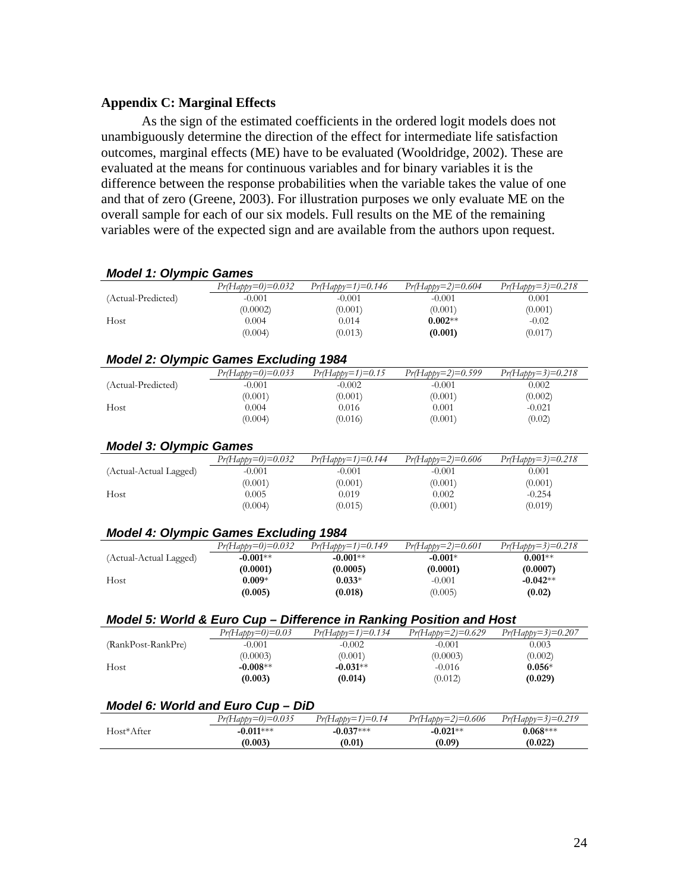# **Appendix C: Marginal Effects**

As the sign of the estimated coefficients in the ordered logit models does not unambiguously determine the direction of the effect for intermediate life satisfaction outcomes, marginal effects (ME) have to be evaluated (Wooldridge, 2002). These are evaluated at the means for continuous variables and for binary variables it is the difference between the response probabilities when the variable takes the value of one and that of zero (Greene, 2003). For illustration purposes we only evaluate ME on the overall sample for each of our six models. Full results on the ME of the remaining variables were of the expected sign and are available from the authors upon request.

| <i>wodel 1: Olympic Games</i>                                                  |                               |                     |                     |                     |
|--------------------------------------------------------------------------------|-------------------------------|---------------------|---------------------|---------------------|
|                                                                                | $Pr(Happy=0)=0.032$           | $Pr(Happy=1)=0.146$ | $Pr(Happy=2)=0.604$ | $Pr(Happy=3)=0.218$ |
| (Actual-Predicted)                                                             | $-0.001$                      | $-0.001$            | $-0.001$            | 0.001               |
|                                                                                | (0.0002)                      | (0.001)             | (0.001)             | (0.001)             |
| Host                                                                           | 0.004                         | 0.014               | $0.002**$           | $-0.02$             |
|                                                                                | (0.004)                       | (0.013)             | (0.001)             | (0.017)             |
| <b>Model 2: Olympic Games Excluding 1984</b>                                   |                               |                     |                     |                     |
|                                                                                | $Pr(H_{\text{dppy}}=0)=0.033$ | $Pr(Happy=1)=0.15$  | $Pr(Happy=2)=0.599$ | $Pr(Happy=3)=0.218$ |
| (Actual-Predicted)                                                             | $-0.001$                      | $-0.002$            | $-0.001$            | 0.002               |
|                                                                                | (0.001)                       | (0.001)             | (0.001)             | (0.002)             |
| Host                                                                           | 0.004                         | 0.016               | 0.001               | $-0.021$            |
|                                                                                | (0.004)                       | (0.016)             | (0.001)             | (0.02)              |
| <b>Model 3: Olympic Games</b>                                                  |                               |                     |                     |                     |
|                                                                                | $Pr(Happy=0)=0.032$           | $Pr(Happy=1)=0.144$ | $Pr(Happy=2)=0.606$ | $Pr(Happy=3)=0.218$ |
| (Actual-Actual Lagged)                                                         | $-0.001$                      | $-0.001$            | $-0.001$            | 0.001               |
|                                                                                | (0.001)                       | (0.001)             | (0.001)             | (0.001)             |
|                                                                                |                               |                     |                     |                     |
|                                                                                |                               |                     |                     |                     |
| Host                                                                           | 0.005<br>(0.004)              | 0.019<br>(0.015)    | 0.002<br>(0.001)    | $-0.254$<br>(0.019) |
| <b>Model 4: Olympic Games Excluding 1984</b>                                   |                               |                     |                     |                     |
|                                                                                | $Pr(Happy=0)=0.032$           | $Pr(Happy=1)=0.149$ | $Pr(Happy=2)=0.601$ | $Pr(Happy=3)=0.218$ |
| (Actual-Actual Lagged)                                                         | $-0.001**$                    | $-0.001**$          | $-0.001*$           | $0.001**$           |
|                                                                                | (0.0001)                      | (0.0005)            | (0.0001)            | (0.0007)            |
| Host                                                                           | $0.009*$                      | $0.033*$            | $-0.001$            | $-0.042**$          |
|                                                                                | (0.005)                       | (0.018)             | (0.005)             | (0.02)              |
| <b>Model 5: World &amp; Euro Cup – Difference in Ranking Position and Host</b> |                               |                     |                     |                     |
|                                                                                | $Pr(Happy=0)=0.03$            | $Pr(Happy=1)=0.134$ | $Pr(Happy=2)=0.629$ | $Pr(Happy=3)=0.207$ |
| (RankPost-RankPre)                                                             | $-0.001$                      | $-0.002$            | $-0.001$            | 0.003               |
|                                                                                | (0.0003)                      | (0.001)             | (0.0003)            | (0.002)             |
| Host                                                                           | $-0.008**$                    | $-0.031**$          | $-0.016$            | $0.056*$            |
|                                                                                | (0.003)                       | (0.014)             | (0.012)             | (0.029)             |
| Model 6: World and Euro Cup - DiD                                              |                               |                     |                     |                     |
|                                                                                | $Pr(Happy=0)=0.035$           | $Pr(Happy=1)=0.14$  | $Pr(Happy=2)=0.606$ | $Pr(Happy=3)=0.219$ |
| Host*After                                                                     | $-0.011***$                   | $-0.037***$         | $-0.021**$          | $0.068***$          |

# *Model 1: Olympic Games*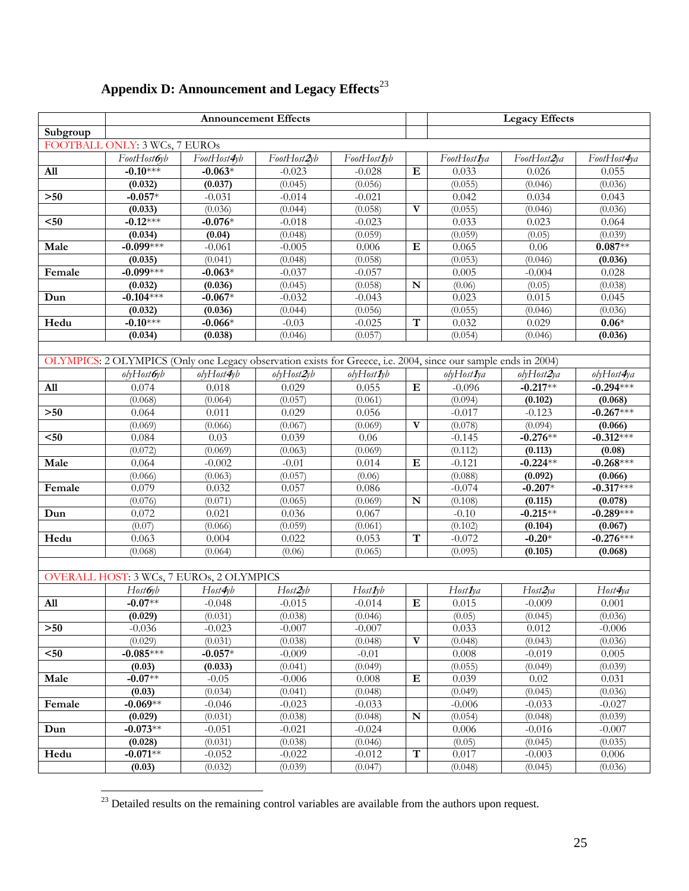|          | <b>Announcement Effects</b>                                                                                    |                |             |                         |                | <b>Legacy Effects</b> |             |             |  |
|----------|----------------------------------------------------------------------------------------------------------------|----------------|-------------|-------------------------|----------------|-----------------------|-------------|-------------|--|
| Subgroup |                                                                                                                |                |             |                         |                |                       |             |             |  |
|          | FOOTBALL ONLY: 3 WCs, 7 EUROs                                                                                  |                |             |                         |                |                       |             |             |  |
|          | FootHost6yb                                                                                                    | FootHost4yb    | FootHost2yb | $FoodHost1$ yb          |                | FootHost1ya           | FootHost2ya | FootHost4ya |  |
| A11      | $-0.10***$                                                                                                     | $-0.063*$      | $-0.023$    | $-0.028$                | ${\bf E}$      | 0.033                 | 0.026       | 0.055       |  |
|          | (0.032)                                                                                                        | (0.037)        | (0.045)     | (0.056)                 |                | (0.055)               | (0.046)     | (0.036)     |  |
| $>50$    | $-0.057*$                                                                                                      | $-0.031$       | $-0.014$    | $-0.021$                |                | 0.042                 | 0.034       | 0.043       |  |
|          | (0.033)                                                                                                        | (0.036)        | (0.044)     | (0.058)                 | V              | (0.055)               | (0.046)     | (0.036)     |  |
| $50$     | $-0.12***$                                                                                                     | $-0.076*$      | $-0.018$    | $-0.023$                |                | 0.033                 | 0.023       | 0.064       |  |
|          | (0.034)                                                                                                        | (0.04)         | (0.048)     | (0.059)                 |                | (0.059)               | (0.05)      | (0.039)     |  |
| Male     | $-0.099***$                                                                                                    | $-0.061$       | $-0.005$    | 0.006                   | ${\bf E}$      | 0.065                 | 0.06        | $0.087**$   |  |
|          | (0.035)                                                                                                        | (0.041)        | (0.048)     | (0.058)                 |                | (0.053)               | (0.046)     | (0.036)     |  |
| Female   | $-0.099***$                                                                                                    | $-0.063*$      | $-0.037$    | $-0.057$                |                | 0.005                 | $-0.004$    | 0.028       |  |
|          | (0.032)                                                                                                        | (0.036)        | (0.045)     | (0.058)                 | ${\bf N}$      | (0.06)                | (0.05)      | (0.038)     |  |
| Dun      | $-0.104***$                                                                                                    | $-0.067*$      | $-0.032$    | $-0.043$                |                | 0.023                 | 0.015       | 0.045       |  |
|          | (0.032)                                                                                                        | (0.036)        | (0.044)     | (0.056)                 |                | (0.055)               | (0.046)     | (0.036)     |  |
| Hedu     | $-0.10***$                                                                                                     | $-0.066*$      | $-0.03$     | $-0.025$                | $\overline{T}$ | 0.032                 | 0.029       | $0.06*$     |  |
|          | (0.034)                                                                                                        | (0.038)        | (0.046)     | (0.057)                 |                | (0.054)               | (0.046)     | (0.036)     |  |
|          |                                                                                                                |                |             |                         |                |                       |             |             |  |
|          | OLYMPICS: 2 OLYMPICS (Only one Legacy observation exists for Greece, i.e. 2004, since our sample ends in 2004) |                |             |                         |                |                       |             |             |  |
|          | $\overline{olyHostGyb}$                                                                                        | olyHost4yb     | olyHost2yb  | olyHostIyb              |                | olyHost <b>1</b> ya   | olyHost2ya  | olyHost4ya  |  |
| All      | 0.074                                                                                                          | 0.018          | 0.029       | 0.055                   | ${\bf E}$      | $-0.096$              | $-0.217**$  | $-0.294***$ |  |
|          | (0.068)                                                                                                        | (0.064)        | (0.057)     | (0.061)                 |                | (0.094)               | (0.102)     | (0.068)     |  |
| $>50$    | 0.064                                                                                                          | 0.011          | 0.029       | 0.056                   |                | $-0.017$              | $-0.123$    | $-0.267***$ |  |
|          | (0.069)                                                                                                        | (0.066)        | (0.067)     | (0.069)                 | V              | (0.078)               | (0.094)     | (0.066)     |  |
| $50$     | 0.084                                                                                                          | 0.03           | 0.039       | 0.06                    |                | $-0.145$              | $-0.276**$  | $-0.312***$ |  |
|          | (0.072)                                                                                                        | (0.069)        | (0.063)     | (0.069)                 |                | (0.112)               | (0.113)     | (0.08)      |  |
| Male     | 0.064                                                                                                          | $-0.002$       | $-0.01$     | 0.014                   | E              | $-0.121$              | $-0.224**$  | $-0.268***$ |  |
|          | (0.066)                                                                                                        | (0.063)        | (0.057)     | (0.06)                  |                | (0.088)               | (0.092)     | (0.066)     |  |
| Female   | 0.079                                                                                                          | 0.032          | 0.057       | 0.086                   |                | $-0.074$              | $-0.207*$   | $-0.317***$ |  |
|          | (0.076)                                                                                                        | (0.071)        | (0.065)     | (0.069)                 | ${\bf N}$      | (0.108)               | (0.115)     | (0.078)     |  |
| Dun      | 0.072                                                                                                          | 0.021          | 0.036       | 0.067                   |                | $-0.10$               | $-0.215**$  | $-0.289***$ |  |
|          | (0.07)                                                                                                         | (0.066)        | (0.059)     | (0.061)                 |                | (0.102)               | (0.104)     | (0.067)     |  |
| Hedu     | 0.063                                                                                                          | 0.004          | 0.022       | 0.053                   | $\mathbf T$    | $-0.072$              | $-0.20*$    | $-0.276***$ |  |
|          | (0.068)                                                                                                        | (0.064)        | (0.06)      | (0.065)                 |                | (0.095)               | (0.105)     | (0.068)     |  |
|          |                                                                                                                |                |             |                         |                |                       |             |             |  |
|          | <b>OVERALL HOST: 3 WCs, 7 EUROs, 2 OLYMPICS</b>                                                                |                |             |                         |                |                       |             |             |  |
|          | $H$ ost <b>6</b> yb                                                                                            | $H$ ost $A$ yb | Host2vb     | $H$ ost $\mathbf{1}$ yb |                | HostIya               | Host2ya     | Host4ya     |  |
| All      | $-0.07**$                                                                                                      | $-0.048$       | $-0.015$    | $-0.014$                | ${\bf E}$      | 0.015                 | $-0.009$    | 0.001       |  |
|          | (0.029)                                                                                                        | (0.031)        | (0.038)     | (0.046)                 |                | (0.05)                | (0.045)     | (0.036)     |  |
| >50      | $-0.036$                                                                                                       | $-0.023$       | $-0.007$    | $-0.007$                |                | 0.033                 | 0.012       | $-0.006$    |  |
|          | (0.029)                                                                                                        | (0.031)        | (0.038)     | (0.048)                 | $\mathbf{V}$   | (0.048)               | (0.043)     | (0.036)     |  |
| $50$     | $-0.085***$                                                                                                    | $-0.057*$      | $-0.009$    | $-0.01$                 |                | 0.008                 | $-0.019$    | 0.005       |  |
|          | (0.03)                                                                                                         | (0.033)        | (0.041)     | (0.049)                 |                | (0.055)               | (0.049)     | (0.039)     |  |
| Male     | $-0.07**$                                                                                                      | $-0.05$        | $-0.006$    | 0.008                   | ${\bf E}$      | 0.039                 | 0.02        | 0.031       |  |
|          | (0.03)                                                                                                         | (0.034)        | (0.041)     | (0.048)                 |                | (0.049)               | (0.045)     | (0.036)     |  |
| Female   | $-0.069**$                                                                                                     | $-0.046$       | $-0.023$    | $-0.033$                |                | $-0.006$              | $-0.033$    | $-0.027$    |  |
|          | (0.029)                                                                                                        | (0.031)        | (0.038)     | (0.048)                 | ${\bf N}$      | (0.054)               | (0.048)     | (0.039)     |  |
| Dun      | $-0.073**$                                                                                                     | $-0.051$       | $-0.021$    | $-0.024$                |                | 0.006                 | $-0.016$    | $-0.007$    |  |
|          | (0.028)<br>$-0.071**$                                                                                          | (0.031)        | (0.038)     | (0.046)                 | $\overline{T}$ | (0.05)                | (0.045)     | (0.035)     |  |
| Hedu     |                                                                                                                | $-0.052$       | $-0.022$    | $-0.012$                |                | 0.017                 | $-0.003$    | 0.006       |  |
|          | (0.03)                                                                                                         | (0.032)        | (0.039)     | (0.047)                 |                | (0.048)               | (0.045)     | (0.036)     |  |
|          |                                                                                                                |                |             |                         |                |                       |             |             |  |

# **Appendix D: Announcement and Legacy Effects**[23](#page-24-0)

<span id="page-24-0"></span> $2<sup>23</sup>$  Detailed results on the remaining control variables are available from the authors upon request.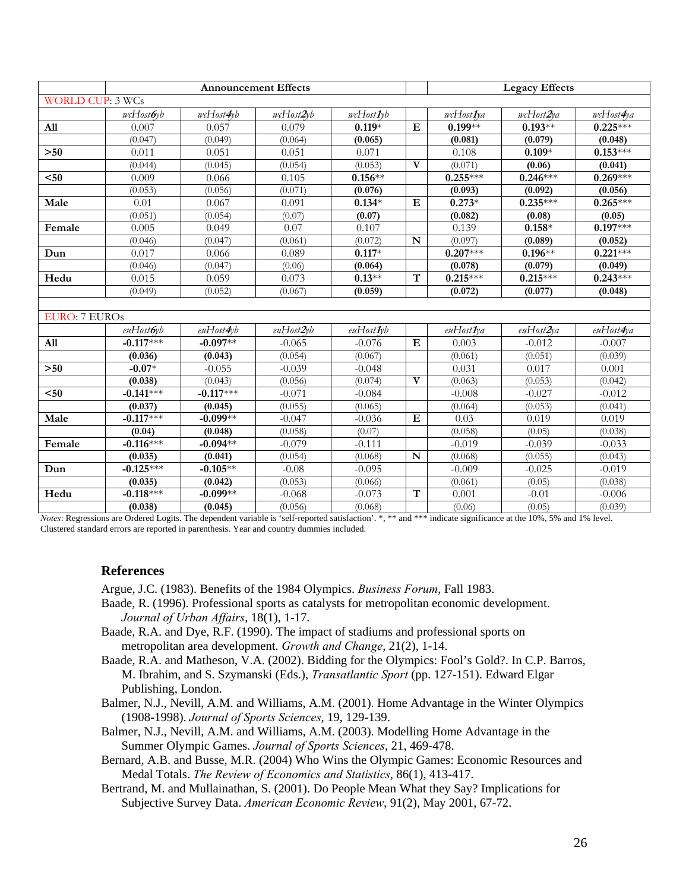|                         |                       |                          | <b>Announcement Effects</b> |                                   |                | <b>Legacy Effects</b>             |               |                |  |
|-------------------------|-----------------------|--------------------------|-----------------------------|-----------------------------------|----------------|-----------------------------------|---------------|----------------|--|
| <b>WORLD CUP: 3 WCs</b> |                       |                          |                             |                                   |                |                                   |               |                |  |
|                         | $w$ cHost <b>6</b> yb | $wcl-lost 4yb$           | $wcl-lost2yb$               | $wcl$ <i>lost</i> $\mathbf{1}$ yb |                | $wcl$ <i>lost</i> $\mathbf{1}$ ya | $wcl-lost2ya$ | $wcl-lost 4ya$ |  |
| All                     | 0.007                 | 0.057                    | 0.079                       | $0.119*$                          | E              | $0.199**$                         | $0.193**$     | $0.225***$     |  |
|                         | (0.047)               | (0.049)                  | (0.064)                     | (0.065)                           |                | (0.081)                           | (0.079)       | (0.048)        |  |
| >50                     | 0.011                 | 0.051                    | 0.051                       | 0.071                             |                | 0.108                             | $0.109*$      | $0.153***$     |  |
|                         | (0.044)               | (0.045)                  | (0.054)                     | (0.053)                           | $\mathbf{V}$   | (0.071)                           | (0.06)        | (0.041)        |  |
| $50$                    | 0.009                 | 0.066                    | 0.105                       | $0.156**$                         |                | $0.255***$                        | $0.246***$    | $0.269***$     |  |
|                         | (0.053)               | (0.056)                  | (0.071)                     | (0.076)                           |                | (0.093)                           | (0.092)       | (0.056)        |  |
| Male                    | 0.01                  | 0.067                    | 0.091                       | $0.134*$                          | E              | $0.273*$                          | $0.235***$    | $0.265***$     |  |
|                         | (0.051)               | (0.054)                  | (0.07)                      | (0.07)                            |                | (0.082)                           | (0.08)        | (0.05)         |  |
| Female                  | 0.005                 | 0.049                    | 0.07                        | 0.107                             |                | 0.139                             | $0.158*$      | $0.197***$     |  |
|                         | (0.046)               | (0.047)                  | (0.061)                     | (0.072)                           | $\mathbf N$    | (0.097)                           | (0.089)       | (0.052)        |  |
| Dun                     | 0.017                 | 0.066                    | 0.089                       | $0.117*$                          |                | $0.207***$                        | $0.196**$     | $0.221***$     |  |
|                         | (0.046)               | (0.047)                  | (0.06)                      | (0.064)                           |                | (0.078)                           | (0.079)       | (0.049)        |  |
| Hedu                    | 0.015                 | 0.059                    | 0.073                       | $0.13***$                         | $\overline{T}$ | $0.215***$                        | $0.215***$    | $0.243***$     |  |
|                         | (0.049)               | (0.052)                  | (0.067)                     | (0.059)                           |                | (0.072)                           | (0.077)       | (0.048)        |  |
|                         |                       |                          |                             |                                   |                |                                   |               |                |  |
| <b>EURO: 7 EUROs</b>    |                       |                          |                             |                                   |                |                                   |               |                |  |
|                         | euHostGv              | $euHostA$ <sup>y</sup> b | euHost2vb                   | $euHostI$ yb                      |                | euHost1ya                         | euHost2ya     | euHost4ya      |  |
| <b>All</b>              | $-0.117***$           | $-0.097**$               | $-0.065$                    | $-0.076$                          | E              | 0.003                             | $-0.012$      | $-0.007$       |  |
|                         | (0.036)               | (0.043)                  | (0.054)                     | (0.067)                           |                | (0.061)                           | (0.051)       | (0.039)        |  |
| $>50$                   | $-0.07*$              | $-0.055$                 | $-0.039$                    | $-0.048$                          |                | 0.031                             | 0.017         | 0.001          |  |
|                         | (0.038)               | (0.043)                  | (0.056)                     | (0.074)                           | V              | (0.063)                           | (0.053)       | (0.042)        |  |
| $50$                    | $-0.141***$           | $-0.117***$              | $-0.071$                    | $-0.084$                          |                | $-0.008$                          | $-0.027$      | $-0.012$       |  |
|                         | (0.037)               | (0.045)                  | (0.055)                     | (0.065)                           |                | (0.064)                           | (0.053)       | (0.041)        |  |
| Male                    | $-0.117***$           | $-0.099**$               | $-0.047$                    | $-0.036$                          | E              | 0.03                              | 0.019         | 0.019          |  |
|                         | (0.04)                | (0.048)                  | (0.058)                     | (0.07)                            |                | (0.058)                           | (0.05)        | (0.038)        |  |
| Female                  | $-0.116***$           | $-0.094**$               | $-0.079$                    | $-0.111$                          |                | $-0.019$                          | $-0.039$      | $-0.033$       |  |
|                         | (0.035)               | (0.041)                  | (0.054)                     | (0.068)                           | $\mathbf N$    | (0.068)                           | (0.055)       | (0.043)        |  |
| Dun                     | $-0.125***$           | $-0.105**$               | $-0.08$                     | $-0.095$                          |                | $-0.009$                          | $-0.025$      | $-0.019$       |  |
|                         | (0.035)               | (0.042)                  | (0.053)                     | (0.066)                           |                | (0.061)                           | (0.05)        | (0.038)        |  |
| Hedu                    | $-0.118***$           | $-0.099**$               | $-0.068$                    | $-0.073$                          | T              | 0.001                             | $-0.01$       | $-0.006$       |  |
|                         | (0.038)               | (0.045)                  | (0.056)                     | (0.068)                           |                | (0.06)                            | (0.05)        | (0.039)        |  |

*Notes*: Regressions are Ordered Logits. The dependent variable is 'self-reported satisfaction'. \*, \*\* and \*\*\* indicate significance at the 10%, 5% and 1% level. Clustered standard errors are reported in parenthesis. Year and country dummies included.

## **References**

Argue, J.C. (1983). Benefits of the 1984 Olympics. *Business Forum*, Fall 1983.

- Baade, R. (1996). Professional sports as catalysts for metropolitan economic development. *Journal of Urban Affairs*, 18(1), 1-17.
- Baade, R.A. and Dye, R.F. (1990). The impact of stadiums and professional sports on metropolitan area development. *Growth and Change*, 21(2), 1-14.
- Baade, R.A. and Matheson, V.A. (2002). Bidding for the Olympics: Fool's Gold?. In C.P. Barros, M. Ibrahim, and S. Szymanski (Eds.), *Transatlantic Sport* (pp. 127-151). Edward Elgar Publishing, London.
- Balmer, N.J., Nevill, A.M. and Williams, A.M. (2001). Home Advantage in the Winter Olympics (1908-1998). *Journal of Sports Sciences*, 19, 129-139.
- Balmer, N.J., Nevill, A.M. and Williams, A.M. (2003). Modelling Home Advantage in the Summer Olympic Games. *Journal of Sports Sciences*, 21, 469-478.
- Bernard, A.B. and Busse, M.R. (2004) Who Wins the Olympic Games: Economic Resources and Medal Totals. *The Review of Economics and Statistics*, 86(1), 413-417.
- Bertrand, M. and Mullainathan, S. (2001). Do People Mean What they Say? Implications for Subjective Survey Data. *American Economic Review*, 91(2), May 2001, 67-72.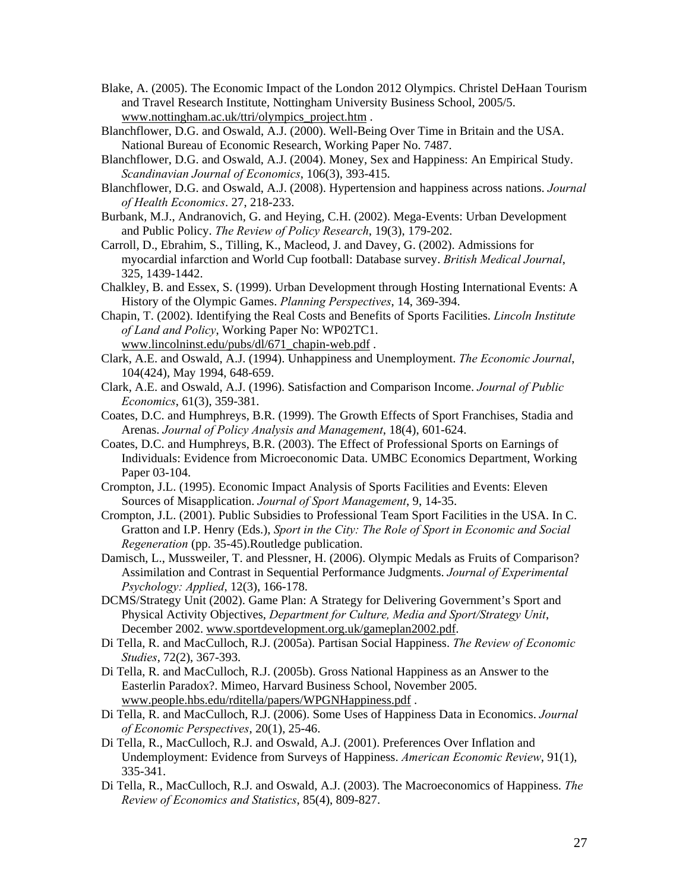- Blake, A. (2005). The Economic Impact of the London 2012 Olympics. Christel DeHaan Tourism and Travel Research Institute, Nottingham University Business School, 2005/5. [www.nottingham.ac.uk/ttri/olympics\\_project.htm](http://www.nottingham.ac.uk/ttri/olympics_project.htm) .
- Blanchflower, D.G. and Oswald, A.J. (2000). Well-Being Over Time in Britain and the USA. National Bureau of Economic Research, Working Paper No. 7487.
- Blanchflower, D.G. and Oswald, A.J. (2004). Money, Sex and Happiness: An Empirical Study. *Scandinavian Journal of Economics*, 106(3), 393-415.
- Blanchflower, D.G. and Oswald, A.J. (2008). Hypertension and happiness across nations. *Journal of Health Economics*. 27, 218-233.
- Burbank, M.J., Andranovich, G. and Heying, C.H. (2002). Mega-Events: Urban Development and Public Policy. *The Review of Policy Research*, 19(3), 179-202.
- Carroll, D., Ebrahim, S., Tilling, K., Macleod, J. and Davey, G. (2002). Admissions for myocardial infarction and World Cup football: Database survey. *British Medical Journal*, 325, 1439-1442.
- Chalkley, B. and Essex, S. (1999). Urban Development through Hosting International Events: A History of the Olympic Games. *Planning Perspectives*, 14, 369-394.
- Chapin, T. (2002). Identifying the Real Costs and Benefits of Sports Facilities. *Lincoln Institute of Land and Policy*, Working Paper No: WP02TC1. [www.lincolninst.edu/pubs/dl/671\\_chapin-web.pdf](http://www.lincolninst.edu/pubs/dl/671_chapin-web.pdf) .
- Clark, A.E. and Oswald, A.J. (1994). Unhappiness and Unemployment. *The Economic Journal*, 104(424), May 1994, 648-659.
- Clark, A.E. and Oswald, A.J. (1996). Satisfaction and Comparison Income. *Journal of Public Economics*, 61(3), 359-381.
- Coates, D.C. and Humphreys, B.R. (1999). The Growth Effects of Sport Franchises, Stadia and Arenas. *Journal of Policy Analysis and Management*, 18(4), 601-624.
- Coates, D.C. and Humphreys, B.R. (2003). The Effect of Professional Sports on Earnings of Individuals: Evidence from Microeconomic Data. UMBC Economics Department, Working Paper 03-104.
- Crompton, J.L. (1995). Economic Impact Analysis of Sports Facilities and Events: Eleven Sources of Misapplication. *Journal of Sport Management*, 9, 14-35.
- Crompton, J.L. (2001). Public Subsidies to Professional Team Sport Facilities in the USA. In C. Gratton and I.P. Henry (Eds.), *Sport in the City: The Role of Sport in Economic and Social Regeneration* (pp. 35-45).Routledge publication.
- Damisch, L., Mussweiler, T. and Plessner, H. (2006). Olympic Medals as Fruits of Comparison? Assimilation and Contrast in Sequential Performance Judgments. *Journal of Experimental Psychology: Applied*, 12(3), 166-178.
- DCMS/Strategy Unit (2002). Game Plan: A Strategy for Delivering Government's Sport and Physical Activity Objectives, *Department for Culture, Media and Sport/Strategy Unit*, December 2002. [www.sportdevelopment.org.uk/gameplan2002.pdf](http://www.sportdevelopment.org.uk/gameplan2002.pdf).
- Di Tella, R. and MacCulloch, R.J. (2005a). Partisan Social Happiness. *The Review of Economic Studies*, 72(2), 367-393.
- Di Tella, R. and MacCulloch, R.J. (2005b). Gross National Happiness as an Answer to the Easterlin Paradox?. Mimeo, Harvard Business School, November 2005. [www.people.hbs.edu/rditella/papers/WPGNHappiness.pdf](http://www.people.hbs.edu/rditella/papers/WPGNHappiness.pdf) .
- Di Tella, R. and MacCulloch, R.J. (2006). Some Uses of Happiness Data in Economics. *Journal of Economic Perspectives*, 20(1), 25-46.
- Di Tella, R., MacCulloch, R.J. and Oswald, A.J. (2001). Preferences Over Inflation and Undemployment: Evidence from Surveys of Happiness. *American Economic Review*, 91(1), 335-341.
- Di Tella, R., MacCulloch, R.J. and Oswald, A.J. (2003). The Macroeconomics of Happiness. *The Review of Economics and Statistics*, 85(4), 809-827.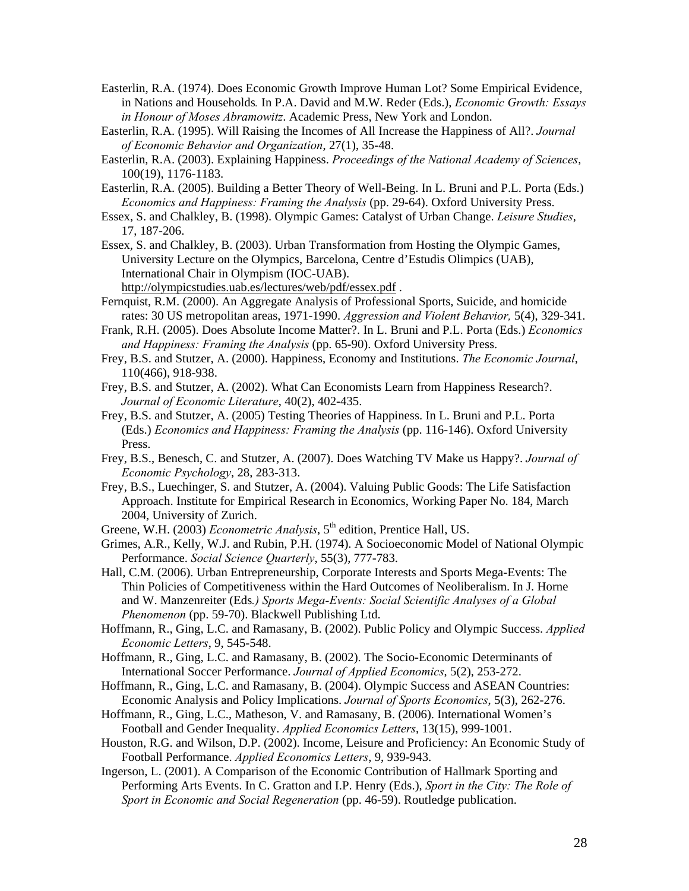- Easterlin, R.A. (1974). Does Economic Growth Improve Human Lot? Some Empirical Evidence, in Nations and Households*.* In P.A. David and M.W. Reder (Eds.), *Economic Growth: Essays in Honour of Moses Abramowitz*. Academic Press, New York and London.
- Easterlin, R.A. (1995). Will Raising the Incomes of All Increase the Happiness of All?. *Journal of Economic Behavior and Organization*, 27(1), 35-48.
- Easterlin, R.A. (2003). Explaining Happiness. *Proceedings of the National Academy of Sciences*, 100(19), 1176-1183.
- Easterlin, R.A. (2005). Building a Better Theory of Well-Being. In L. Bruni and P.L. Porta (Eds.) *Economics and Happiness: Framing the Analysis* (pp. 29-64). Oxford University Press.
- Essex, S. and Chalkley, B. (1998). Olympic Games: Catalyst of Urban Change. *Leisure Studies*, 17, 187-206.
- Essex, S. and Chalkley, B. (2003). Urban Transformation from Hosting the Olympic Games, University Lecture on the Olympics, Barcelona, Centre d'Estudis Olimpics (UAB), International Chair in Olympism (IOC-UAB). <http://olympicstudies.uab.es/lectures/web/pdf/essex.pdf> .
- Fernquist, R.M. (2000). An Aggregate Analysis of Professional Sports, Suicide, and homicide rates: 30 US metropolitan areas, 1971-1990. *Aggression and Violent Behavior,* 5(4), 329-341.
- Frank, R.H. (2005). Does Absolute Income Matter?. In L. Bruni and P.L. Porta (Eds.) *Economics and Happiness: Framing the Analysis* (pp. 65-90). Oxford University Press.
- Frey, B.S. and Stutzer, A. (2000). Happiness, Economy and Institutions. *The Economic Journal*, 110(466), 918-938.
- Frey, B.S. and Stutzer, A. (2002). What Can Economists Learn from Happiness Research?. *Journal of Economic Literature*, 40(2), 402-435.
- Frey, B.S. and Stutzer, A. (2005) Testing Theories of Happiness. In L. Bruni and P.L. Porta (Eds.) *Economics and Happiness: Framing the Analysis* (pp. 116-146). Oxford University Press.
- Frey, B.S., Benesch, C. and Stutzer, A. (2007). Does Watching TV Make us Happy?. *Journal of Economic Psychology*, 28, 283-313.
- Frey, B.S., Luechinger, S. and Stutzer, A. (2004). Valuing Public Goods: The Life Satisfaction Approach. Institute for Empirical Research in Economics, Working Paper No. 184, March 2004, University of Zurich.
- Greene, W.H. (2003) *Econometric Analysis*, 5<sup>th</sup> edition, Prentice Hall, US.
- Grimes, A.R., Kelly, W.J. and Rubin, P.H. (1974). A Socioeconomic Model of National Olympic Performance. *Social Science Quarterly*, 55(3), 777-783.
- Hall, C.M. (2006). Urban Entrepreneurship, Corporate Interests and Sports Mega-Events: The Thin Policies of Competitiveness within the Hard Outcomes of Neoliberalism. In J. Horne and W. Manzenreiter (Eds*.) Sports Mega-Events: Social Scientific Analyses of a Global Phenomenon* (pp. 59-70). Blackwell Publishing Ltd.
- Hoffmann, R., Ging, L.C. and Ramasany, B. (2002). Public Policy and Olympic Success. *Applied Economic Letters*, 9, 545-548.
- Hoffmann, R., Ging, L.C. and Ramasany, B. (2002). The Socio-Economic Determinants of International Soccer Performance. *Journal of Applied Economics*, 5(2), 253-272.
- Hoffmann, R., Ging, L.C. and Ramasany, B. (2004). Olympic Success and ASEAN Countries: Economic Analysis and Policy Implications. *Journal of Sports Economics*, 5(3), 262-276.
- Hoffmann, R., Ging, L.C., Matheson, V. and Ramasany, B. (2006). International Women's Football and Gender Inequality. *Applied Economics Letters*, 13(15), 999-1001.
- Houston, R.G. and Wilson, D.P. (2002). Income, Leisure and Proficiency: An Economic Study of Football Performance. *Applied Economics Letters*, 9, 939-943.
- Ingerson, L. (2001). A Comparison of the Economic Contribution of Hallmark Sporting and Performing Arts Events. In C. Gratton and I.P. Henry (Eds.), *Sport in the City: The Role of Sport in Economic and Social Regeneration* (pp. 46-59). Routledge publication.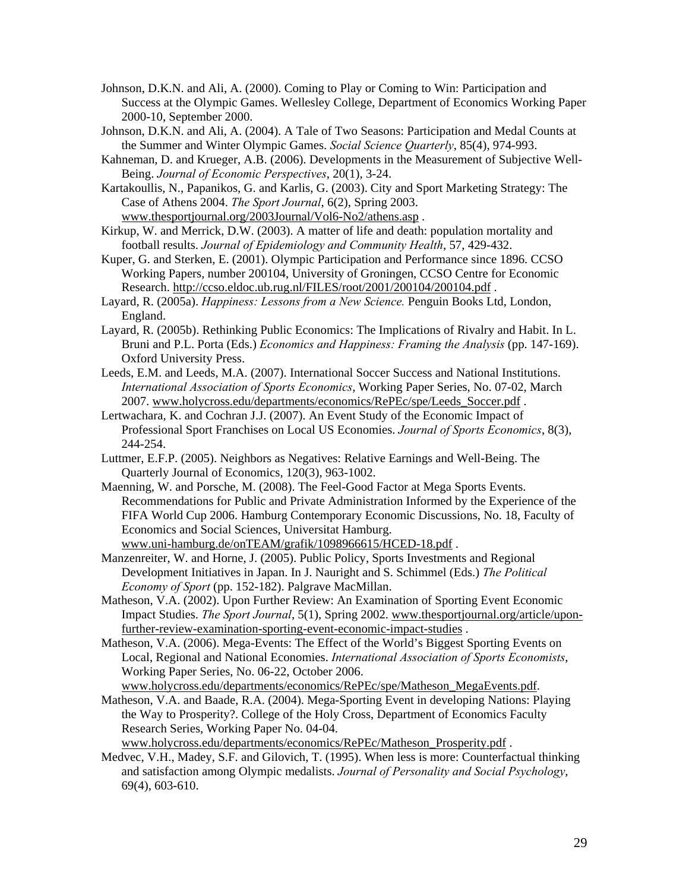- Johnson, D.K.N. and Ali, A. (2000). Coming to Play or Coming to Win: Participation and Success at the Olympic Games. Wellesley College, Department of Economics Working Paper 2000-10, September 2000.
- Johnson, D.K.N. and Ali, A. (2004). A Tale of Two Seasons: Participation and Medal Counts at the Summer and Winter Olympic Games. *Social Science Quarterly*, 85(4), 974-993.
- Kahneman, D. and Krueger, A.B. (2006). Developments in the Measurement of Subjective Well-Being. *Journal of Economic Perspectives*, 20(1), 3-24.
- Kartakoullis, N., Papanikos, G. and Karlis, G. (2003). City and Sport Marketing Strategy: The Case of Athens 2004. *The Sport Journal*, 6(2), Spring 2003. [www.thesportjournal.org/2003Journal/Vol6-No2/athens.asp](http://www.thesportjournal.org/2003Journal/Vol6-No2/athens.asp) .
- Kirkup, W. and Merrick, D.W. (2003). A matter of life and death: population mortality and football results. *Journal of Epidemiology and Community Health*, 57, 429-432.
- Kuper, G. and Sterken, E. (2001). Olympic Participation and Performance since 1896. CCSO Working Papers, number 200104, University of Groningen, CCSO Centre for Economic Research. <http://ccso.eldoc.ub.rug.nl/FILES/root/2001/200104/200104.pdf> .
- Layard, R. (2005a). *Happiness: Lessons from a New Science.* Penguin Books Ltd, London, England.
- Layard, R. (2005b). Rethinking Public Economics: The Implications of Rivalry and Habit. In L. Bruni and P.L. Porta (Eds.) *Economics and Happiness: Framing the Analysis* (pp. 147-169). Oxford University Press.
- Leeds, E.M. and Leeds, M.A. (2007). International Soccer Success and National Institutions. *International Association of Sports Economics*, Working Paper Series, No. 07-02, March 2007. [www.holycross.edu/departments/economics/RePEc/spe/Leeds\\_Soccer.pdf](http://www.holycross.edu/departments/economics/RePEc/spe/Leeds_Soccer.pdf) .
- Lertwachara, K. and Cochran J.J. (2007). An Event Study of the Economic Impact of Professional Sport Franchises on Local US Economies. *Journal of Sports Economics*, 8(3), 244-254.
- Luttmer, E.F.P. (2005). Neighbors as Negatives: Relative Earnings and Well-Being. The Quarterly Journal of Economics, 120(3), 963-1002.
- Maenning, W. and Porsche, M. (2008). The Feel-Good Factor at Mega Sports Events. Recommendations for Public and Private Administration Informed by the Experience of the FIFA World Cup 2006. Hamburg Contemporary Economic Discussions, No. 18, Faculty of Economics and Social Sciences, Universitat Hamburg. [www.uni-hamburg.de/onTEAM/grafik/1098966615/HCED-18.pdf](http://www.uni-hamburg.de/onTEAM/grafik/1098966615/HCED-18.pdf) .
- Manzenreiter, W. and Horne, J. (2005). Public Policy, Sports Investments and Regional Development Initiatives in Japan. In J. Nauright and S. Schimmel (Eds.) *The Political Economy of Sport* (pp. 152-182). Palgrave MacMillan.
- Matheson, V.A. (2002). Upon Further Review: An Examination of Sporting Event Economic Impact Studies. *The Sport Journal*, 5(1), Spring 2002. [www.thesportjournal.org/article/upon](http://www.thesportjournal.org/article/upon-further-review-examination-sporting-event-economic-impact-studies)[further-review-examination-sporting-event-economic-impact-studies](http://www.thesportjournal.org/article/upon-further-review-examination-sporting-event-economic-impact-studies) .
- Matheson, V.A. (2006). Mega-Events: The Effect of the World's Biggest Sporting Events on Local, Regional and National Economies. *International Association of Sports Economists*, Working Paper Series, No. 06-22, October 2006. [www.holycross.edu/departments/economics/RePEc/spe/Matheson\\_MegaEvents.pdf](http://www.holycross.edu/departments/economics/RePEc/spe/Matheson_MegaEvents.pdf).
- Matheson, V.A. and Baade, R.A. (2004). Mega-Sporting Event in developing Nations: Playing the Way to Prosperity?. College of the Holy Cross, Department of Economics Faculty Research Series, Working Paper No. 04-04.

[www.holycross.edu/departments/economics/RePEc/Matheson\\_Prosperity.pdf](http://www.holycross.edu/departments/economics/RePEc/Matheson_Prosperity.pdf) .

Medvec, V.H., Madey, S.F. and Gilovich, T. (1995). When less is more: Counterfactual thinking and satisfaction among Olympic medalists. *Journal of Personality and Social Psychology*, 69(4), 603-610.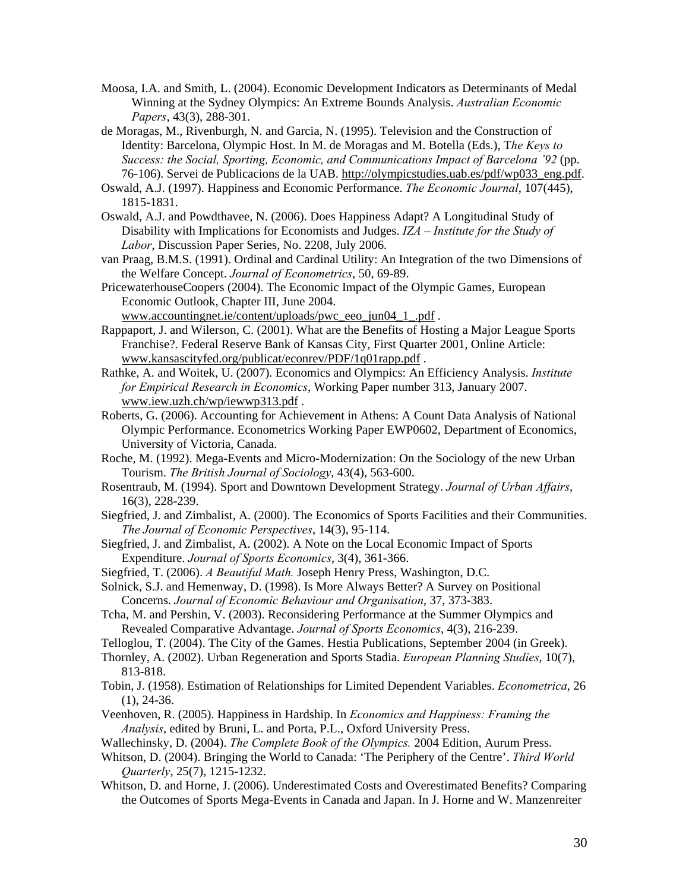- Moosa, I.A. and Smith, L. (2004). Economic Development Indicators as Determinants of Medal Winning at the Sydney Olympics: An Extreme Bounds Analysis. *Australian Economic Papers*, 43(3), 288-301.
- de Moragas, M., Rivenburgh, N. and Garcia, N. (1995). Television and the Construction of Identity: Barcelona, Olympic Host. In M. de Moragas and M. Botella (Eds.), T*he Keys to Success: the Social, Sporting, Economic, and Communications Impact of Barcelona '92* (pp. 76-106). Servei de Publicacions de la UAB. [http://olympicstudies.uab.es/pdf/wp033\\_eng.pdf.](http://olympicstudies.uab.es/pdf/wp033_eng.pdf)
- Oswald, A.J. (1997). Happiness and Economic Performance. *The Economic Journal*, 107(445), 1815-1831.
- Oswald, A.J. and Powdthavee, N. (2006). Does Happiness Adapt? A Longitudinal Study of Disability with Implications for Economists and Judges. *IZA – Institute for the Study of Labor*, Discussion Paper Series, No. 2208, July 2006.
- van Praag, B.M.S. (1991). Ordinal and Cardinal Utility: An Integration of the two Dimensions of the Welfare Concept. *Journal of Econometrics*, 50, 69-89.
- PricewaterhouseCoopers (2004). The Economic Impact of the Olympic Games, European Economic Outlook, Chapter III, June 2004.

[www.accountingnet.ie/content/uploads/pwc\\_eeo\\_jun04\\_1\\_.pdf](http://www.accountingnet.ie/content/uploads/pwc_eeo_jun04_1_.pdf) .

- Rappaport, J. and Wilerson, C. (2001). What are the Benefits of Hosting a Major League Sports Franchise?. Federal Reserve Bank of Kansas City, First Quarter 2001, Online Article: [www.kansascityfed.org/publicat/econrev/PDF/1q01rapp.pdf](http://www.kansascityfed.org/publicat/econrev/PDF/1q01rapp.pdf) .
- Rathke, A. and Woitek, U. (2007). Economics and Olympics: An Efficiency Analysis. *Institute for Empirical Research in Economics*, Working Paper number 313, January 2007. [www.iew.uzh.ch/wp/iewwp313.pdf](http://www.iew.uzh.ch/wp/iewwp313.pdf) .
- Roberts, G. (2006). Accounting for Achievement in Athens: A Count Data Analysis of National Olympic Performance. Econometrics Working Paper EWP0602, Department of Economics, University of Victoria, Canada.
- Roche, M. (1992). Mega-Events and Micro-Modernization: On the Sociology of the new Urban Tourism. *The British Journal of Sociology*, 43(4), 563-600.
- Rosentraub, M. (1994). Sport and Downtown Development Strategy. *Journal of Urban Affairs*, 16(3), 228-239.
- Siegfried, J. and Zimbalist, A. (2000). The Economics of Sports Facilities and their Communities. *The Journal of Economic Perspectives*, 14(3), 95-114.
- Siegfried, J. and Zimbalist, A. (2002). A Note on the Local Economic Impact of Sports Expenditure. *Journal of Sports Economics*, 3(4), 361-366.
- Siegfried, T. (2006). *A Beautiful Math.* Joseph Henry Press, Washington, D.C.
- Solnick, S.J. and Hemenway, D. (1998). Is More Always Better? A Survey on Positional Concerns. *Journal of Economic Behaviour and Organisation*, 37, 373-383.
- Tcha, M. and Pershin, V. (2003). Reconsidering Performance at the Summer Olympics and Revealed Comparative Advantage. *Journal of Sports Economics*, 4(3), 216-239.
- Telloglou, T. (2004). The City of the Games. Hestia Publications, September 2004 (in Greek).
- Thornley, A. (2002). Urban Regeneration and Sports Stadia. *European Planning Studies*, 10(7), 813-818.
- Tobin, J. (1958). Estimation of Relationships for Limited Dependent Variables. *Econometrica*, 26 (1), 24-36.
- Veenhoven, R. (2005). Happiness in Hardship. In *Economics and Happiness: Framing the Analysis*, edited by Bruni, L. and Porta, P.L., Oxford University Press.
- Wallechinsky, D. (2004). *The Complete Book of the Olympics.* 2004 Edition, Aurum Press.
- Whitson, D. (2004). Bringing the World to Canada: 'The Periphery of the Centre'. *Third World Quarterly*, 25(7), 1215-1232.
- Whitson, D. and Horne, J. (2006). Underestimated Costs and Overestimated Benefits? Comparing the Outcomes of Sports Mega-Events in Canada and Japan. In J. Horne and W. Manzenreiter